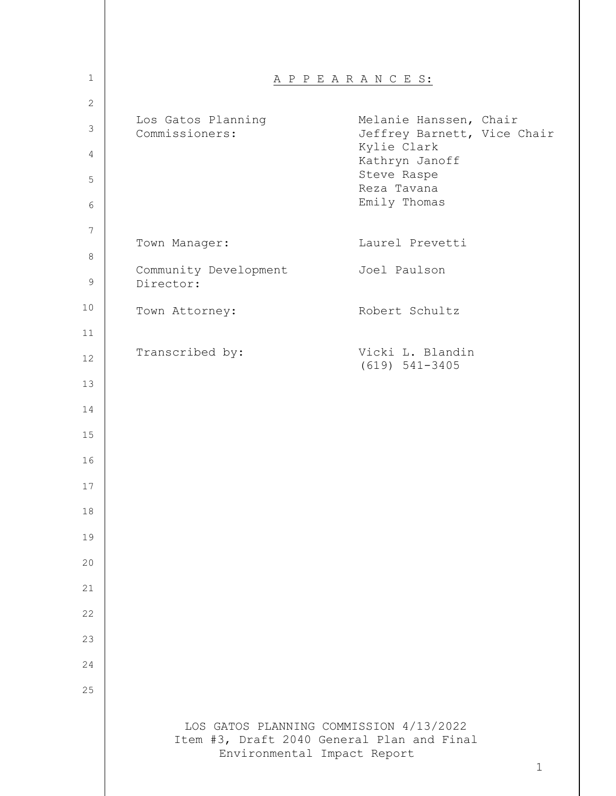| $\mathbf 1$    |                                      | A P P E A R A N C E S:                                                                               |
|----------------|--------------------------------------|------------------------------------------------------------------------------------------------------|
| $\overline{2}$ |                                      |                                                                                                      |
| $\mathsf 3$    | Los Gatos Planning<br>Commissioners: | Melanie Hanssen, Chair<br>Jeffrey Barnett, Vice Chair                                                |
| 4              |                                      | Kylie Clark<br>Kathryn Janoff<br>Steve Raspe                                                         |
| 5              |                                      | Reza Tavana                                                                                          |
| 6              |                                      | Emily Thomas                                                                                         |
| 7              | Town Manager:                        | Laurel Prevetti                                                                                      |
| 8              | Community Development                | Joel Paulson                                                                                         |
| 9              | Director:                            |                                                                                                      |
| 10             | Town Attorney:                       | Robert Schultz                                                                                       |
| 11             |                                      | Vicki L. Blandin                                                                                     |
| 12             | Transcribed by:                      | $(619) 541-3405$                                                                                     |
| 13             |                                      |                                                                                                      |
| 14             |                                      |                                                                                                      |
| 15             |                                      |                                                                                                      |
| 16             |                                      |                                                                                                      |
| 17             |                                      |                                                                                                      |
| 18             |                                      |                                                                                                      |
| 19             |                                      |                                                                                                      |
| 20             |                                      |                                                                                                      |
| 21             |                                      |                                                                                                      |
| 22             |                                      |                                                                                                      |
| 23             |                                      |                                                                                                      |
| 24             |                                      |                                                                                                      |
| 25             |                                      |                                                                                                      |
|                | Environmental Impact Report          | LOS GATOS PLANNING COMMISSION 4/13/2022<br>Item #3, Draft 2040 General Plan and Final<br>$\mathbf 1$ |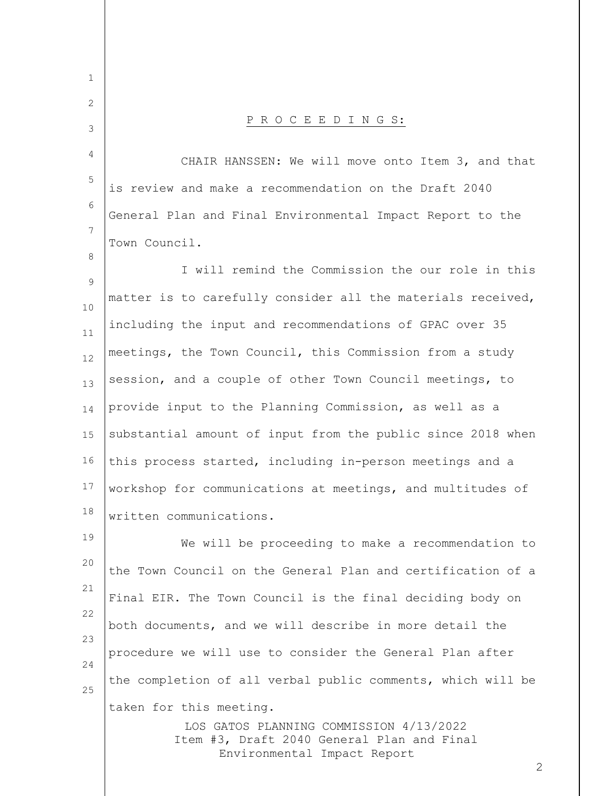LOS GATOS PLANNING COMMISSION 4/13/2022 Item #3, Draft 2040 General Plan and Final 1 2 3 4 5 6 7 8 9 10 11 12 13 14 15 16 17 18 19 20 21 22 23 24 25 P R O C E E D I N G S: CHAIR HANSSEN: We will move onto Item 3, and that is review and make a recommendation on the Draft 2040 General Plan and Final Environmental Impact Report to the Town Council. I will remind the Commission the our role in this matter is to carefully consider all the materials received, including the input and recommendations of GPAC over 35 meetings, the Town Council, this Commission from a study session, and a couple of other Town Council meetings, to provide input to the Planning Commission, as well as a substantial amount of input from the public since 2018 when this process started, including in-person meetings and a workshop for communications at meetings, and multitudes of written communications. We will be proceeding to make a recommendation to the Town Council on the General Plan and certification of a Final EIR. The Town Council is the final deciding body on both documents, and we will describe in more detail the procedure we will use to consider the General Plan after the completion of all verbal public comments, which will be taken for this meeting.

Environmental Impact Report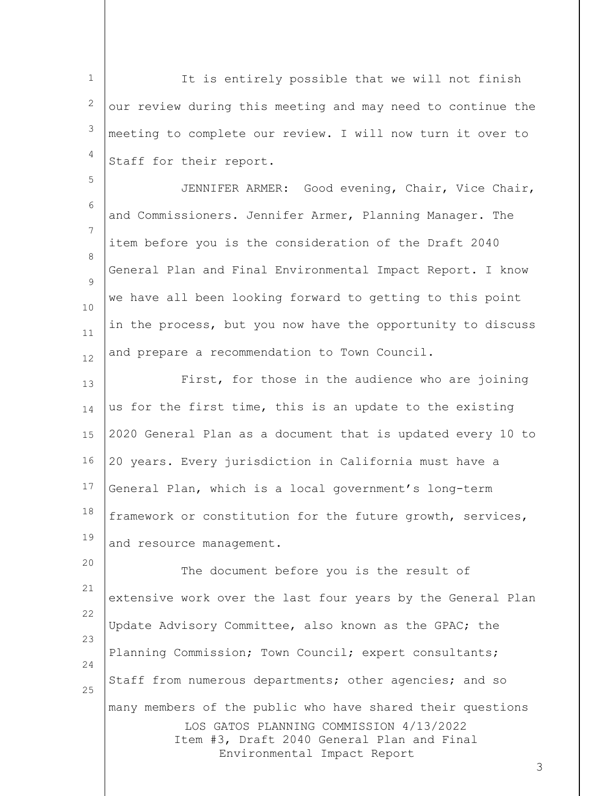1 2 3 4 It is entirely possible that we will not finish our review during this meeting and may need to continue the meeting to complete our review. I will now turn it over to Staff for their report.

5

6 7 8  $\circ$ 10 11 12 JENNIFER ARMER: Good evening, Chair, Vice Chair, and Commissioners. Jennifer Armer, Planning Manager. The item before you is the consideration of the Draft 2040 General Plan and Final Environmental Impact Report. I know we have all been looking forward to getting to this point in the process, but you now have the opportunity to discuss and prepare a recommendation to Town Council.

13 14 15 16 17 18 19 First, for those in the audience who are joining us for the first time, this is an update to the existing 2020 General Plan as a document that is updated every 10 to 20 years. Every jurisdiction in California must have a General Plan, which is a local government's long-term framework or constitution for the future growth, services, and resource management.

LOS GATOS PLANNING COMMISSION 4/13/2022 Item #3, Draft 2040 General Plan and Final Environmental Impact Report 20 21 22 23 24 25 The document before you is the result of extensive work over the last four years by the General Plan Update Advisory Committee, also known as the GPAC; the Planning Commission; Town Council; expert consultants; Staff from numerous departments; other agencies; and so many members of the public who have shared their questions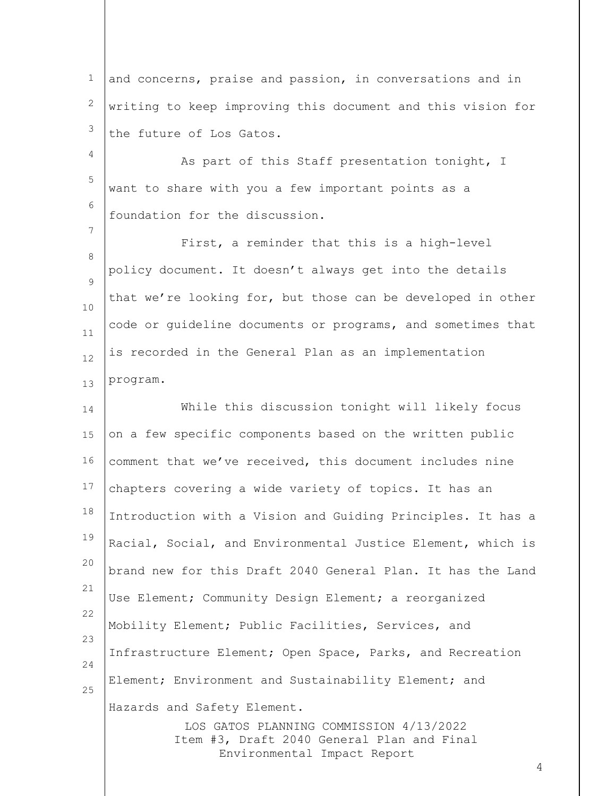1 2 3 and concerns, praise and passion, in conversations and in writing to keep improving this document and this vision for the future of Los Gatos.

4 5 6 As part of this Staff presentation tonight, I want to share with you a few important points as a foundation for the discussion.

7

8  $\circ$ 10 11 12 13 First, a reminder that this is a high-level policy document. It doesn't always get into the details that we're looking for, but those can be developed in other code or guideline documents or programs, and sometimes that is recorded in the General Plan as an implementation program.

LOS GATOS PLANNING COMMISSION 4/13/2022 Item #3, Draft 2040 General Plan and Final 14 15 16 17 18 19 20 21 22 23 24 25 While this discussion tonight will likely focus on a few specific components based on the written public comment that we've received, this document includes nine chapters covering a wide variety of topics. It has an Introduction with a Vision and Guiding Principles. It has a Racial, Social, and Environmental Justice Element, which is brand new for this Draft 2040 General Plan. It has the Land Use Element; Community Design Element; a reorganized Mobility Element; Public Facilities, Services, and Infrastructure Element; Open Space, Parks, and Recreation Element; Environment and Sustainability Element; and Hazards and Safety Element.

Environmental Impact Report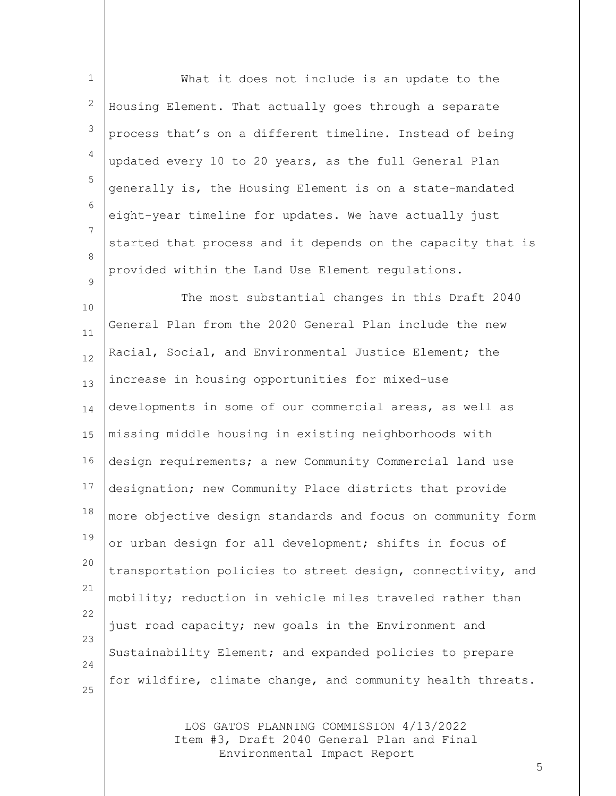1 2 3 4 5 6 7 8  $\circ$ What it does not include is an update to the Housing Element. That actually goes through a separate process that's on a different timeline. Instead of being updated every 10 to 20 years, as the full General Plan generally is, the Housing Element is on a state-mandated eight-year timeline for updates. We have actually just started that process and it depends on the capacity that is provided within the Land Use Element regulations.

10 11 12 13 14 15 16 17 18 19 20 21 22 23 24 25 The most substantial changes in this Draft 2040 General Plan from the 2020 General Plan include the new Racial, Social, and Environmental Justice Element; the increase in housing opportunities for mixed-use developments in some of our commercial areas, as well as missing middle housing in existing neighborhoods with design requirements; a new Community Commercial land use designation; new Community Place districts that provide more objective design standards and focus on community form or urban design for all development; shifts in focus of transportation policies to street design, connectivity, and mobility; reduction in vehicle miles traveled rather than just road capacity; new goals in the Environment and Sustainability Element; and expanded policies to prepare for wildfire, climate change, and community health threats.

> LOS GATOS PLANNING COMMISSION 4/13/2022 Item #3, Draft 2040 General Plan and Final Environmental Impact Report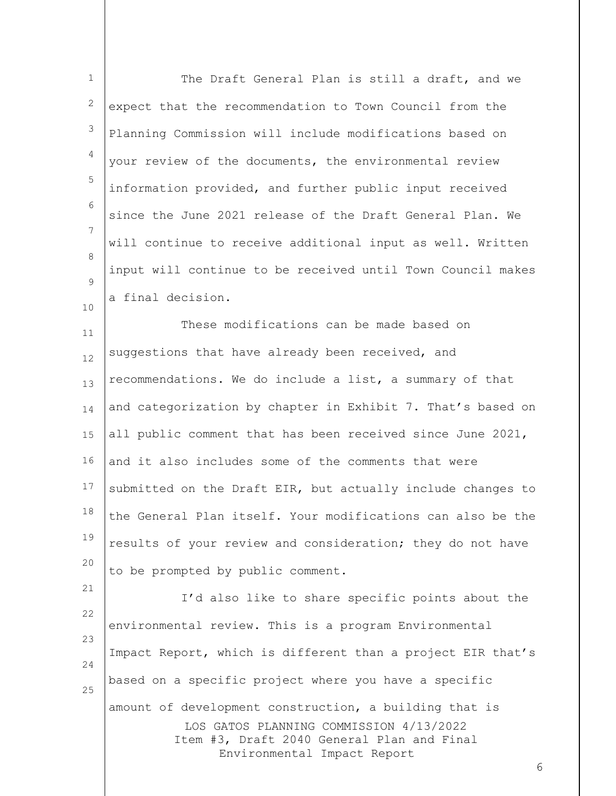| $\mathbf 1$  | The Draft General Plan is still a draft, and we                                                                      |
|--------------|----------------------------------------------------------------------------------------------------------------------|
| $\mathbf{2}$ | expect that the recommendation to Town Council from the                                                              |
| 3            | Planning Commission will include modifications based on                                                              |
| 4            | your review of the documents, the environmental review                                                               |
| 5            | information provided, and further public input received                                                              |
| 6            | since the June 2021 release of the Draft General Plan. We                                                            |
| 7<br>8       | will continue to receive additional input as well. Written                                                           |
| 9            | input will continue to be received until Town Council makes                                                          |
| 10           | a final decision.                                                                                                    |
| 11           | These modifications can be made based on                                                                             |
| 12           | suggestions that have already been received, and                                                                     |
| 13           | recommendations. We do include a list, a summary of that                                                             |
| 14           | and categorization by chapter in Exhibit 7. That's based on                                                          |
| 15           | all public comment that has been received since June 2021,                                                           |
| 16           | and it also includes some of the comments that were                                                                  |
| 17           | submitted on the Draft EIR, but actually include changes to                                                          |
| 18           | the General Plan itself. Your modifications can also be the                                                          |
| 19           | results of your review and consideration; they do not have                                                           |
| 20           | to be prompted by public comment.                                                                                    |
| 21<br>22     | I'd also like to share specific points about the                                                                     |
| 23           | environmental review. This is a program Environmental                                                                |
| 24           | Impact Report, which is different than a project EIR that's                                                          |
| 25           | based on a specific project where you have a specific                                                                |
|              | amount of development construction, a building that is                                                               |
|              | LOS GATOS PLANNING COMMISSION 4/13/2022<br>Item #3, Draft 2040 General Plan and Final<br>Environmental Impact Report |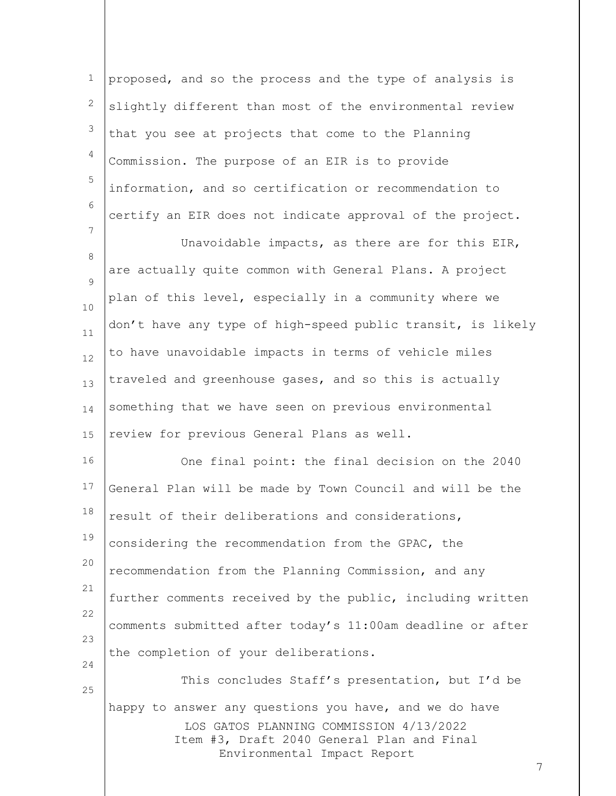| $\mathbf 1$         | proposed, and so the process and the type of analysis is                                                                                                                            |
|---------------------|-------------------------------------------------------------------------------------------------------------------------------------------------------------------------------------|
| $\mathbf{2}$        | slightly different than most of the environmental review                                                                                                                            |
| 3                   | that you see at projects that come to the Planning                                                                                                                                  |
| 4                   | Commission. The purpose of an EIR is to provide                                                                                                                                     |
| 5                   | information, and so certification or recommendation to                                                                                                                              |
| 6                   | certify an EIR does not indicate approval of the project.                                                                                                                           |
| 7                   | Unavoidable impacts, as there are for this EIR,                                                                                                                                     |
| 8                   | are actually quite common with General Plans. A project                                                                                                                             |
| $\mathcal{G}$<br>10 | plan of this level, especially in a community where we                                                                                                                              |
| 11                  | don't have any type of high-speed public transit, is likely                                                                                                                         |
| 12                  | to have unavoidable impacts in terms of vehicle miles                                                                                                                               |
| 13                  | traveled and greenhouse gases, and so this is actually                                                                                                                              |
| 14                  | something that we have seen on previous environmental                                                                                                                               |
| 15                  | review for previous General Plans as well.                                                                                                                                          |
| 16                  | One final point: the final decision on the 2040                                                                                                                                     |
| 17                  | General Plan will be made by Town Council and will be the                                                                                                                           |
| 18                  | result of their deliberations and considerations,                                                                                                                                   |
| 19                  | considering the recommendation from the GPAC, the                                                                                                                                   |
| 20                  | recommendation from the Planning Commission, and any                                                                                                                                |
| 21                  | further comments received by the public, including written                                                                                                                          |
| 22                  | comments submitted after today's 11:00am deadline or after                                                                                                                          |
| 23                  | the completion of your deliberations.                                                                                                                                               |
| 24<br>25            | This concludes Staff's presentation, but I'd be                                                                                                                                     |
|                     | happy to answer any questions you have, and we do have<br>LOS GATOS PLANNING COMMISSION 4/13/2022<br>Item #3, Draft 2040 General Plan and Final<br>Environmental Impact Report<br>7 |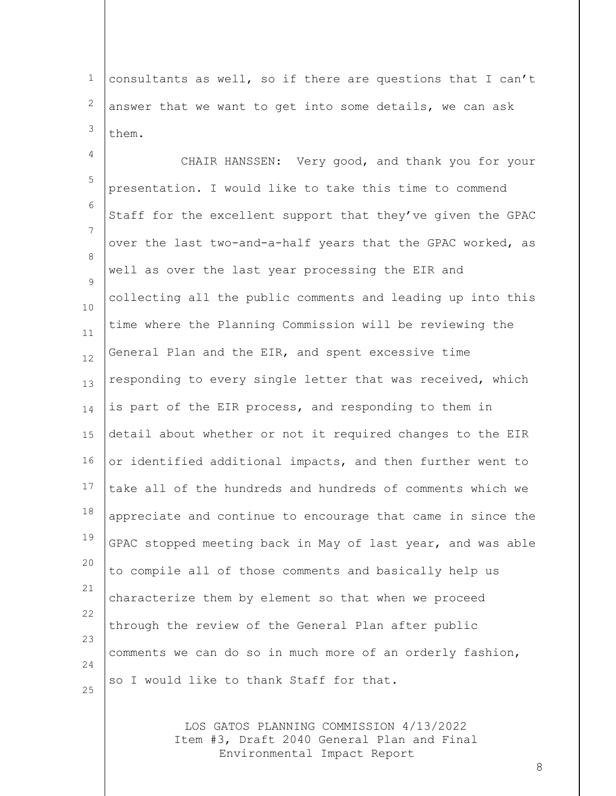1 2 3 consultants as well, so if there are questions that I can't answer that we want to get into some details, we can ask them.

4 5 6 7 8  $\circ$ 10 11 12 13 14 15 16 17 18 19 20 21 22 23 24 25 CHAIR HANSSEN: Very good, and thank you for your presentation. I would like to take this time to commend Staff for the excellent support that they've given the GPAC over the last two-and-a-half years that the GPAC worked, as well as over the last year processing the EIR and collecting all the public comments and leading up into this time where the Planning Commission will be reviewing the General Plan and the EIR, and spent excessive time responding to every single letter that was received, which is part of the EIR process, and responding to them in detail about whether or not it required changes to the EIR or identified additional impacts, and then further went to take all of the hundreds and hundreds of comments which we appreciate and continue to encourage that came in since the GPAC stopped meeting back in May of last year, and was able to compile all of those comments and basically help us characterize them by element so that when we proceed through the review of the General Plan after public comments we can do so in much more of an orderly fashion, so I would like to thank Staff for that.

> LOS GATOS PLANNING COMMISSION 4/13/2022 Item #3, Draft 2040 General Plan and Final Environmental Impact Report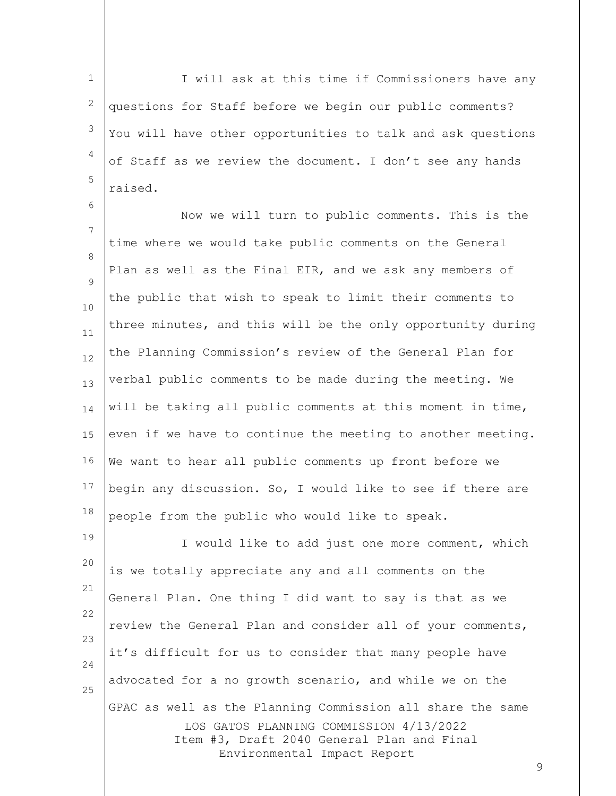1 2 3 4 5 I will ask at this time if Commissioners have any questions for Staff before we begin our public comments? You will have other opportunities to talk and ask questions of Staff as we review the document. I don't see any hands raised.

6

7 8  $\circ$ 10 11 12 13 14 15 16 17 18 Now we will turn to public comments. This is the time where we would take public comments on the General Plan as well as the Final EIR, and we ask any members of the public that wish to speak to limit their comments to three minutes, and this will be the only opportunity during the Planning Commission's review of the General Plan for verbal public comments to be made during the meeting. We will be taking all public comments at this moment in time, even if we have to continue the meeting to another meeting. We want to hear all public comments up front before we begin any discussion. So, I would like to see if there are people from the public who would like to speak.

LOS GATOS PLANNING COMMISSION 4/13/2022 Item #3, Draft 2040 General Plan and Final Environmental Impact Report 19 20 21 22 23 24 25 I would like to add just one more comment, which is we totally appreciate any and all comments on the General Plan. One thing I did want to say is that as we review the General Plan and consider all of your comments, it's difficult for us to consider that many people have advocated for a no growth scenario, and while we on the GPAC as well as the Planning Commission all share the same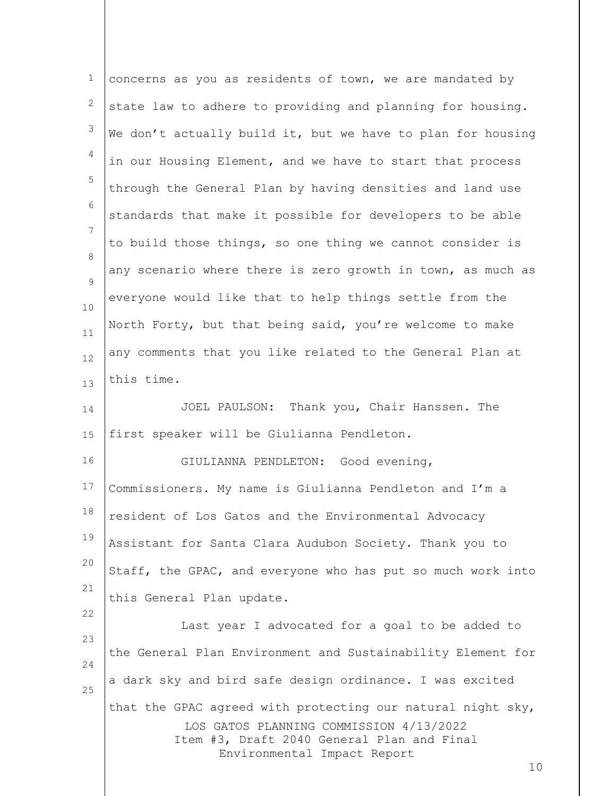| 1        | concerns as you as residents of town, we are mandated by                              |
|----------|---------------------------------------------------------------------------------------|
| 2        | state law to adhere to providing and planning for housing.                            |
| 3        | We don't actually build it, but we have to plan for housing                           |
| 4        | in our Housing Element, and we have to start that process                             |
| 5        | through the General Plan by having densities and land use                             |
| 6        | standards that make it possible for developers to be able                             |
| 7        | to build those things, so one thing we cannot consider is                             |
| 8<br>9   | any scenario where there is zero growth in town, as much as                           |
| $10$     | everyone would like that to help things settle from the                               |
| 11       | North Forty, but that being said, you're welcome to make                              |
| 12       | any comments that you like related to the General Plan at                             |
| 13       | this time.                                                                            |
| 14       | JOEL PAULSON: Thank you, Chair Hanssen. The                                           |
| 15       | first speaker will be Giulianna Pendleton.                                            |
| 16       | GIULIANNA PENDLETON: Good evening,                                                    |
| 17       | Commissioners. My name is Giulianna Pendleton and I'm a                               |
| 18       | resident of Los Gatos and the Environmental Advocacy                                  |
| 19       | Assistant for Santa Clara Audubon Society. Thank you to                               |
| 20       | Staff, the GPAC, and everyone who has put so much work into                           |
| 21       | this General Plan update.                                                             |
| 22       | Last year I advocated for a goal to be added to                                       |
| 23       | the General Plan Environment and Sustainability Element for                           |
| 24<br>25 | a dark sky and bird safe design ordinance. I was excited                              |
|          | that the GPAC agreed with protecting our natural night sky,                           |
|          | LOS GATOS PLANNING COMMISSION 4/13/2022<br>Item #3, Draft 2040 General Plan and Final |
|          | Environmental Impact Report<br>10                                                     |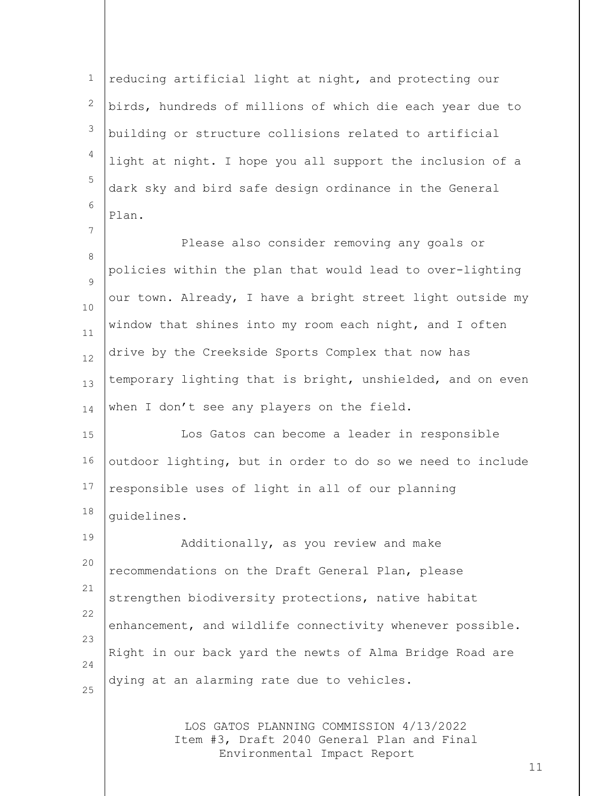1 2 3 4 5 6 reducing artificial light at night, and protecting our birds, hundreds of millions of which die each year due to building or structure collisions related to artificial light at night. I hope you all support the inclusion of a dark sky and bird safe design ordinance in the General Plan.

7

8  $\circ$ 10 11 12 13 14 Please also consider removing any goals or policies within the plan that would lead to over-lighting our town. Already, I have a bright street light outside my window that shines into my room each night, and I often drive by the Creekside Sports Complex that now has temporary lighting that is bright, unshielded, and on even when I don't see any players on the field.

15 16 17 18 Los Gatos can become a leader in responsible outdoor lighting, but in order to do so we need to include responsible uses of light in all of our planning guidelines.

19 20 21 22 23 24 25 Additionally, as you review and make recommendations on the Draft General Plan, please strengthen biodiversity protections, native habitat enhancement, and wildlife connectivity whenever possible. Right in our back yard the newts of Alma Bridge Road are dying at an alarming rate due to vehicles.

> LOS GATOS PLANNING COMMISSION 4/13/2022 Item #3, Draft 2040 General Plan and Final Environmental Impact Report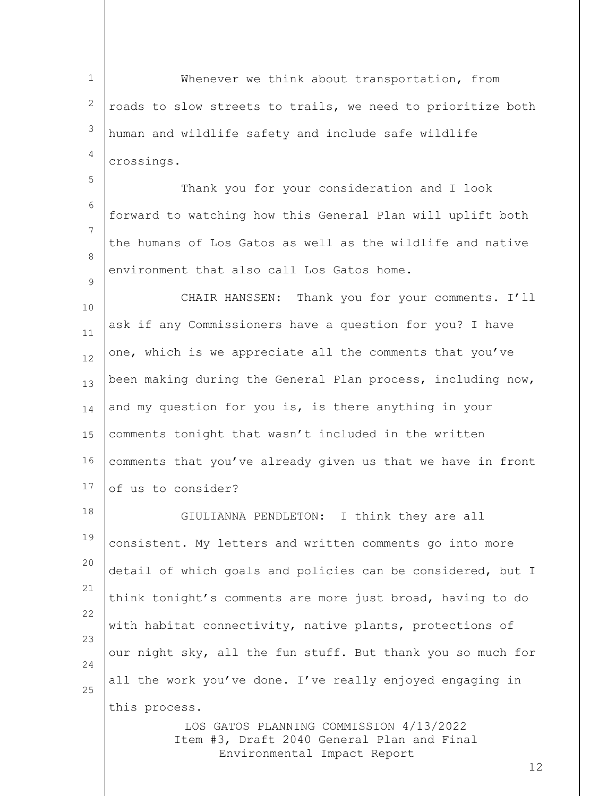1 2 3 4 Whenever we think about transportation, from roads to slow streets to trails, we need to prioritize both human and wildlife safety and include safe wildlife crossings.

6 7 8 Thank you for your consideration and I look forward to watching how this General Plan will uplift both the humans of Los Gatos as well as the wildlife and native environment that also call Los Gatos home.

5

 $\circ$ 

10 11 12 13 14 15 16 17 CHAIR HANSSEN: Thank you for your comments. I'll ask if any Commissioners have a question for you? I have one, which is we appreciate all the comments that you've been making during the General Plan process, including now, and my question for you is, is there anything in your comments tonight that wasn't included in the written comments that you've already given us that we have in front of us to consider?

18 19 20 21 22 23 24 25 GIULIANNA PENDLETON: I think they are all consistent. My letters and written comments go into more detail of which goals and policies can be considered, but I think tonight's comments are more just broad, having to do with habitat connectivity, native plants, protections of our night sky, all the fun stuff. But thank you so much for all the work you've done. I've really enjoyed engaging in this process.

> LOS GATOS PLANNING COMMISSION 4/13/2022 Item #3, Draft 2040 General Plan and Final Environmental Impact Report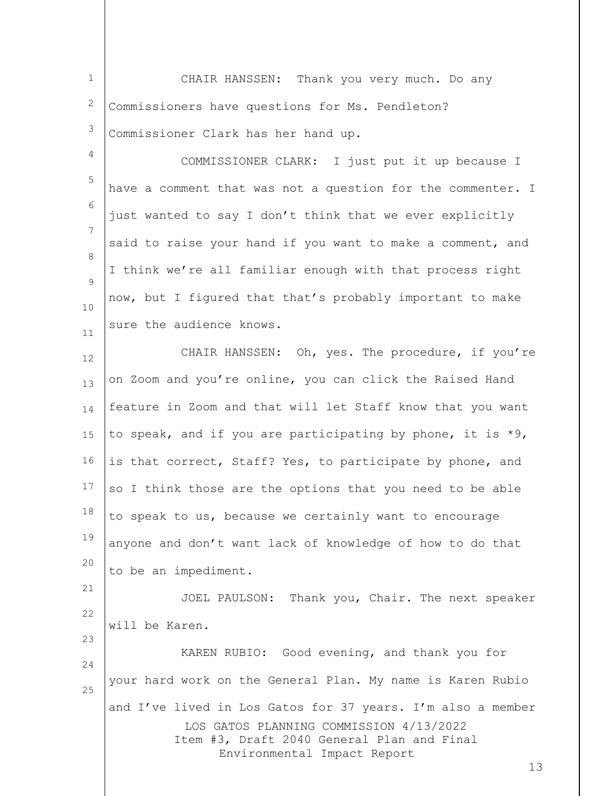| $1 \quad \Box$<br>CHAIR HANSSEN: Thank you very much. Do any |
|--------------------------------------------------------------|
| $2$ Commissioners have questions for Ms. Pendleton?          |
| $3$ Commissioner Clark has her hand up.                      |

4 5 6 7 8  $\circ$ 10 11 COMMISSIONER CLARK: I just put it up because I have a comment that was not a question for the commenter. I just wanted to say I don't think that we ever explicitly said to raise your hand if you want to make a comment, and I think we're all familiar enough with that process right now, but I figured that that's probably important to make sure the audience knows.

12 13 14 15 16 17 18 19 20 21 CHAIR HANSSEN: Oh, yes. The procedure, if you're on Zoom and you're online, you can click the Raised Hand feature in Zoom and that will let Staff know that you want to speak, and if you are participating by phone, it is \*9, is that correct, Staff? Yes, to participate by phone, and so I think those are the options that you need to be able to speak to us, because we certainly want to encourage anyone and don't want lack of knowledge of how to do that to be an impediment.

22 JOEL PAULSON: Thank you, Chair. The next speaker will be Karen.

23

LOS GATOS PLANNING COMMISSION 4/13/2022 Item #3, Draft 2040 General Plan and Final Environmental Impact Report 24 25 KAREN RUBIO: Good evening, and thank you for your hard work on the General Plan. My name is Karen Rubio and I've lived in Los Gatos for 37 years. I'm also a member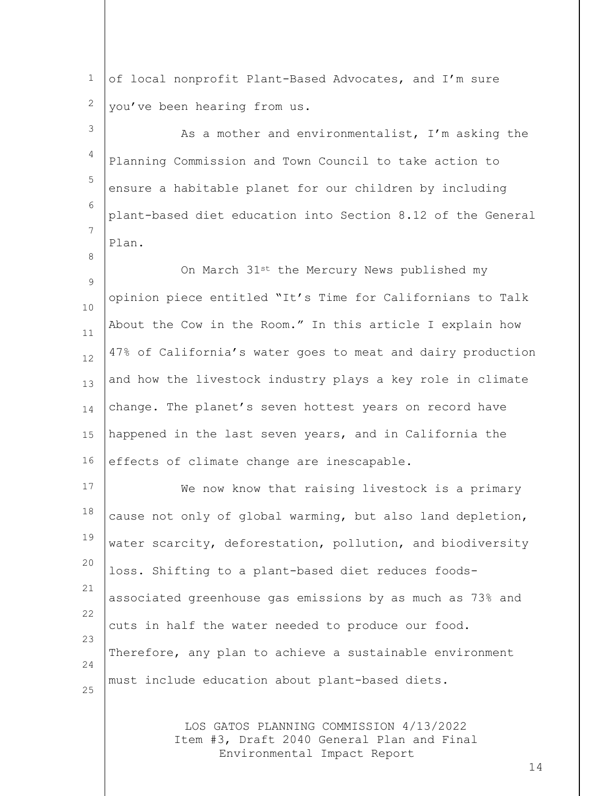1 2 of local nonprofit Plant-Based Advocates, and I'm sure you've been hearing from us.

8

3 4 5 6 7 As a mother and environmentalist, I'm asking the Planning Commission and Town Council to take action to ensure a habitable planet for our children by including plant-based diet education into Section 8.12 of the General Plan.

9 10 11 12 13 14 15 16 On March 31st the Mercury News published my opinion piece entitled "It's Time for Californians to Talk About the Cow in the Room." In this article I explain how 47% of California's water goes to meat and dairy production and how the livestock industry plays a key role in climate change. The planet's seven hottest years on record have happened in the last seven years, and in California the effects of climate change are inescapable.

17 18 19 20 21 22 23 24 25 We now know that raising livestock is a primary cause not only of global warming, but also land depletion, water scarcity, deforestation, pollution, and biodiversity loss. Shifting to a plant-based diet reduces foodsassociated greenhouse gas emissions by as much as 73% and cuts in half the water needed to produce our food. Therefore, any plan to achieve a sustainable environment must include education about plant-based diets.

> LOS GATOS PLANNING COMMISSION 4/13/2022 Item #3, Draft 2040 General Plan and Final Environmental Impact Report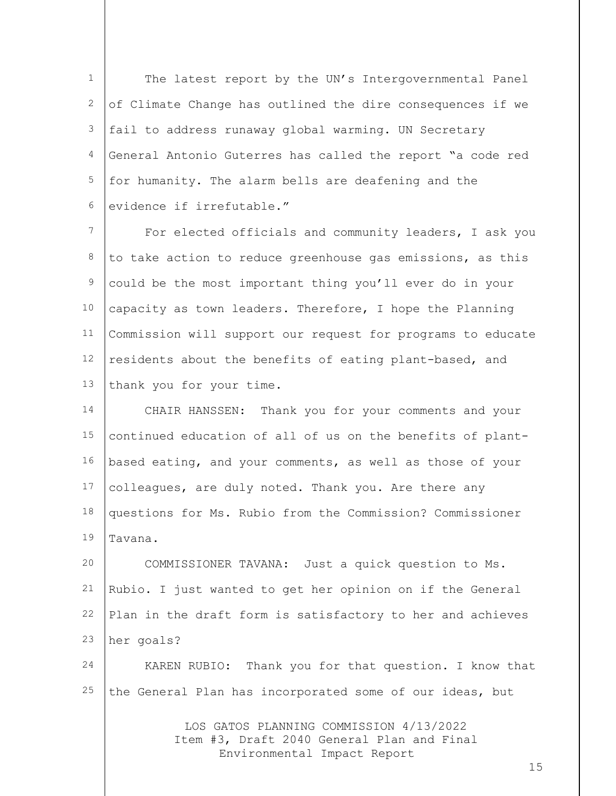1 2 3 4 5 6 The latest report by the UN's Intergovernmental Panel of Climate Change has outlined the dire consequences if we fail to address runaway global warming. UN Secretary General Antonio Guterres has called the report "a code red for humanity. The alarm bells are deafening and the evidence if irrefutable."

7 8 9 10 11 12 13 For elected officials and community leaders, I ask you to take action to reduce greenhouse gas emissions, as this could be the most important thing you'll ever do in your capacity as town leaders. Therefore, I hope the Planning Commission will support our request for programs to educate residents about the benefits of eating plant-based, and thank you for your time.

14 15 16 17 18 19 CHAIR HANSSEN: Thank you for your comments and your continued education of all of us on the benefits of plantbased eating, and your comments, as well as those of your colleagues, are duly noted. Thank you. Are there any questions for Ms. Rubio from the Commission? Commissioner Tavana.

20 21 22 23 COMMISSIONER TAVANA: Just a quick question to Ms. Rubio. I just wanted to get her opinion on if the General Plan in the draft form is satisfactory to her and achieves her goals?

24 25 KAREN RUBIO: Thank you for that question. I know that the General Plan has incorporated some of our ideas, but

> LOS GATOS PLANNING COMMISSION 4/13/2022 Item #3, Draft 2040 General Plan and Final Environmental Impact Report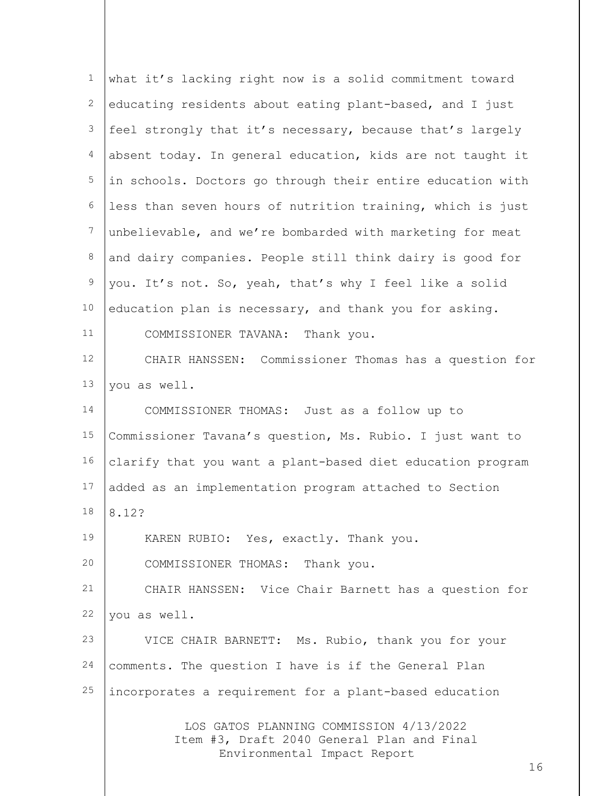| $\mathbf{1}$     | what it's lacking right now is a solid commitment toward                                                                   |
|------------------|----------------------------------------------------------------------------------------------------------------------------|
| 2                | educating residents about eating plant-based, and I just                                                                   |
| $\mathfrak{Z}$   | feel strongly that it's necessary, because that's largely                                                                  |
| 4                | absent today. In general education, kids are not taught it                                                                 |
| $\mathsf S$      | in schools. Doctors go through their entire education with                                                                 |
| $\sqrt{6}$       | less than seven hours of nutrition training, which is just                                                                 |
| $\boldsymbol{7}$ | unbelievable, and we're bombarded with marketing for meat                                                                  |
| $\,8\,$          | and dairy companies. People still think dairy is good for                                                                  |
| $\mathsf 9$      | you. It's not. So, yeah, that's why I feel like a solid                                                                    |
| 10               | education plan is necessary, and thank you for asking.                                                                     |
| 11               | COMMISSIONER TAVANA: Thank you.                                                                                            |
| 12               | CHAIR HANSSEN: Commissioner Thomas has a question for                                                                      |
| 13               | you as well.                                                                                                               |
| 14               | COMMISSIONER THOMAS: Just as a follow up to                                                                                |
| 15               | Commissioner Tavana's question, Ms. Rubio. I just want to                                                                  |
| 16               | clarify that you want a plant-based diet education program                                                                 |
| 17               | added as an implementation program attached to Section                                                                     |
| 18               | 8.12?                                                                                                                      |
| 19               | KAREN RUBIO: Yes, exactly. Thank you.                                                                                      |
| 20               | COMMISSIONER THOMAS: Thank you.                                                                                            |
| 21               | CHAIR HANSSEN: Vice Chair Barnett has a question for                                                                       |
| 22               | you as well.                                                                                                               |
| 23               | VICE CHAIR BARNETT: Ms. Rubio, thank you for your                                                                          |
| 24               | comments. The question I have is if the General Plan                                                                       |
| 25               | incorporates a requirement for a plant-based education                                                                     |
|                  | LOS GATOS PLANNING COMMISSION 4/13/2022<br>Item #3, Draft 2040 General Plan and Final<br>Environmental Impact Report<br>16 |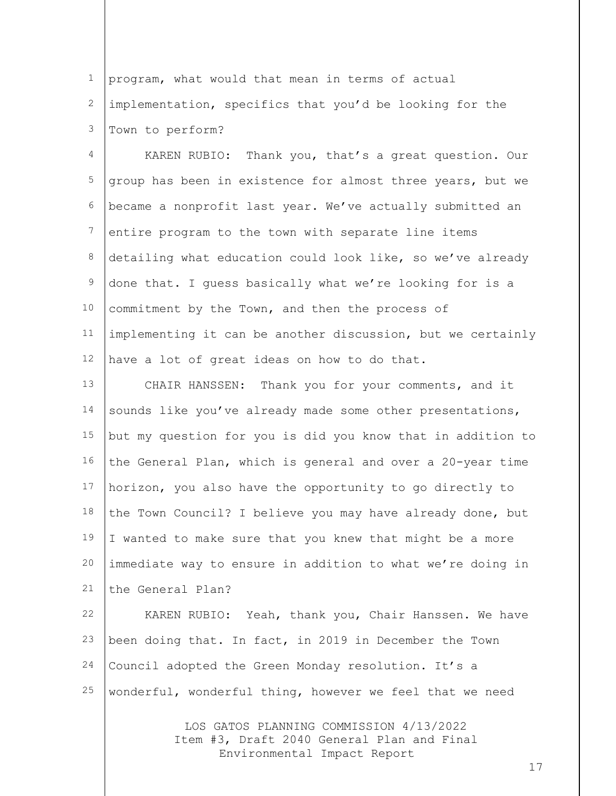1 2 3 program, what would that mean in terms of actual implementation, specifics that you'd be looking for the Town to perform?

4 5 6 7 8 9 10 11 12 KAREN RUBIO: Thank you, that's a great question. Our group has been in existence for almost three years, but we became a nonprofit last year. We've actually submitted an entire program to the town with separate line items detailing what education could look like, so we've already done that. I guess basically what we're looking for is a commitment by the Town, and then the process of implementing it can be another discussion, but we certainly have a lot of great ideas on how to do that.

13 14 15 16 17 18 19 20 21 CHAIR HANSSEN: Thank you for your comments, and it sounds like you've already made some other presentations, but my question for you is did you know that in addition to the General Plan, which is general and over a 20-year time horizon, you also have the opportunity to go directly to the Town Council? I believe you may have already done, but I wanted to make sure that you knew that might be a more immediate way to ensure in addition to what we're doing in the General Plan?

22 23 24 25 KAREN RUBIO: Yeah, thank you, Chair Hanssen. We have been doing that. In fact, in 2019 in December the Town Council adopted the Green Monday resolution. It's a wonderful, wonderful thing, however we feel that we need

> LOS GATOS PLANNING COMMISSION 4/13/2022 Item #3, Draft 2040 General Plan and Final Environmental Impact Report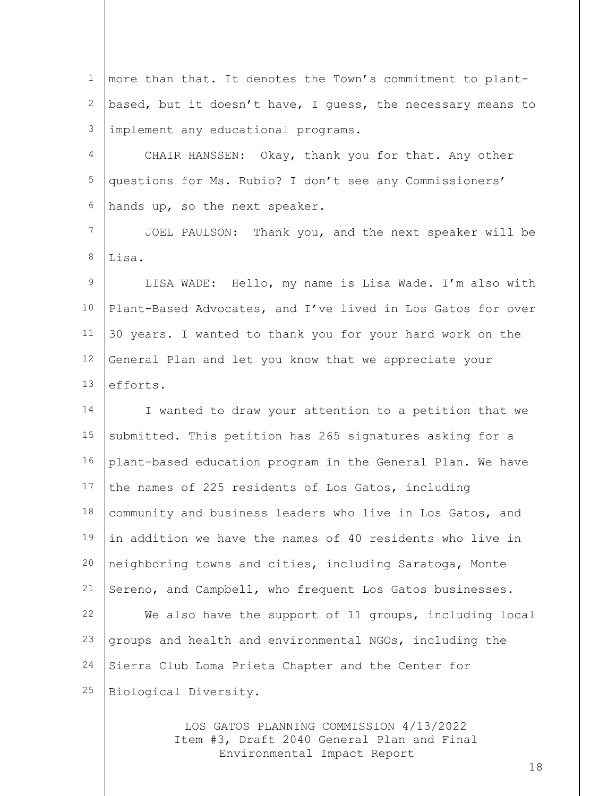| $\mathbf{1}$ | more than that. It denotes the Town's commitment to plant-  |
|--------------|-------------------------------------------------------------|
| 2            | based, but it doesn't have, I guess, the necessary means to |
| 3            | implement any educational programs.                         |
| 4            | CHAIR HANSSEN: Okay, thank you for that. Any other          |
| 5            | questions for Ms. Rubio? I don't see any Commissioners'     |
| 6            | hands up, so the next speaker.                              |
| 7            | JOEL PAULSON: Thank you, and the next speaker will be       |
| 8            | Lisa.                                                       |
| 9            | LISA WADE: Hello, my name is Lisa Wade. I'm also with       |
| 10           | Plant-Based Advocates, and I've lived in Los Gatos for over |
| 11           | 30 years. I wanted to thank you for your hard work on the   |
| 12           | General Plan and let you know that we appreciate your       |
| 13           | efforts.                                                    |
| 14           | I wanted to draw your attention to a petition that we       |
| 15           | submitted. This petition has 265 signatures asking for a    |
| 16           | plant-based education program in the General Plan. We have  |
| 17           | the names of 225 residents of Los Gatos, including          |
| 18           | community and business leaders who live in Los Gatos, and   |
| 19           | in addition we have the names of 40 residents who live in   |
| 20           | neighboring towns and cities, including Saratoga, Monte     |
| 21           | Sereno, and Campbell, who frequent Los Gatos businesses.    |
| 22           | We also have the support of 11 groups, including local      |
| 23           | groups and health and environmental NGOs, including the     |
| 24           | Sierra Club Loma Prieta Chapter and the Center for          |
| 25           | Biological Diversity.                                       |
|              |                                                             |

LOS GATOS PLANNING COMMISSION 4/13/2022 Item #3, Draft 2040 General Plan and Final Environmental Impact Report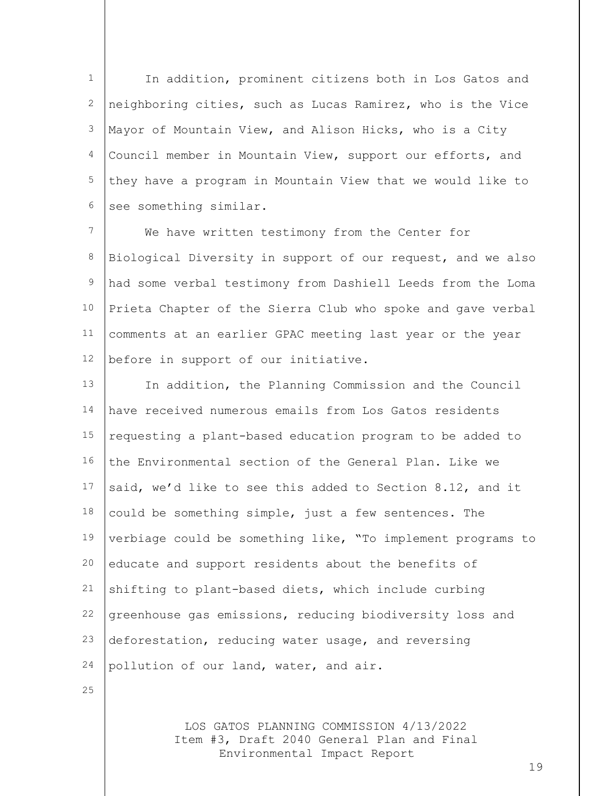1 2 3 4 5 6 In addition, prominent citizens both in Los Gatos and neighboring cities, such as Lucas Ramirez, who is the Vice Mayor of Mountain View, and Alison Hicks, who is a City Council member in Mountain View, support our efforts, and they have a program in Mountain View that we would like to see something similar.

7 8 9 10 11 12 We have written testimony from the Center for Biological Diversity in support of our request, and we also had some verbal testimony from Dashiell Leeds from the Loma Prieta Chapter of the Sierra Club who spoke and gave verbal comments at an earlier GPAC meeting last year or the year before in support of our initiative.

13 14 15 16 17 18 19 20 21 22 23 24 In addition, the Planning Commission and the Council have received numerous emails from Los Gatos residents requesting a plant-based education program to be added to the Environmental section of the General Plan. Like we said, we'd like to see this added to Section 8.12, and it could be something simple, just a few sentences. The verbiage could be something like, "To implement programs to educate and support residents about the benefits of shifting to plant-based diets, which include curbing greenhouse gas emissions, reducing biodiversity loss and deforestation, reducing water usage, and reversing pollution of our land, water, and air.

25

LOS GATOS PLANNING COMMISSION 4/13/2022 Item #3, Draft 2040 General Plan and Final Environmental Impact Report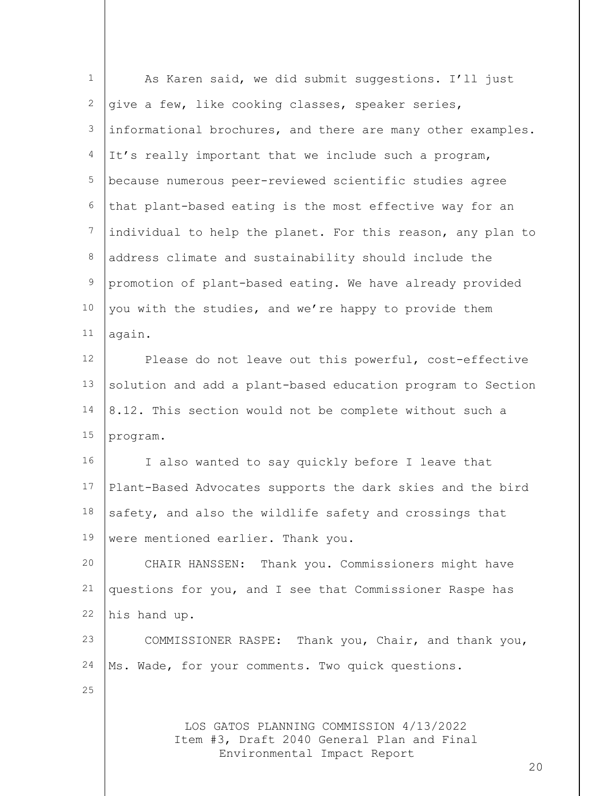| $\mathbf 1$     | As Karen said, we did submit suggestions. I'll just                                                                  |
|-----------------|----------------------------------------------------------------------------------------------------------------------|
| $\overline{c}$  | give a few, like cooking classes, speaker series,                                                                    |
| 3               | informational brochures, and there are many other examples.                                                          |
| 4               | It's really important that we include such a program,                                                                |
| 5               | because numerous peer-reviewed scientific studies agree                                                              |
| 6               | that plant-based eating is the most effective way for an                                                             |
| $7\phantom{.0}$ | individual to help the planet. For this reason, any plan to                                                          |
| 8               | address climate and sustainability should include the                                                                |
| $\mathsf 9$     | promotion of plant-based eating. We have already provided                                                            |
| 10              | you with the studies, and we're happy to provide them                                                                |
| 11              | again.                                                                                                               |
| 12              | Please do not leave out this powerful, cost-effective                                                                |
| 13              | solution and add a plant-based education program to Section                                                          |
| 14              | 8.12. This section would not be complete without such a                                                              |
| 15              | program.                                                                                                             |
| 16              | I also wanted to say quickly before I leave that                                                                     |
| 17              | Plant-Based Advocates supports the dark skies and the bird                                                           |
| 18              | safety, and also the wildlife safety and crossings that                                                              |
| 19              | were mentioned earlier. Thank you.                                                                                   |
| 20              | CHAIR HANSSEN: Thank you. Commissioners might have                                                                   |
| 21              | questions for you, and I see that Commissioner Raspe has                                                             |
| 22              | his hand up.                                                                                                         |
| 23              | COMMISSIONER RASPE: Thank you, Chair, and thank you,                                                                 |
| 24              | Ms. Wade, for your comments. Two quick questions.                                                                    |
| 25              |                                                                                                                      |
|                 | LOS GATOS PLANNING COMMISSION 4/13/2022<br>Item #3, Draft 2040 General Plan and Final<br>Environmental Impact Report |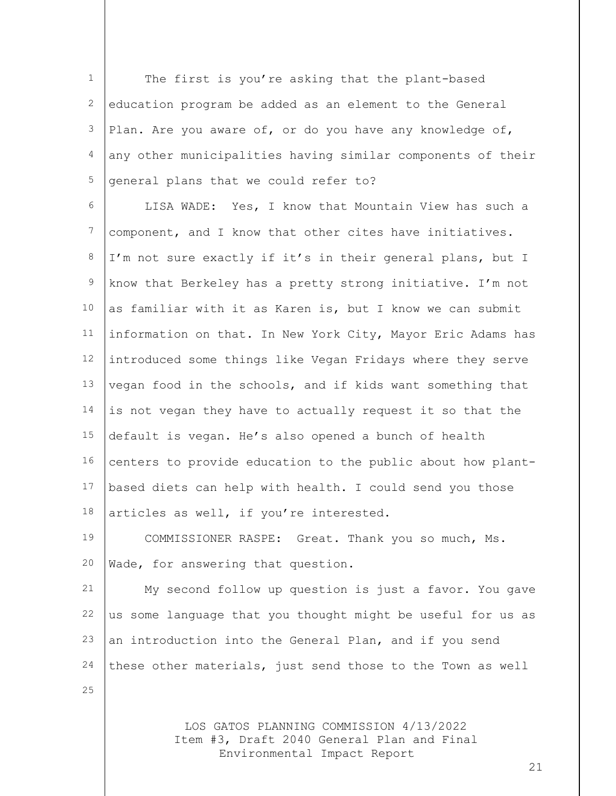1 2 3 4 5 The first is you're asking that the plant-based education program be added as an element to the General Plan. Are you aware of, or do you have any knowledge of, any other municipalities having similar components of their general plans that we could refer to?

6 7 8 9 10 11 12 13 14 15 16 17 18 LISA WADE: Yes, I know that Mountain View has such a component, and I know that other cites have initiatives. I'm not sure exactly if it's in their general plans, but I know that Berkeley has a pretty strong initiative. I'm not as familiar with it as Karen is, but I know we can submit information on that. In New York City, Mayor Eric Adams has introduced some things like Vegan Fridays where they serve vegan food in the schools, and if kids want something that is not vegan they have to actually request it so that the default is vegan. He's also opened a bunch of health centers to provide education to the public about how plantbased diets can help with health. I could send you those articles as well, if you're interested.

19 20 COMMISSIONER RASPE: Great. Thank you so much, Ms. Wade, for answering that question.

21 22 23 24 My second follow up question is just a favor. You gave us some language that you thought might be useful for us as an introduction into the General Plan, and if you send these other materials, just send those to the Town as well

25

LOS GATOS PLANNING COMMISSION 4/13/2022 Item #3, Draft 2040 General Plan and Final Environmental Impact Report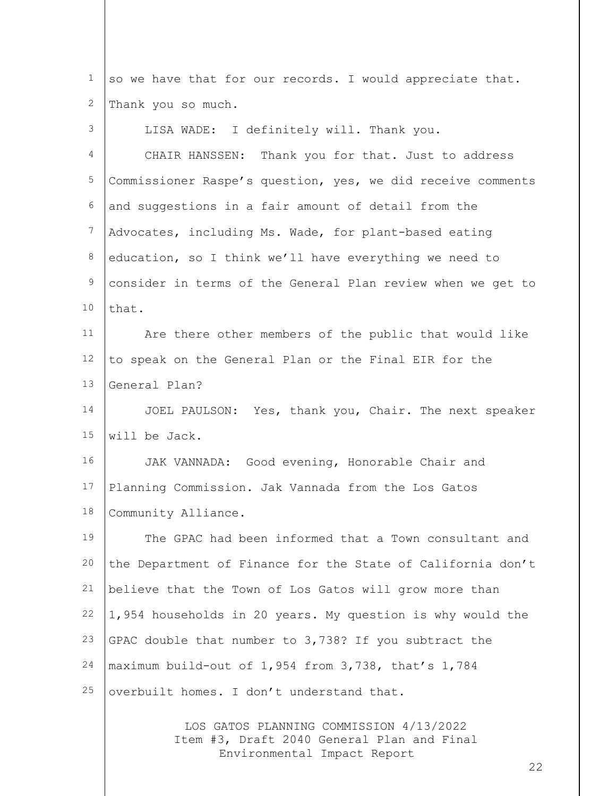1 2 3 4 5 6 7 8 9 10 11 12 13 14 15 16 17 18 19 20 21 22 23 24 25 so we have that for our records. I would appreciate that. Thank you so much. LISA WADE: I definitely will. Thank you. CHAIR HANSSEN: Thank you for that. Just to address Commissioner Raspe's question, yes, we did receive comments and suggestions in a fair amount of detail from the Advocates, including Ms. Wade, for plant-based eating education, so I think we'll have everything we need to consider in terms of the General Plan review when we get to that. Are there other members of the public that would like to speak on the General Plan or the Final EIR for the General Plan? JOEL PAULSON: Yes, thank you, Chair. The next speaker will be Jack. JAK VANNADA: Good evening, Honorable Chair and Planning Commission. Jak Vannada from the Los Gatos Community Alliance. The GPAC had been informed that a Town consultant and the Department of Finance for the State of California don't believe that the Town of Los Gatos will grow more than 1,954 households in 20 years. My question is why would the GPAC double that number to 3,738? If you subtract the maximum build-out of 1,954 from 3,738, that's 1,784 overbuilt homes. I don't understand that.

LOS GATOS PLANNING COMMISSION 4/13/2022 Item #3, Draft 2040 General Plan and Final Environmental Impact Report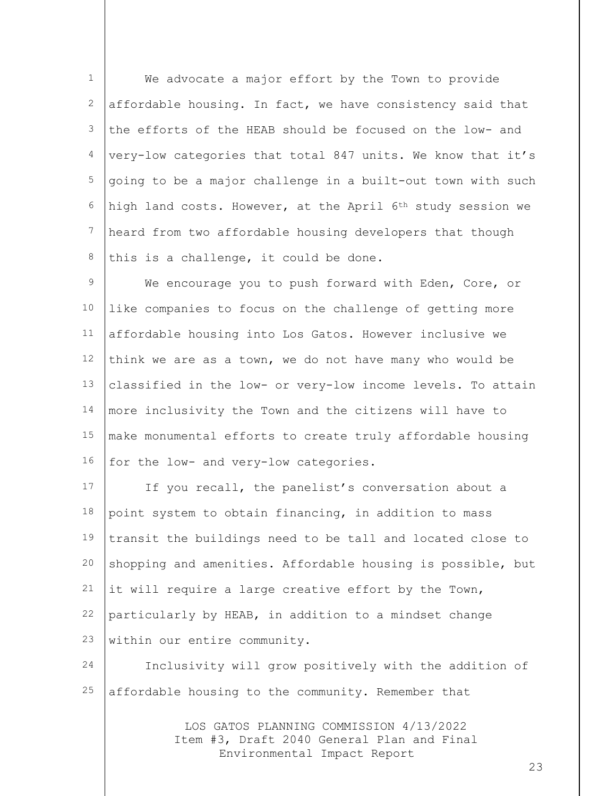1 2 3 4 5 6 7 8 We advocate a major effort by the Town to provide affordable housing. In fact, we have consistency said that the efforts of the HEAB should be focused on the low- and very-low categories that total 847 units. We know that it's going to be a major challenge in a built-out town with such high land costs. However, at the April 6th study session we heard from two affordable housing developers that though this is a challenge, it could be done.

9 10 11 12 13 14 15 16 We encourage you to push forward with Eden, Core, or like companies to focus on the challenge of getting more affordable housing into Los Gatos. However inclusive we think we are as a town, we do not have many who would be classified in the low- or very-low income levels. To attain more inclusivity the Town and the citizens will have to make monumental efforts to create truly affordable housing for the low- and very-low categories.

17 18 19 20 21 22 23 If you recall, the panelist's conversation about a point system to obtain financing, in addition to mass transit the buildings need to be tall and located close to shopping and amenities. Affordable housing is possible, but it will require a large creative effort by the Town, particularly by HEAB, in addition to a mindset change within our entire community.

24 25 Inclusivity will grow positively with the addition of affordable housing to the community. Remember that

> LOS GATOS PLANNING COMMISSION 4/13/2022 Item #3, Draft 2040 General Plan and Final Environmental Impact Report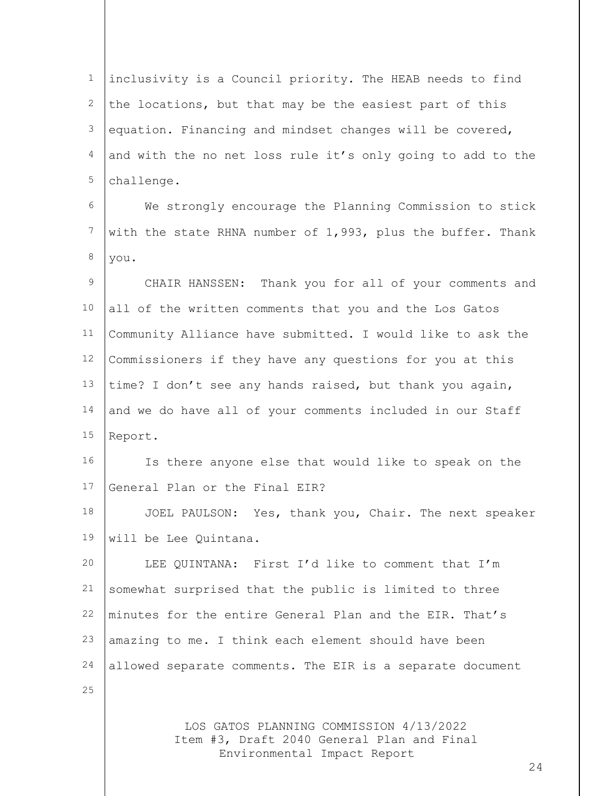1 2 3 4 5 inclusivity is a Council priority. The HEAB needs to find the locations, but that may be the easiest part of this equation. Financing and mindset changes will be covered, and with the no net loss rule it's only going to add to the challenge.

6 7 8 We strongly encourage the Planning Commission to stick with the state RHNA number of 1,993, plus the buffer. Thank you.

9 10 11 12 13 14 15 CHAIR HANSSEN: Thank you for all of your comments and all of the written comments that you and the Los Gatos Community Alliance have submitted. I would like to ask the Commissioners if they have any questions for you at this time? I don't see any hands raised, but thank you again, and we do have all of your comments included in our Staff Report.

16 17 Is there anyone else that would like to speak on the General Plan or the Final EIR?

18 19 JOEL PAULSON: Yes, thank you, Chair. The next speaker will be Lee Quintana.

20 21 22 23 24 LEE QUINTANA: First I'd like to comment that I'm somewhat surprised that the public is limited to three minutes for the entire General Plan and the EIR. That's amazing to me. I think each element should have been allowed separate comments. The EIR is a separate document

25

LOS GATOS PLANNING COMMISSION 4/13/2022 Item #3, Draft 2040 General Plan and Final Environmental Impact Report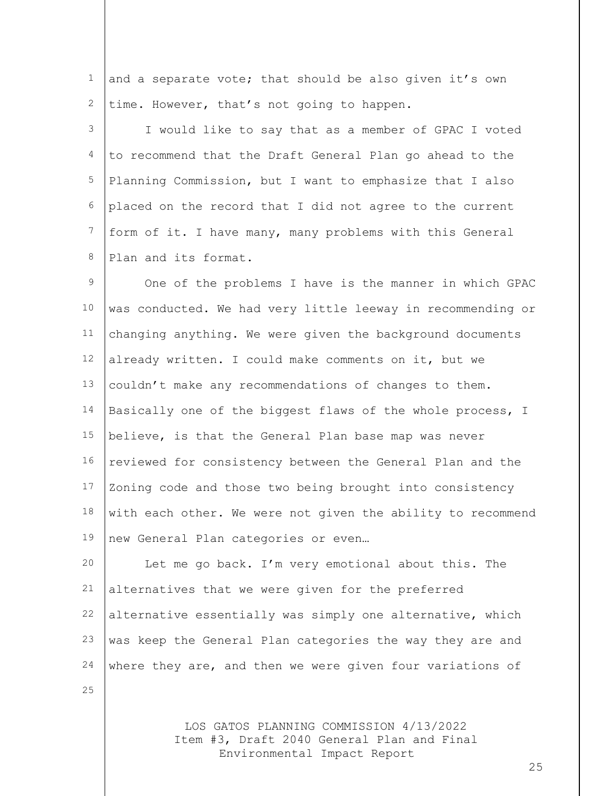1 2 and a separate vote; that should be also given it's own time. However, that's not going to happen.

3 4 5 6 7 8 I would like to say that as a member of GPAC I voted to recommend that the Draft General Plan go ahead to the Planning Commission, but I want to emphasize that I also placed on the record that I did not agree to the current form of it. I have many, many problems with this General Plan and its format.

9 10 11 12 13 14 15 16 17 18 19 One of the problems I have is the manner in which GPAC was conducted. We had very little leeway in recommending or changing anything. We were given the background documents already written. I could make comments on it, but we couldn't make any recommendations of changes to them. Basically one of the biggest flaws of the whole process, I believe, is that the General Plan base map was never reviewed for consistency between the General Plan and the Zoning code and those two being brought into consistency with each other. We were not given the ability to recommend new General Plan categories or even…

20 21 22 23 24 Let me go back. I'm very emotional about this. The alternatives that we were given for the preferred alternative essentially was simply one alternative, which was keep the General Plan categories the way they are and where they are, and then we were given four variations of

25

LOS GATOS PLANNING COMMISSION 4/13/2022 Item #3, Draft 2040 General Plan and Final Environmental Impact Report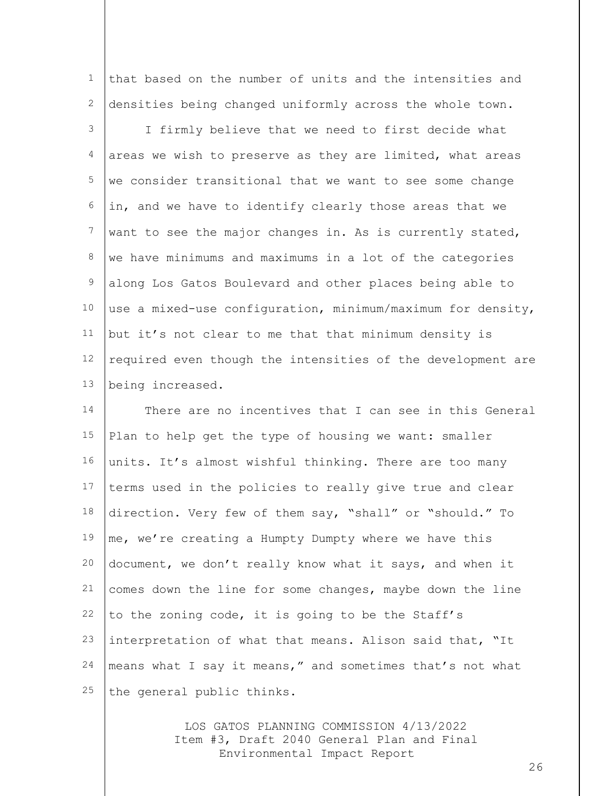that based on the number of units and the intensities and densities being changed uniformly across the whole town.

1

2

3 4 5 6 7 8 9 10 11 12 13 I firmly believe that we need to first decide what areas we wish to preserve as they are limited, what areas we consider transitional that we want to see some change in, and we have to identify clearly those areas that we want to see the major changes in. As is currently stated, we have minimums and maximums in a lot of the categories along Los Gatos Boulevard and other places being able to use a mixed-use configuration, minimum/maximum for density, but it's not clear to me that that minimum density is required even though the intensities of the development are being increased.

14 15 16 17 18 19 20 21 22 23 24 25 There are no incentives that I can see in this General Plan to help get the type of housing we want: smaller units. It's almost wishful thinking. There are too many terms used in the policies to really give true and clear direction. Very few of them say, "shall" or "should." To me, we're creating a Humpty Dumpty where we have this document, we don't really know what it says, and when it comes down the line for some changes, maybe down the line to the zoning code, it is going to be the Staff's interpretation of what that means. Alison said that, "It means what I say it means," and sometimes that's not what the general public thinks.

> LOS GATOS PLANNING COMMISSION 4/13/2022 Item #3, Draft 2040 General Plan and Final Environmental Impact Report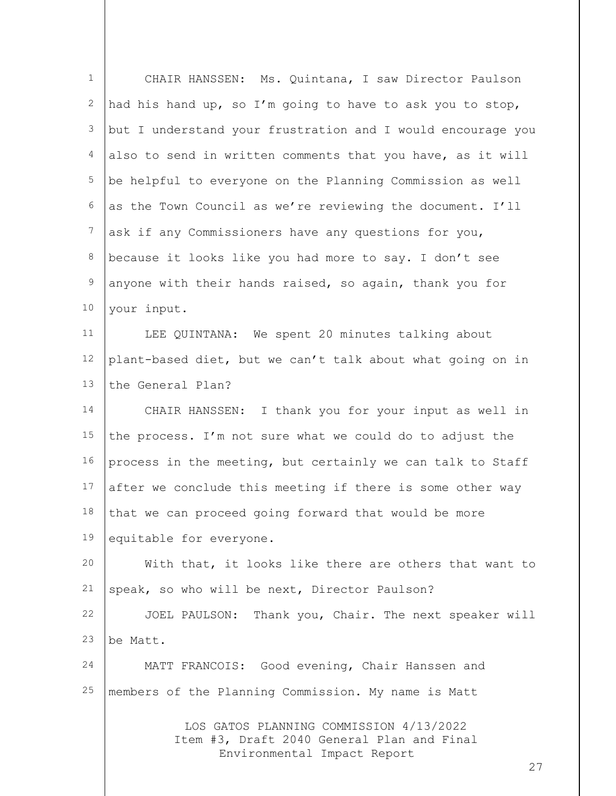| $\mathbf 1$  | CHAIR HANSSEN: Ms. Quintana, I saw Director Paulson                                                                        |
|--------------|----------------------------------------------------------------------------------------------------------------------------|
| $\mathbf{2}$ | had his hand up, so I'm going to have to ask you to stop,                                                                  |
| 3            | but I understand your frustration and I would encourage you                                                                |
| 4            | also to send in written comments that you have, as it will                                                                 |
| 5            | be helpful to everyone on the Planning Commission as well                                                                  |
| 6            | as the Town Council as we're reviewing the document. I'll                                                                  |
| 7            | ask if any Commissioners have any questions for you,                                                                       |
| 8            | because it looks like you had more to say. I don't see                                                                     |
| $\mathsf 9$  | anyone with their hands raised, so again, thank you for                                                                    |
| 10           | your input.                                                                                                                |
| 11           | LEE QUINTANA: We spent 20 minutes talking about                                                                            |
| 12           | plant-based diet, but we can't talk about what going on in                                                                 |
| 13           | the General Plan?                                                                                                          |
| 14           | CHAIR HANSSEN: I thank you for your input as well in                                                                       |
| 15           | the process. I'm not sure what we could do to adjust the                                                                   |
| 16           | process in the meeting, but certainly we can talk to Staff                                                                 |
| 17           | after we conclude this meeting if there is some other way                                                                  |
| 18           | that we can proceed going forward that would be more                                                                       |
| 19           | equitable for everyone.                                                                                                    |
| 20           | With that, it looks like there are others that want to                                                                     |
| 21           | speak, so who will be next, Director Paulson?                                                                              |
| 22           | JOEL PAULSON: Thank you, Chair. The next speaker will                                                                      |
| 23           | be Matt.                                                                                                                   |
| 24           | MATT FRANCOIS: Good evening, Chair Hanssen and                                                                             |
| 25           | members of the Planning Commission. My name is Matt                                                                        |
|              | LOS GATOS PLANNING COMMISSION 4/13/2022<br>Item #3, Draft 2040 General Plan and Final<br>Environmental Impact Report<br>27 |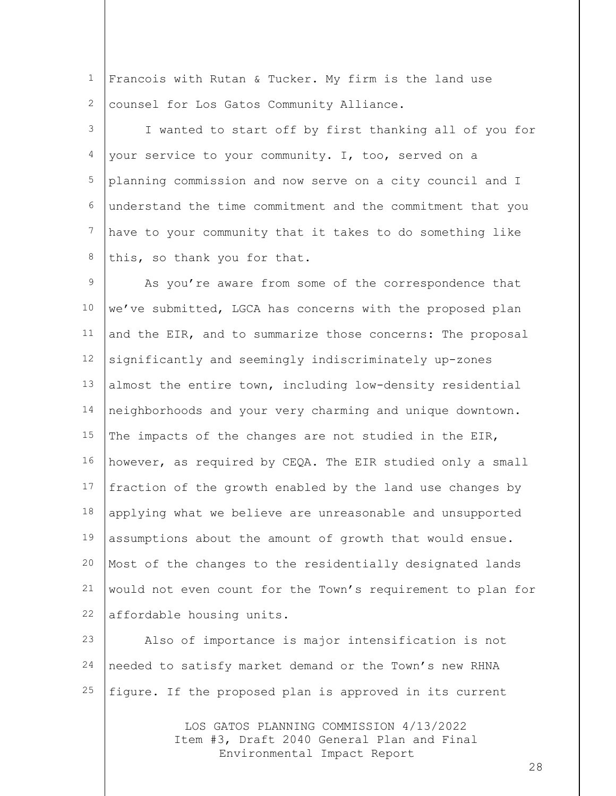1 2 Francois with Rutan & Tucker. My firm is the land use counsel for Los Gatos Community Alliance.

3 4 5 6 7 8 I wanted to start off by first thanking all of you for your service to your community. I, too, served on a planning commission and now serve on a city council and I understand the time commitment and the commitment that you have to your community that it takes to do something like this, so thank you for that.

9 10 11 12 13 14 15 16 17 18 19 20 21 22 As you're aware from some of the correspondence that we've submitted, LGCA has concerns with the proposed plan and the EIR, and to summarize those concerns: The proposal significantly and seemingly indiscriminately up-zones almost the entire town, including low-density residential neighborhoods and your very charming and unique downtown. The impacts of the changes are not studied in the EIR, however, as required by CEQA. The EIR studied only a small fraction of the growth enabled by the land use changes by applying what we believe are unreasonable and unsupported assumptions about the amount of growth that would ensue. Most of the changes to the residentially designated lands would not even count for the Town's requirement to plan for affordable housing units.

23 24 25 Also of importance is major intensification is not needed to satisfy market demand or the Town's new RHNA figure. If the proposed plan is approved in its current

> LOS GATOS PLANNING COMMISSION 4/13/2022 Item #3, Draft 2040 General Plan and Final Environmental Impact Report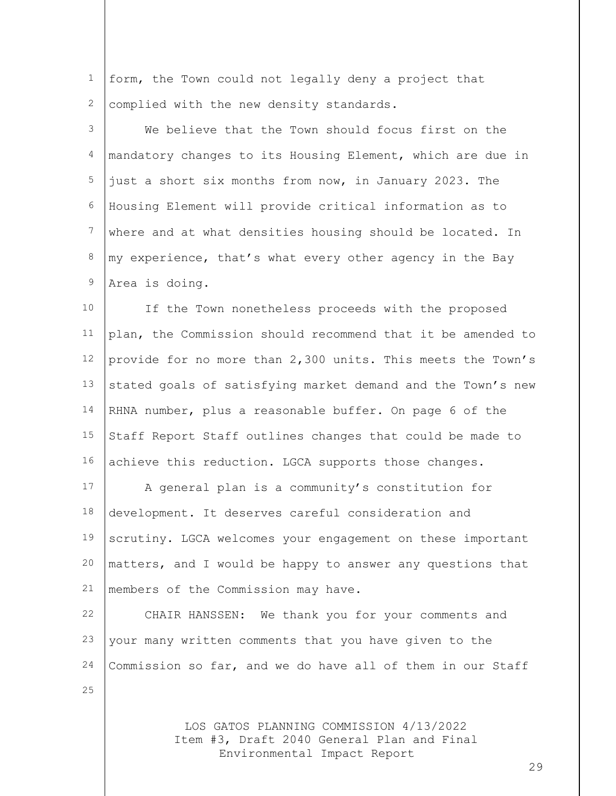1 2 form, the Town could not legally deny a project that complied with the new density standards.

3 4 5 6 7 8 9 We believe that the Town should focus first on the mandatory changes to its Housing Element, which are due in just a short six months from now, in January 2023. The Housing Element will provide critical information as to where and at what densities housing should be located. In my experience, that's what every other agency in the Bay Area is doing.

10 11 12 13 14 15 16 If the Town nonetheless proceeds with the proposed plan, the Commission should recommend that it be amended to provide for no more than 2,300 units. This meets the Town's stated goals of satisfying market demand and the Town's new RHNA number, plus a reasonable buffer. On page 6 of the Staff Report Staff outlines changes that could be made to achieve this reduction. LGCA supports those changes.

17 18 19 20 21 A general plan is a community's constitution for development. It deserves careful consideration and scrutiny. LGCA welcomes your engagement on these important matters, and I would be happy to answer any questions that members of the Commission may have.

22 23 24 CHAIR HANSSEN: We thank you for your comments and your many written comments that you have given to the Commission so far, and we do have all of them in our Staff

25

LOS GATOS PLANNING COMMISSION 4/13/2022 Item #3, Draft 2040 General Plan and Final Environmental Impact Report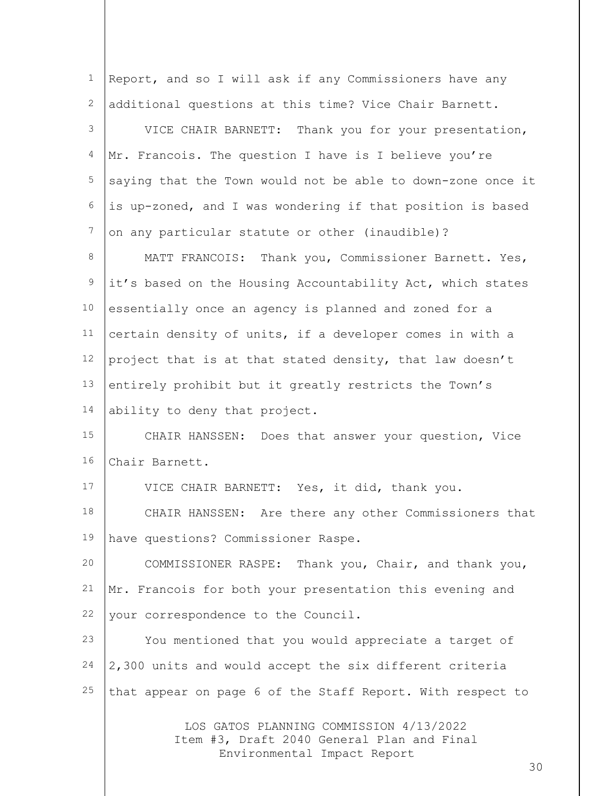| $\mathbf 1$ | Report, and so I will ask if any Commissioners have any                               |
|-------------|---------------------------------------------------------------------------------------|
| 2           | additional questions at this time? Vice Chair Barnett.                                |
| 3           | VICE CHAIR BARNETT: Thank you for your presentation,                                  |
| 4           | Mr. Francois. The question I have is I believe you're                                 |
| 5           | saying that the Town would not be able to down-zone once it                           |
| 6           | is up-zoned, and I was wondering if that position is based                            |
| 7           | on any particular statute or other (inaudible)?                                       |
| 8           | MATT FRANCOIS: Thank you, Commissioner Barnett. Yes,                                  |
| 9           | it's based on the Housing Accountability Act, which states                            |
| 10          | essentially once an agency is planned and zoned for a                                 |
| 11          | certain density of units, if a developer comes in with a                              |
| 12          | project that is at that stated density, that law doesn't                              |
| 13          | entirely prohibit but it greatly restricts the Town's                                 |
| 14          | ability to deny that project.                                                         |
| 15          | CHAIR HANSSEN: Does that answer your question, Vice                                   |
| 16          | Chair Barnett.                                                                        |
| 17          | VICE CHAIR BARNETT: Yes, it did, thank you.                                           |
| 18          | Are there any other Commissioners that<br>CHAIR HANSSEN:                              |
| 19          | have questions? Commissioner Raspe.                                                   |
| 20          | COMMISSIONER RASPE: Thank you, Chair, and thank you,                                  |
| 21          | Mr. Francois for both your presentation this evening and                              |
| 22          | your correspondence to the Council.                                                   |
| 23          | You mentioned that you would appreciate a target of                                   |
| 24          | 2,300 units and would accept the six different criteria                               |
| 25          | that appear on page 6 of the Staff Report. With respect to                            |
|             | LOS GATOS PLANNING COMMISSION 4/13/2022<br>Item #3, Draft 2040 General Plan and Final |

Environmental Impact Report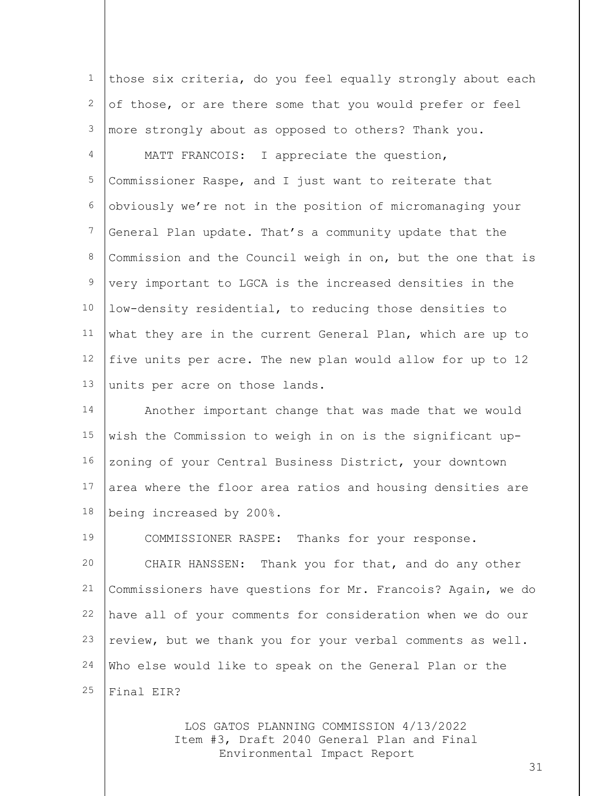1 2 3 4 5 6 7 8 9 10 11 12 13 14 those six criteria, do you feel equally strongly about each of those, or are there some that you would prefer or feel more strongly about as opposed to others? Thank you. MATT FRANCOIS: I appreciate the question, Commissioner Raspe, and I just want to reiterate that obviously we're not in the position of micromanaging your General Plan update. That's a community update that the Commission and the Council weigh in on, but the one that is very important to LGCA is the increased densities in the low-density residential, to reducing those densities to what they are in the current General Plan, which are up to five units per acre. The new plan would allow for up to 12 units per acre on those lands. Another important change that was made that we would

15 16 17 18 wish the Commission to weigh in on is the significant upzoning of your Central Business District, your downtown area where the floor area ratios and housing densities are being increased by 200%.

19 20 21 22 23 24 25 COMMISSIONER RASPE: Thanks for your response. CHAIR HANSSEN: Thank you for that, and do any other Commissioners have questions for Mr. Francois? Again, we do have all of your comments for consideration when we do our review, but we thank you for your verbal comments as well. Who else would like to speak on the General Plan or the Final EIR?

> LOS GATOS PLANNING COMMISSION 4/13/2022 Item #3, Draft 2040 General Plan and Final Environmental Impact Report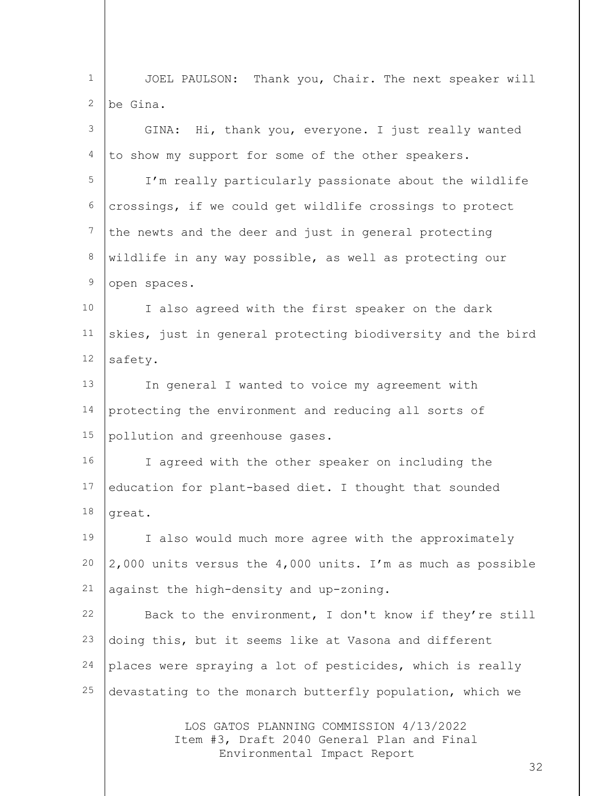1 2 JOEL PAULSON: Thank you, Chair. The next speaker will be Gina.

| 3              | GINA: Hi, thank you, everyone. I just really wanted         |
|----------------|-------------------------------------------------------------|
| 4              | to show my support for some of the other speakers.          |
| 5              | I'm really particularly passionate about the wildlife       |
| 6              | crossings, if we could get wildlife crossings to protect    |
| $\overline{7}$ | the newts and the deer and just in general protecting       |
| 8              | wildlife in any way possible, as well as protecting our     |
| $\mathsf 9$    | open spaces.                                                |
| 10             | I also agreed with the first speaker on the dark            |
| 11             | skies, just in general protecting biodiversity and the bird |
| 12             | safety.                                                     |
| 13             | In general I wanted to voice my agreement with              |
| 14             | protecting the environment and reducing all sorts of        |
| 15             | pollution and greenhouse gases.                             |
| 16             | I agreed with the other speaker on including the            |
| 17             | education for plant-based diet. I thought that sounded      |
| 18             | great.                                                      |
| 19             | I also would much more agree with the approximately         |
| 20             | 2,000 units versus the 4,000 units. I'm as much as possible |
| 21             | against the high-density and up-zoning.                     |
| 22             | Back to the environment, I don't know if they're still      |
| 23             | doing this, but it seems like at Vasona and different       |
| 24             | places were spraying a lot of pesticides, which is really   |
| 25             | devastating to the monarch butterfly population, which we   |
|                | LOS GATOS PLANNING COMMISSION 4/13/2022                     |

LOS GATOS PLANNING COMMISSION 4/13/2022 Item #3, Draft 2040 General Plan and Final Environmental Impact Report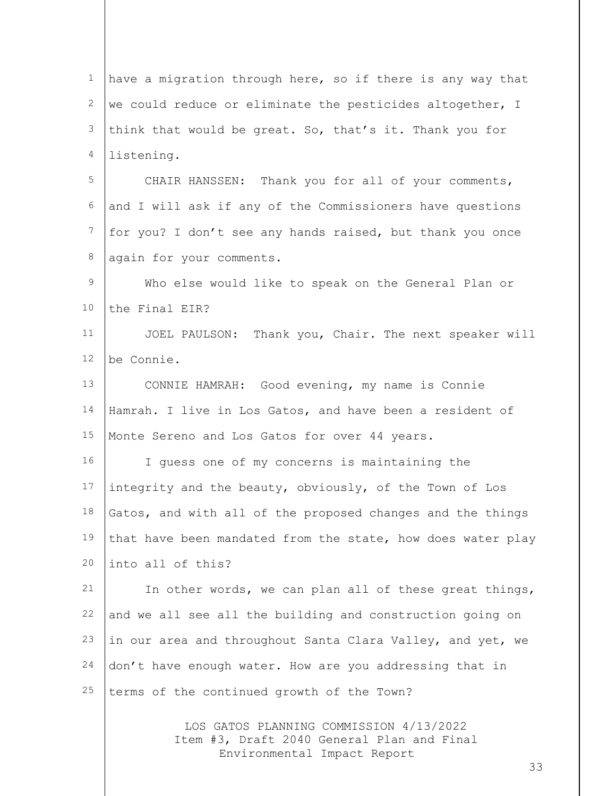LOS GATOS PLANNING COMMISSION 4/13/2022 1 2 3 4 5 6 7 8 9 10 11 12 13 14 15 16 17 18 19 20 21 22 23 24 25 have a migration through here, so if there is any way that we could reduce or eliminate the pesticides altogether, I think that would be great. So, that's it. Thank you for listening. CHAIR HANSSEN: Thank you for all of your comments, and I will ask if any of the Commissioners have questions for you? I don't see any hands raised, but thank you once again for your comments. Who else would like to speak on the General Plan or the Final EIR? JOEL PAULSON: Thank you, Chair. The next speaker will be Connie. CONNIE HAMRAH: Good evening, my name is Connie Hamrah. I live in Los Gatos, and have been a resident of Monte Sereno and Los Gatos for over 44 years. I guess one of my concerns is maintaining the integrity and the beauty, obviously, of the Town of Los Gatos, and with all of the proposed changes and the things that have been mandated from the state, how does water play into all of this? In other words, we can plan all of these great things, and we all see all the building and construction going on in our area and throughout Santa Clara Valley, and yet, we don't have enough water. How are you addressing that in terms of the continued growth of the Town?

Item #3, Draft 2040 General Plan and Final Environmental Impact Report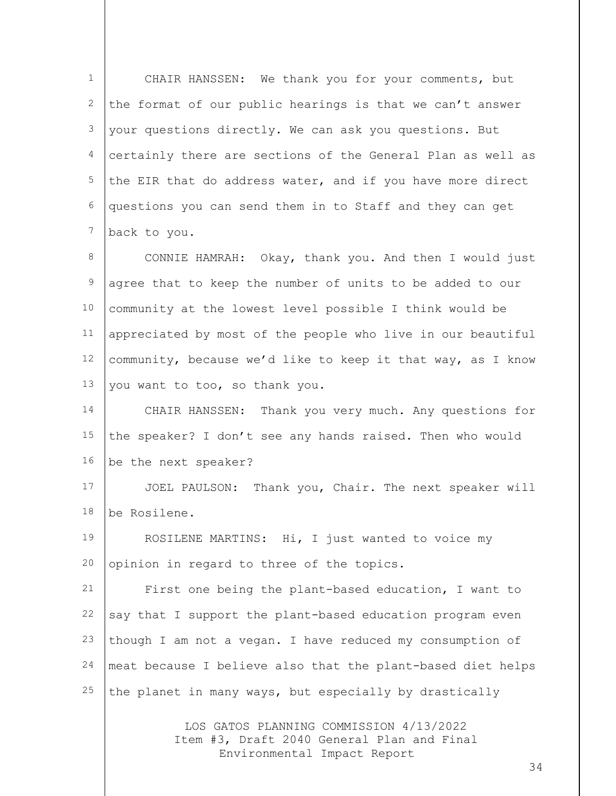| $\mathbf 1$      | CHAIR HANSSEN: We thank you for your comments, but          |
|------------------|-------------------------------------------------------------|
| 2                | the format of our public hearings is that we can't answer   |
| 3                | your questions directly. We can ask you questions. But      |
| 4                | certainly there are sections of the General Plan as well as |
| 5                | the EIR that do address water, and if you have more direct  |
| 6                | questions you can send them in to Staff and they can get    |
| $\boldsymbol{7}$ | back to you.                                                |
| 8                | CONNIE HAMRAH: Okay, thank you. And then I would just       |
| $\mathsf 9$      | agree that to keep the number of units to be added to our   |
| 10               | community at the lowest level possible I think would be     |
| 11               | appreciated by most of the people who live in our beautiful |
| 12               | community, because we'd like to keep it that way, as I know |
| 13               | you want to too, so thank you.                              |
| 14               | CHAIR HANSSEN: Thank you very much. Any questions for       |
| 15               | the speaker? I don't see any hands raised. Then who would   |
| 16               | be the next speaker?                                        |
| 17               | JOEL PAULSON: Thank you, Chair. The next speaker will       |
| 18               | be Rosilene.                                                |
| 19               | ROSILENE MARTINS: Hi, I just wanted to voice my             |
| 20               | opinion in regard to three of the topics.                   |
| 21               | First one being the plant-based education, I want to        |
| 22               | say that I support the plant-based education program even   |
| 23               | though I am not a vegan. I have reduced my consumption of   |
| 24               | meat because I believe also that the plant-based diet helps |
| 25               | the planet in many ways, but especially by drastically      |
|                  |                                                             |

LOS GATOS PLANNING COMMISSION 4/13/2022 Item #3, Draft 2040 General Plan and Final Environmental Impact Report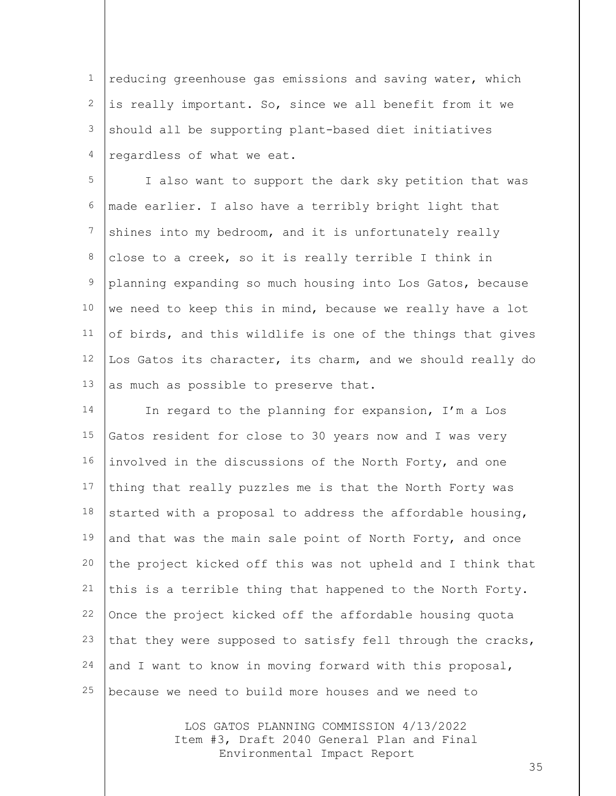1 2 3 4 reducing greenhouse gas emissions and saving water, which is really important. So, since we all benefit from it we should all be supporting plant-based diet initiatives regardless of what we eat.

5 6 7 8 9 10 11 12 13 I also want to support the dark sky petition that was made earlier. I also have a terribly bright light that shines into my bedroom, and it is unfortunately really close to a creek, so it is really terrible I think in planning expanding so much housing into Los Gatos, because we need to keep this in mind, because we really have a lot of birds, and this wildlife is one of the things that gives Los Gatos its character, its charm, and we should really do as much as possible to preserve that.

14 15 16 17 18 19 20 21 22 23 24 25 In regard to the planning for expansion, I'm a Los Gatos resident for close to 30 years now and I was very involved in the discussions of the North Forty, and one thing that really puzzles me is that the North Forty was started with a proposal to address the affordable housing, and that was the main sale point of North Forty, and once the project kicked off this was not upheld and I think that this is a terrible thing that happened to the North Forty. Once the project kicked off the affordable housing quota that they were supposed to satisfy fell through the cracks, and I want to know in moving forward with this proposal, because we need to build more houses and we need to

> LOS GATOS PLANNING COMMISSION 4/13/2022 Item #3, Draft 2040 General Plan and Final Environmental Impact Report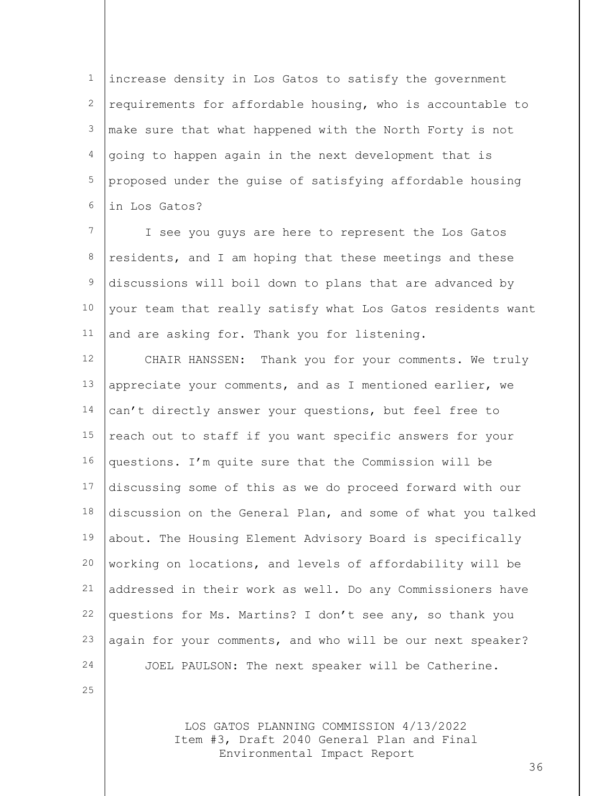1 2 3 4 5 6 increase density in Los Gatos to satisfy the government requirements for affordable housing, who is accountable to make sure that what happened with the North Forty is not going to happen again in the next development that is proposed under the guise of satisfying affordable housing in Los Gatos?

7 8 9 10 11 I see you guys are here to represent the Los Gatos residents, and I am hoping that these meetings and these discussions will boil down to plans that are advanced by your team that really satisfy what Los Gatos residents want and are asking for. Thank you for listening.

12 13 14 15 16 17 18 19 20 21 22 23 24 CHAIR HANSSEN: Thank you for your comments. We truly appreciate your comments, and as I mentioned earlier, we can't directly answer your questions, but feel free to reach out to staff if you want specific answers for your questions. I'm quite sure that the Commission will be discussing some of this as we do proceed forward with our discussion on the General Plan, and some of what you talked about. The Housing Element Advisory Board is specifically working on locations, and levels of affordability will be addressed in their work as well. Do any Commissioners have questions for Ms. Martins? I don't see any, so thank you again for your comments, and who will be our next speaker? JOEL PAULSON: The next speaker will be Catherine.

25

LOS GATOS PLANNING COMMISSION 4/13/2022 Item #3, Draft 2040 General Plan and Final Environmental Impact Report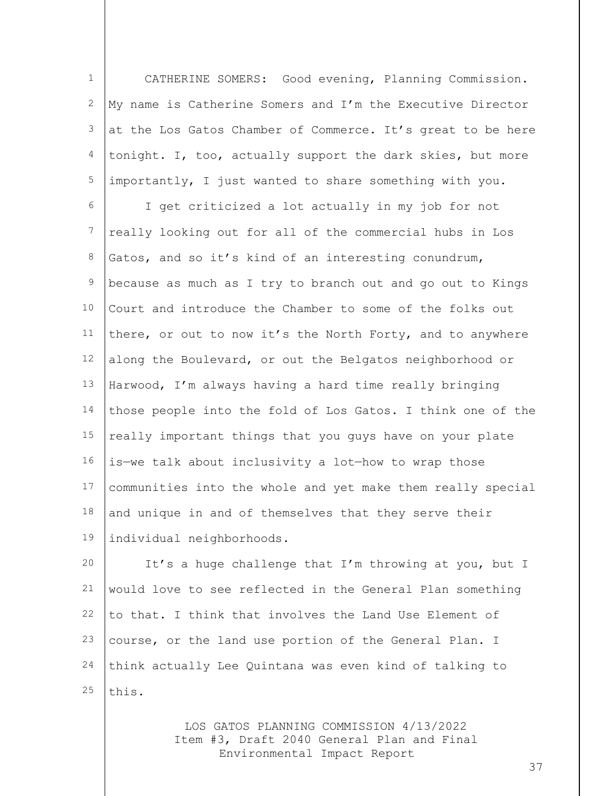1 2 3 4 5 CATHERINE SOMERS: Good evening, Planning Commission. My name is Catherine Somers and I'm the Executive Director at the Los Gatos Chamber of Commerce. It's great to be here tonight. I, too, actually support the dark skies, but more importantly, I just wanted to share something with you.

6 7 8 9 10 11 12 13 14 15 16 17 18 19 I get criticized a lot actually in my job for not really looking out for all of the commercial hubs in Los Gatos, and so it's kind of an interesting conundrum, because as much as I try to branch out and go out to Kings Court and introduce the Chamber to some of the folks out there, or out to now it's the North Forty, and to anywhere along the Boulevard, or out the Belgatos neighborhood or Harwood, I'm always having a hard time really bringing those people into the fold of Los Gatos. I think one of the really important things that you guys have on your plate is—we talk about inclusivity a lot—how to wrap those communities into the whole and yet make them really special and unique in and of themselves that they serve their individual neighborhoods.

20 21 22 23 24 25 It's a huge challenge that I'm throwing at you, but I would love to see reflected in the General Plan something to that. I think that involves the Land Use Element of course, or the land use portion of the General Plan. I think actually Lee Quintana was even kind of talking to this.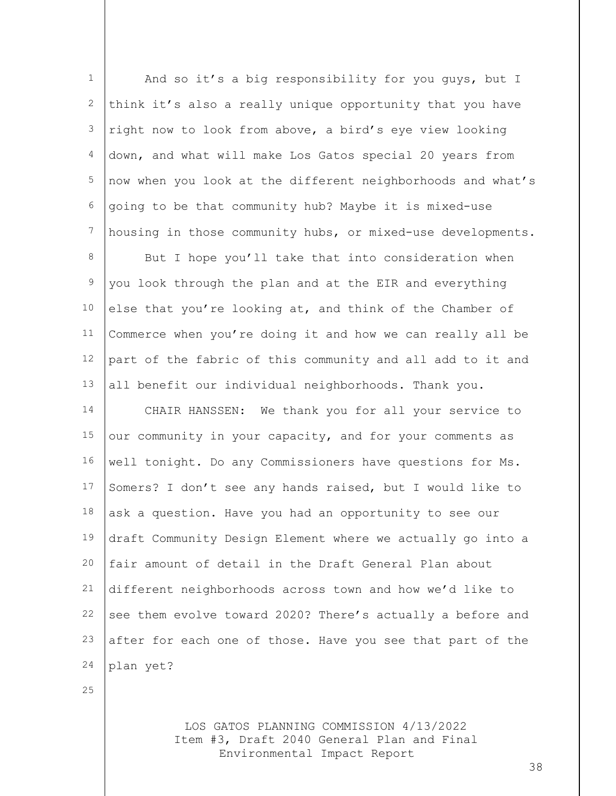| $\mathbf 1$      | And so it's a big responsibility for you guys, but I        |
|------------------|-------------------------------------------------------------|
| 2                | think it's also a really unique opportunity that you have   |
| 3                | right now to look from above, a bird's eye view looking     |
| 4                | down, and what will make Los Gatos special 20 years from    |
| 5                | now when you look at the different neighborhoods and what's |
| 6                | going to be that community hub? Maybe it is mixed-use       |
| $\boldsymbol{7}$ | housing in those community hubs, or mixed-use developments. |
| 8                | But I hope you'll take that into consideration when         |
| $\mathcal{G}$    | you look through the plan and at the EIR and everything     |
| 10               | else that you're looking at, and think of the Chamber of    |
| 11               | Commerce when you're doing it and how we can really all be  |
| 12               | part of the fabric of this community and all add to it and  |
| 13               | all benefit our individual neighborhoods. Thank you.        |
| 14               | CHAIR HANSSEN: We thank you for all your service to         |
| 15               | our community in your capacity, and for your comments as    |
| 16               | well tonight. Do any Commissioners have questions for Ms.   |
| 17               | Somers? I don't see any hands raised, but I would like to   |
| 18               | ask a question. Have you had an opportunity to see our      |
| 19               | draft Community Design Element where we actually go into a  |
| 20               | fair amount of detail in the Draft General Plan about       |
| 21               | different neighborhoods across town and how we'd like to    |
| 22               | see them evolve toward 2020? There's actually a before and  |
| 23               | after for each one of those. Have you see that part of the  |
| 24               | plan yet?                                                   |
|                  |                                                             |

25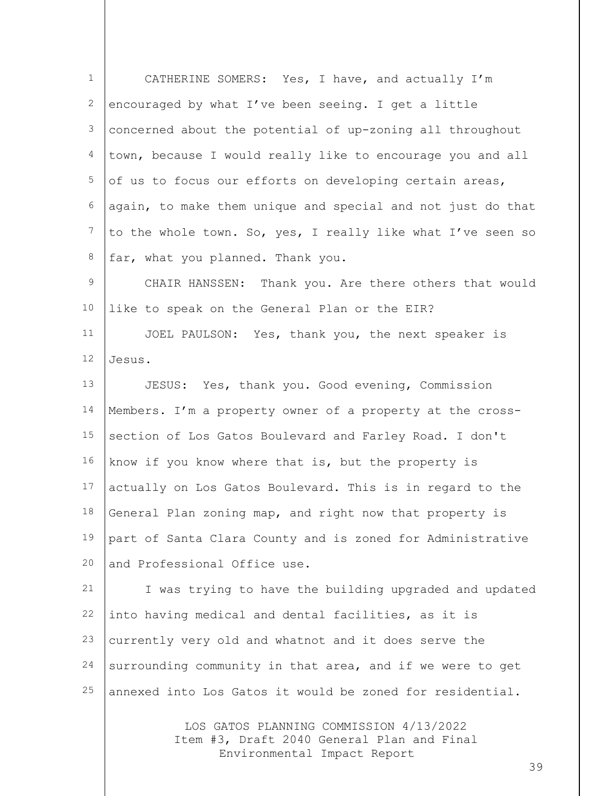| $\mathbf 1$      | CATHERINE SOMERS: Yes, I have, and actually I'm             |
|------------------|-------------------------------------------------------------|
| $\mathbf{2}$     | encouraged by what I've been seeing. I get a little         |
| 3                | concerned about the potential of up-zoning all throughout   |
| 4                | town, because I would really like to encourage you and all  |
| 5                | of us to focus our efforts on developing certain areas,     |
| 6                | again, to make them unique and special and not just do that |
| $\boldsymbol{7}$ | to the whole town. So, yes, I really like what I've seen so |
| 8                | far, what you planned. Thank you.                           |
| 9                | CHAIR HANSSEN: Thank you. Are there others that would       |
| 10               | like to speak on the General Plan or the EIR?               |
| 11               | JOEL PAULSON: Yes, thank you, the next speaker is           |
| 12               | Jesus.                                                      |
| 13               | JESUS: Yes, thank you. Good evening, Commission             |
| 14               | Members. I'm a property owner of a property at the cross-   |
| 15               | section of Los Gatos Boulevard and Farley Road. I don't     |
| 16               | know if you know where that is, but the property is         |
| 17               | actually on Los Gatos Boulevard. This is in regard to the   |
| 18               | General Plan zoning map, and right now that property is     |
| 19               | part of Santa Clara County and is zoned for Administrative  |
| 20               | and Professional Office use.                                |
| 21               | I was trying to have the building upgraded and updated      |
| 22               | into having medical and dental facilities, as it is         |
| 23               | currently very old and whatnot and it does serve the        |
| 24               | surrounding community in that area, and if we were to get   |
| 25               | annexed into Los Gatos it would be zoned for residential.   |
|                  | LOS GATOS PLANNING COMMISSION 4/13/2022                     |

Item #3, Draft 2040 General Plan and Final Environmental Impact Report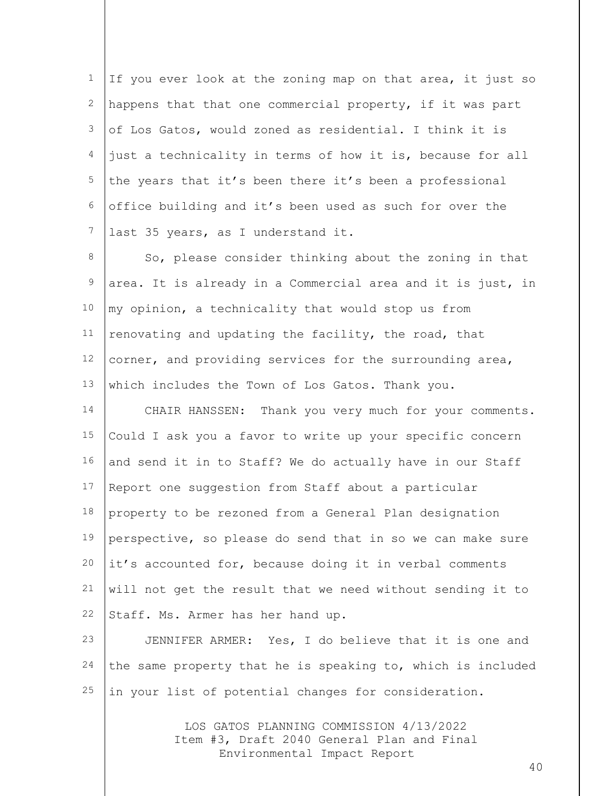1 2 3 4 5 6 7 If you ever look at the zoning map on that area, it just so happens that that one commercial property, if it was part of Los Gatos, would zoned as residential. I think it is just a technicality in terms of how it is, because for all the years that it's been there it's been a professional office building and it's been used as such for over the last 35 years, as I understand it.

8 9 10 11 12 13 So, please consider thinking about the zoning in that area. It is already in a Commercial area and it is just, in my opinion, a technicality that would stop us from renovating and updating the facility, the road, that corner, and providing services for the surrounding area, which includes the Town of Los Gatos. Thank you.

14 15 16 17 18 19 20 21 22 CHAIR HANSSEN: Thank you very much for your comments. Could I ask you a favor to write up your specific concern and send it in to Staff? We do actually have in our Staff Report one suggestion from Staff about a particular property to be rezoned from a General Plan designation perspective, so please do send that in so we can make sure it's accounted for, because doing it in verbal comments will not get the result that we need without sending it to Staff. Ms. Armer has her hand up.

23 24 25 JENNIFER ARMER: Yes, I do believe that it is one and the same property that he is speaking to, which is included in your list of potential changes for consideration.

> LOS GATOS PLANNING COMMISSION 4/13/2022 Item #3, Draft 2040 General Plan and Final Environmental Impact Report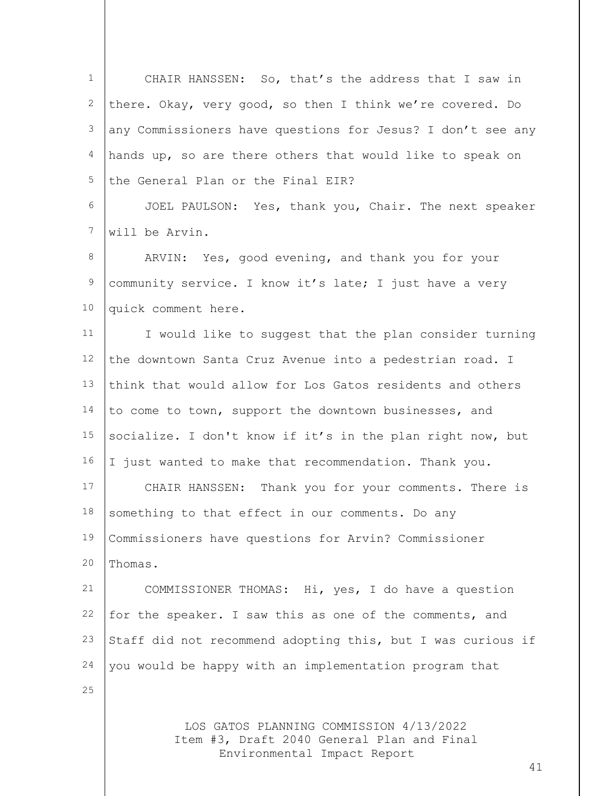| $\mathbf{1}$   | CHAIR HANSSEN: So, that's the address that I saw in                                   |
|----------------|---------------------------------------------------------------------------------------|
| 2              | there. Okay, very good, so then I think we're covered. Do                             |
| 3              | any Commissioners have questions for Jesus? I don't see any                           |
| $\overline{4}$ | hands up, so are there others that would like to speak on                             |
| 5              | the General Plan or the Final EIR?                                                    |
| 6              | JOEL PAULSON: Yes, thank you, Chair. The next speaker                                 |
| 7              | will be Arvin.                                                                        |
| 8              | ARVIN: Yes, good evening, and thank you for your                                      |
| $\mathsf 9$    | community service. I know it's late; I just have a very                               |
| 10             | quick comment here.                                                                   |
| 11             | I would like to suggest that the plan consider turning                                |
| 12             | the downtown Santa Cruz Avenue into a pedestrian road. I                              |
| 13             | think that would allow for Los Gatos residents and others                             |
| 14             | to come to town, support the downtown businesses, and                                 |
| 15             | socialize. I don't know if it's in the plan right now, but                            |
| 16             | I just wanted to make that recommendation. Thank you.                                 |
| 17             | CHAIR HANSSEN: Thank you for your comments. There is                                  |
| 18             | something to that effect in our comments. Do any                                      |
| 19             | Commissioners have questions for Arvin? Commissioner                                  |
| 20             | Thomas.                                                                               |
| 21             | COMMISSIONER THOMAS: Hi, yes, I do have a question                                    |
| 22             | for the speaker. I saw this as one of the comments, and                               |
| 23             | Staff did not recommend adopting this, but I was curious if                           |
| 24             | you would be happy with an implementation program that                                |
| 25             |                                                                                       |
|                | LOS GATOS PLANNING COMMISSION 4/13/2022<br>Item #3, Draft 2040 General Plan and Final |

Environmental Impact Report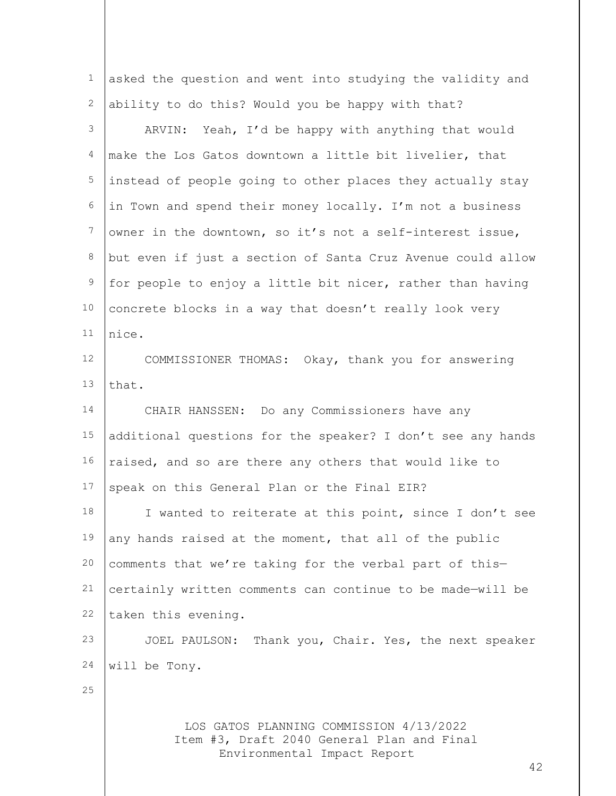LOS GATOS PLANNING COMMISSION 4/13/2022 Item #3, Draft 2040 General Plan and Final 1 2 3 4 5 6 7 8 9 10 11 12 13 14 15 16 17 18 19 20 21 22 23 24 25 asked the question and went into studying the validity and ability to do this? Would you be happy with that? ARVIN: Yeah, I'd be happy with anything that would make the Los Gatos downtown a little bit livelier, that instead of people going to other places they actually stay in Town and spend their money locally. I'm not a business owner in the downtown, so it's not a self-interest issue, but even if just a section of Santa Cruz Avenue could allow for people to enjoy a little bit nicer, rather than having concrete blocks in a way that doesn't really look very nice. COMMISSIONER THOMAS: Okay, thank you for answering that. CHAIR HANSSEN: Do any Commissioners have any additional questions for the speaker? I don't see any hands raised, and so are there any others that would like to speak on this General Plan or the Final EIR? I wanted to reiterate at this point, since I don't see any hands raised at the moment, that all of the public comments that we're taking for the verbal part of this certainly written comments can continue to be made—will be taken this evening. JOEL PAULSON: Thank you, Chair. Yes, the next speaker will be Tony.

Environmental Impact Report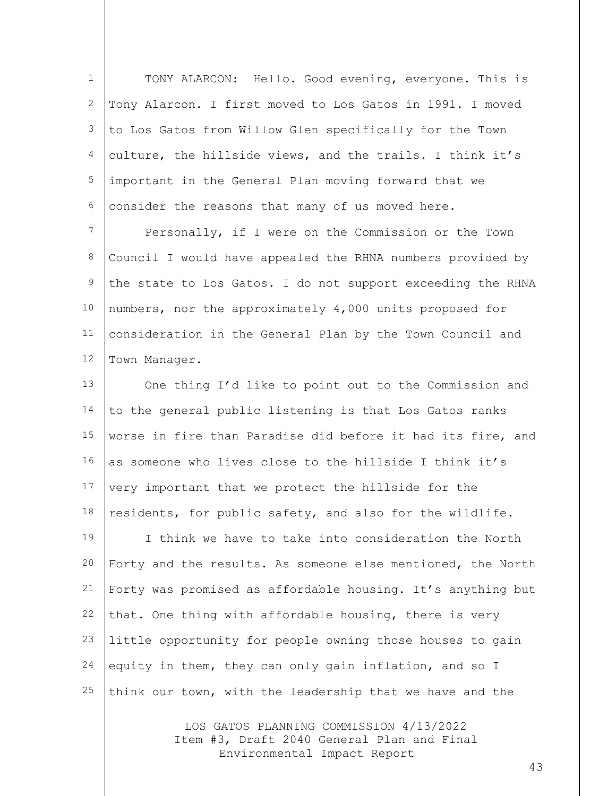1 2 3 4 5 6 TONY ALARCON: Hello. Good evening, everyone. This is Tony Alarcon. I first moved to Los Gatos in 1991. I moved to Los Gatos from Willow Glen specifically for the Town culture, the hillside views, and the trails. I think it's important in the General Plan moving forward that we consider the reasons that many of us moved here.

7 8 9 10 11 12 Personally, if I were on the Commission or the Town Council I would have appealed the RHNA numbers provided by the state to Los Gatos. I do not support exceeding the RHNA numbers, nor the approximately 4,000 units proposed for consideration in the General Plan by the Town Council and Town Manager.

13 14 15 16 17 18 19 20 21 22 23 24 25 One thing I'd like to point out to the Commission and to the general public listening is that Los Gatos ranks worse in fire than Paradise did before it had its fire, and as someone who lives close to the hillside I think it's very important that we protect the hillside for the residents, for public safety, and also for the wildlife. I think we have to take into consideration the North Forty and the results. As someone else mentioned, the North Forty was promised as affordable housing. It's anything but that. One thing with affordable housing, there is very little opportunity for people owning those houses to gain equity in them, they can only gain inflation, and so I think our town, with the leadership that we have and the

> LOS GATOS PLANNING COMMISSION 4/13/2022 Item #3, Draft 2040 General Plan and Final Environmental Impact Report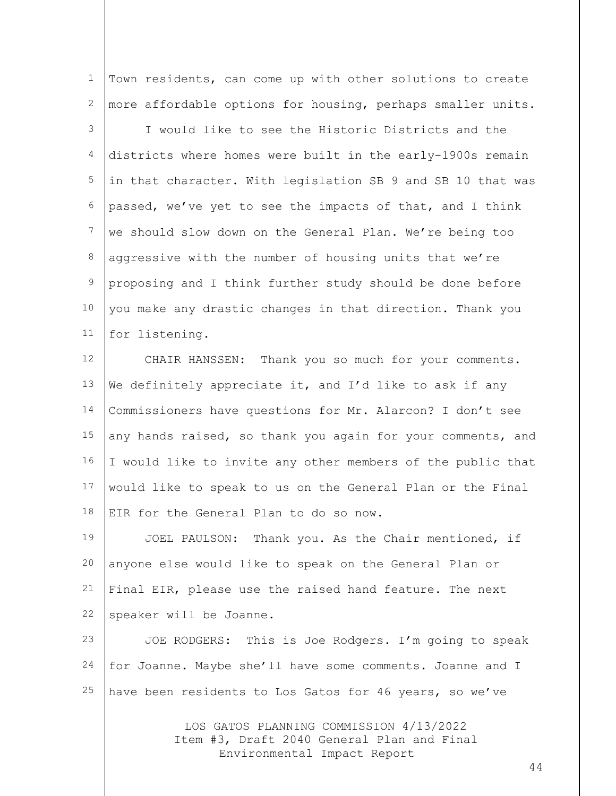1 2 Town residents, can come up with other solutions to create more affordable options for housing, perhaps smaller units.

3 4 5 6 7 8 9 10 11 I would like to see the Historic Districts and the districts where homes were built in the early-1900s remain in that character. With legislation SB 9 and SB 10 that was passed, we've yet to see the impacts of that, and I think we should slow down on the General Plan. We're being too aggressive with the number of housing units that we're proposing and I think further study should be done before you make any drastic changes in that direction. Thank you for listening.

12 13 14 15 16 17 18 CHAIR HANSSEN: Thank you so much for your comments. We definitely appreciate it, and I'd like to ask if any Commissioners have questions for Mr. Alarcon? I don't see any hands raised, so thank you again for your comments, and I would like to invite any other members of the public that would like to speak to us on the General Plan or the Final EIR for the General Plan to do so now.

19 20 21 22 JOEL PAULSON: Thank you. As the Chair mentioned, if anyone else would like to speak on the General Plan or Final EIR, please use the raised hand feature. The next speaker will be Joanne.

23 24 25 JOE RODGERS: This is Joe Rodgers. I'm going to speak for Joanne. Maybe she'll have some comments. Joanne and I have been residents to Los Gatos for 46 years, so we've

> LOS GATOS PLANNING COMMISSION 4/13/2022 Item #3, Draft 2040 General Plan and Final Environmental Impact Report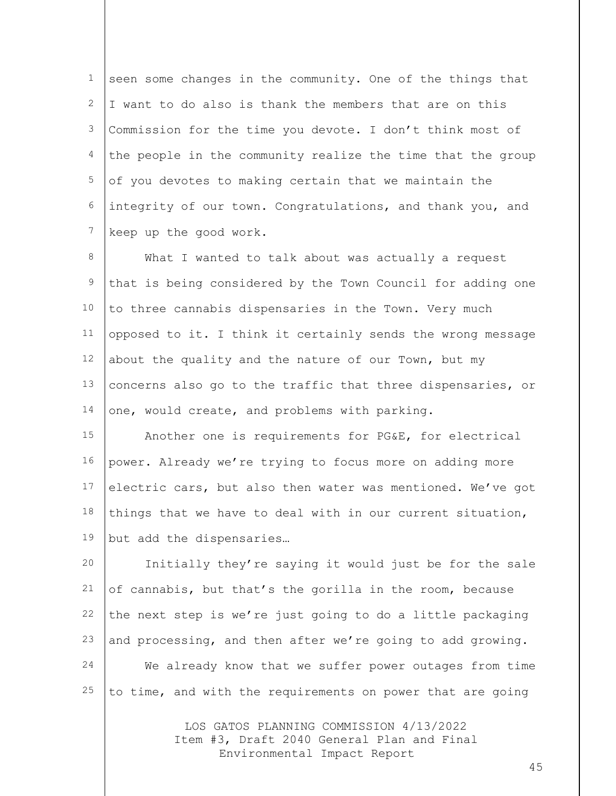1 2 3 4 5 6 7 seen some changes in the community. One of the things that I want to do also is thank the members that are on this Commission for the time you devote. I don't think most of the people in the community realize the time that the group of you devotes to making certain that we maintain the integrity of our town. Congratulations, and thank you, and keep up the good work.

8 9 10 11 12 13 14 What I wanted to talk about was actually a request that is being considered by the Town Council for adding one to three cannabis dispensaries in the Town. Very much opposed to it. I think it certainly sends the wrong message about the quality and the nature of our Town, but my concerns also go to the traffic that three dispensaries, or one, would create, and problems with parking.

15 16 17 18 19 Another one is requirements for PG&E, for electrical power. Already we're trying to focus more on adding more electric cars, but also then water was mentioned. We've got things that we have to deal with in our current situation, but add the dispensaries…

20 21 22 23 24 25 Initially they're saying it would just be for the sale of cannabis, but that's the gorilla in the room, because the next step is we're just going to do a little packaging and processing, and then after we're going to add growing. We already know that we suffer power outages from time to time, and with the requirements on power that are going

> LOS GATOS PLANNING COMMISSION 4/13/2022 Item #3, Draft 2040 General Plan and Final Environmental Impact Report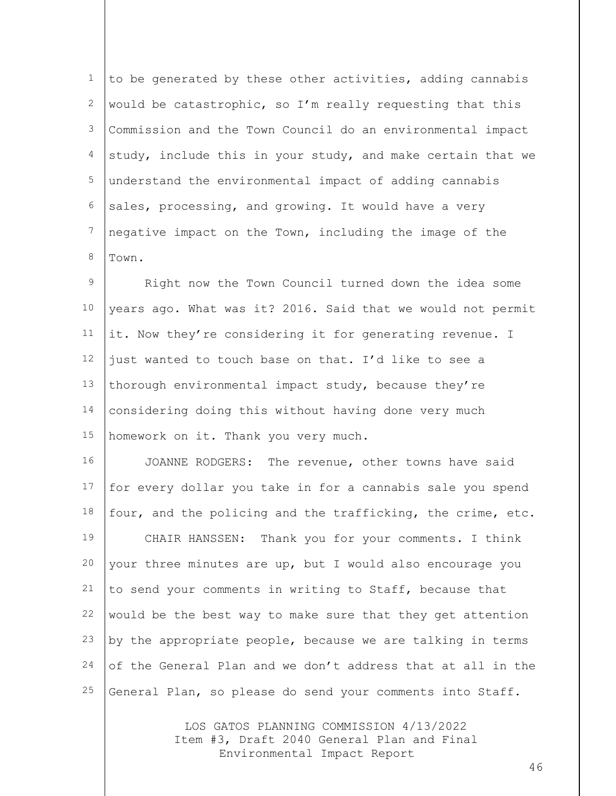1 2 3 4 5 6 7 8 to be generated by these other activities, adding cannabis would be catastrophic, so I'm really requesting that this Commission and the Town Council do an environmental impact study, include this in your study, and make certain that we understand the environmental impact of adding cannabis sales, processing, and growing. It would have a very negative impact on the Town, including the image of the Town.

9 10 11 12 13 14 15 Right now the Town Council turned down the idea some years ago. What was it? 2016. Said that we would not permit it. Now they're considering it for generating revenue. I just wanted to touch base on that. I'd like to see a thorough environmental impact study, because they're considering doing this without having done very much homework on it. Thank you very much.

16 17 18 19 20 21 22 23 24 25 JOANNE RODGERS: The revenue, other towns have said for every dollar you take in for a cannabis sale you spend four, and the policing and the trafficking, the crime, etc. CHAIR HANSSEN: Thank you for your comments. I think your three minutes are up, but I would also encourage you to send your comments in writing to Staff, because that would be the best way to make sure that they get attention by the appropriate people, because we are talking in terms of the General Plan and we don't address that at all in the General Plan, so please do send your comments into Staff.

> LOS GATOS PLANNING COMMISSION 4/13/2022 Item #3, Draft 2040 General Plan and Final Environmental Impact Report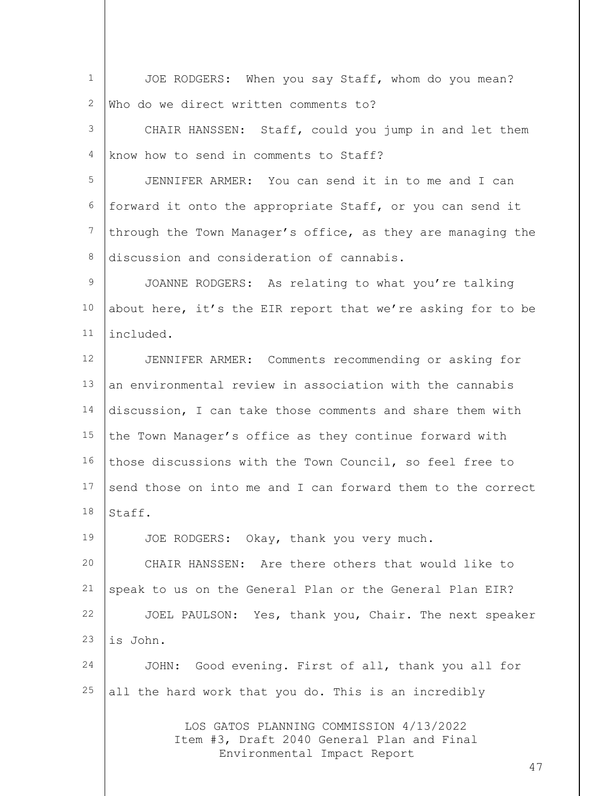| $\mathbf 1$ | JOE RODGERS: When you say Staff, whom do you mean?                                                                         |
|-------------|----------------------------------------------------------------------------------------------------------------------------|
| 2           | Who do we direct written comments to?                                                                                      |
| 3           | CHAIR HANSSEN: Staff, could you jump in and let them                                                                       |
| 4           | know how to send in comments to Staff?                                                                                     |
| 5           | JENNIFER ARMER: You can send it in to me and I can                                                                         |
| 6           | forward it onto the appropriate Staff, or you can send it                                                                  |
| 7           | through the Town Manager's office, as they are managing the                                                                |
| 8           | discussion and consideration of cannabis.                                                                                  |
| 9           | JOANNE RODGERS: As relating to what you're talking                                                                         |
| 10          | about here, it's the EIR report that we're asking for to be                                                                |
| 11          | included.                                                                                                                  |
| 12          | JENNIFER ARMER: Comments recommending or asking for                                                                        |
| 13          | an environmental review in association with the cannabis                                                                   |
| 14          | discussion, I can take those comments and share them with                                                                  |
| 15          | the Town Manager's office as they continue forward with                                                                    |
| 16          | those discussions with the Town Council, so feel free to                                                                   |
| 17          | send those on into me and I can forward them to the correct                                                                |
|             | $18$  Staff.                                                                                                               |
| 19          | JOE RODGERS: Okay, thank you very much.                                                                                    |
| 20          | CHAIR HANSSEN: Are there others that would like to                                                                         |
| 21          | speak to us on the General Plan or the General Plan EIR?                                                                   |
| 22          | JOEL PAULSON: Yes, thank you, Chair. The next speaker                                                                      |
| 23          | is John.                                                                                                                   |
| 24          | JOHN: Good evening. First of all, thank you all for                                                                        |
| 25          | all the hard work that you do. This is an incredibly                                                                       |
|             | LOS GATOS PLANNING COMMISSION 4/13/2022<br>Item #3, Draft 2040 General Plan and Final<br>Environmental Impact Report<br>47 |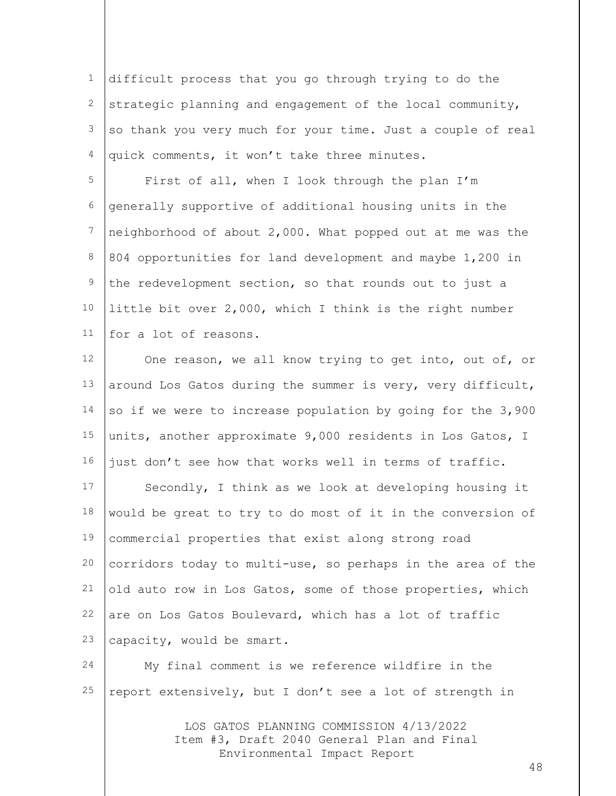1 2 3 4 difficult process that you go through trying to do the strategic planning and engagement of the local community, so thank you very much for your time. Just a couple of real quick comments, it won't take three minutes.

5 6 7 8 9 10 11 First of all, when I look through the plan I'm generally supportive of additional housing units in the neighborhood of about 2,000. What popped out at me was the 804 opportunities for land development and maybe 1,200 in the redevelopment section, so that rounds out to just a little bit over 2,000, which I think is the right number for a lot of reasons.

12 13 14 15 16 One reason, we all know trying to get into, out of, or around Los Gatos during the summer is very, very difficult, so if we were to increase population by going for the 3,900 units, another approximate 9,000 residents in Los Gatos, I just don't see how that works well in terms of traffic.

17 18 19 20 21 22 23 Secondly, I think as we look at developing housing it would be great to try to do most of it in the conversion of commercial properties that exist along strong road corridors today to multi-use, so perhaps in the area of the old auto row in Los Gatos, some of those properties, which are on Los Gatos Boulevard, which has a lot of traffic capacity, would be smart.

24 25 My final comment is we reference wildfire in the report extensively, but I don't see a lot of strength in

> LOS GATOS PLANNING COMMISSION 4/13/2022 Item #3, Draft 2040 General Plan and Final Environmental Impact Report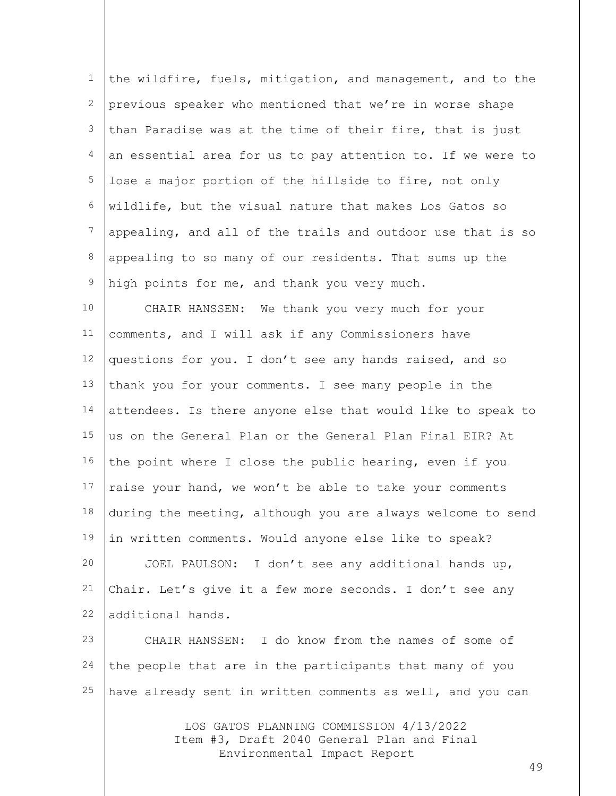| $\mathbf{1}$ | the wildfire, fuels, mitigation, and management, and to the                                                          |
|--------------|----------------------------------------------------------------------------------------------------------------------|
| 2            | previous speaker who mentioned that we're in worse shape                                                             |
| 3            | than Paradise was at the time of their fire, that is just                                                            |
| 4            | an essential area for us to pay attention to. If we were to                                                          |
| 5            | lose a major portion of the hillside to fire, not only                                                               |
| 6            | wildlife, but the visual nature that makes Los Gatos so                                                              |
| 7            | appealing, and all of the trails and outdoor use that is so                                                          |
| 8            | appealing to so many of our residents. That sums up the                                                              |
| $\mathsf 9$  | high points for me, and thank you very much.                                                                         |
| 10           | CHAIR HANSSEN: We thank you very much for your                                                                       |
| 11           | comments, and I will ask if any Commissioners have                                                                   |
| 12           | questions for you. I don't see any hands raised, and so                                                              |
| 13           | thank you for your comments. I see many people in the                                                                |
| 14           | attendees. Is there anyone else that would like to speak to                                                          |
| 15           | us on the General Plan or the General Plan Final EIR? At                                                             |
| 16           | the point where I close the public hearing, even if you                                                              |
| 17           | raise your hand, we won't be able to take your comments                                                              |
| 18           | during the meeting, although you are always welcome to send                                                          |
| 19           | in written comments. Would anyone else like to speak?                                                                |
| 20           | JOEL PAULSON: I don't see any additional hands up,                                                                   |
| 21           | Chair. Let's give it a few more seconds. I don't see any                                                             |
| 22           | additional hands.                                                                                                    |
| 23           | CHAIR HANSSEN: I do know from the names of some of                                                                   |
| 24           | the people that are in the participants that many of you                                                             |
| 25           | have already sent in written comments as well, and you can                                                           |
|              | LOS GATOS PLANNING COMMISSION 4/13/2022<br>Item #3, Draft 2040 General Plan and Final<br>Environmental Impact Report |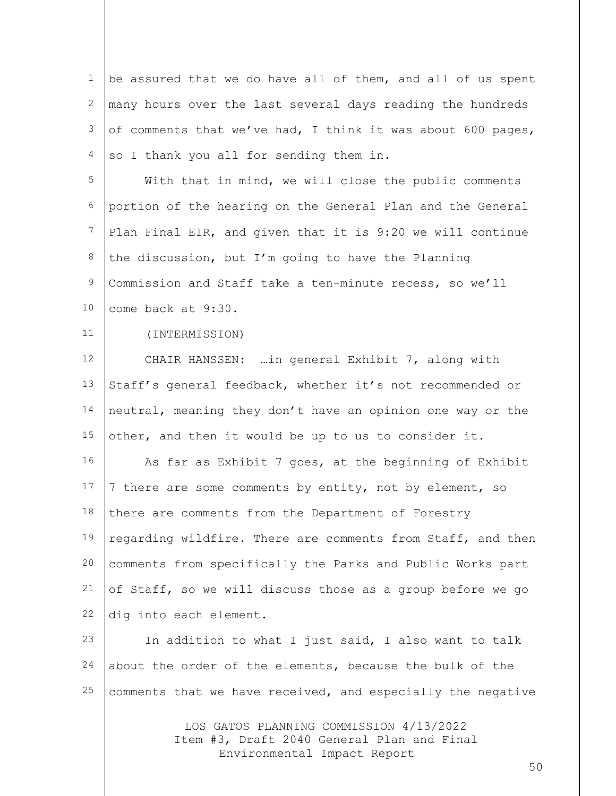| $\mathbf 1$ | be assured that we do have all of them, and all of us spent |
|-------------|-------------------------------------------------------------|
| 2           | many hours over the last several days reading the hundreds  |
| 3           | of comments that we've had, I think it was about 600 pages, |
| 4           | so I thank you all for sending them in.                     |
| 5           | With that in mind, we will close the public comments        |
| 6           | portion of the hearing on the General Plan and the General  |
| 7           | Plan Final EIR, and given that it is 9:20 we will continue  |
| 8           | the discussion, but I'm going to have the Planning          |
| 9           | Commission and Staff take a ten-minute recess, so we'll     |
| 10          | come back at 9:30.                                          |
| 11          | (INTERMISSION)                                              |
| 12          | CHAIR HANSSEN:  in general Exhibit 7, along with            |
| 13          | Staff's general feedback, whether it's not recommended or   |
| 14          | neutral, meaning they don't have an opinion one way or the  |
| 15          | other, and then it would be up to us to consider it.        |
| 16          | As far as Exhibit 7 goes, at the beginning of Exhibit       |
| 17          | 7 there are some comments by entity, not by element, so     |
| 18          | there are comments from the Department of Forestry          |
| 19          | regarding wildfire. There are comments from Staff, and then |
| 20          | comments from specifically the Parks and Public Works part  |
| 21          | of Staff, so we will discuss those as a group before we go  |
| 22          | dig into each element.                                      |
| 23          | In addition to what I just said, I also want to talk        |
| 24          | about the order of the elements, because the bulk of the    |
| 25          | comments that we have received, and especially the negative |
|             |                                                             |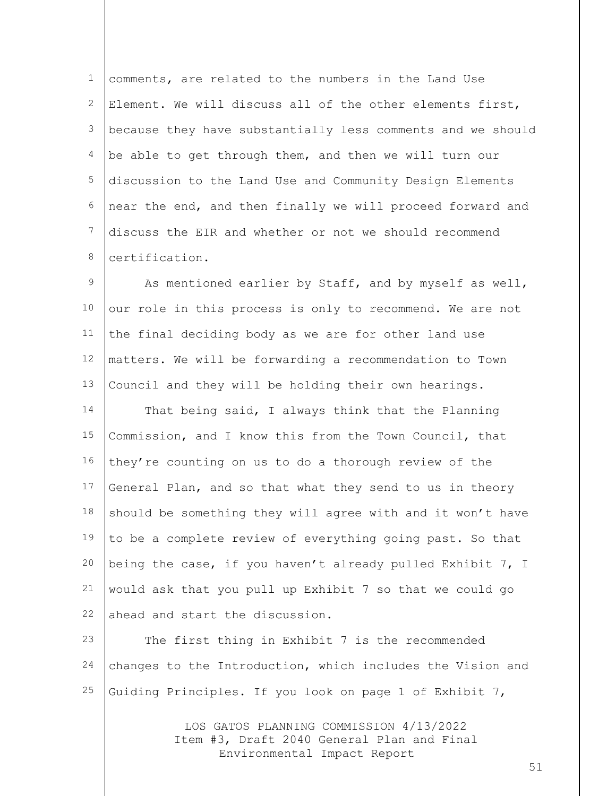1 2 3 4 5 6 7 8 comments, are related to the numbers in the Land Use Element. We will discuss all of the other elements first, because they have substantially less comments and we should be able to get through them, and then we will turn our discussion to the Land Use and Community Design Elements near the end, and then finally we will proceed forward and discuss the EIR and whether or not we should recommend certification.

9 10 11 12 13 14 15 16 17 18 19 20 21 22 As mentioned earlier by Staff, and by myself as well, our role in this process is only to recommend. We are not the final deciding body as we are for other land use matters. We will be forwarding a recommendation to Town Council and they will be holding their own hearings. That being said, I always think that the Planning Commission, and I know this from the Town Council, that they're counting on us to do a thorough review of the General Plan, and so that what they send to us in theory should be something they will agree with and it won't have to be a complete review of everything going past. So that being the case, if you haven't already pulled Exhibit 7, I would ask that you pull up Exhibit 7 so that we could go ahead and start the discussion.

23 24 25 The first thing in Exhibit 7 is the recommended changes to the Introduction, which includes the Vision and Guiding Principles. If you look on page 1 of Exhibit 7,

> LOS GATOS PLANNING COMMISSION 4/13/2022 Item #3, Draft 2040 General Plan and Final Environmental Impact Report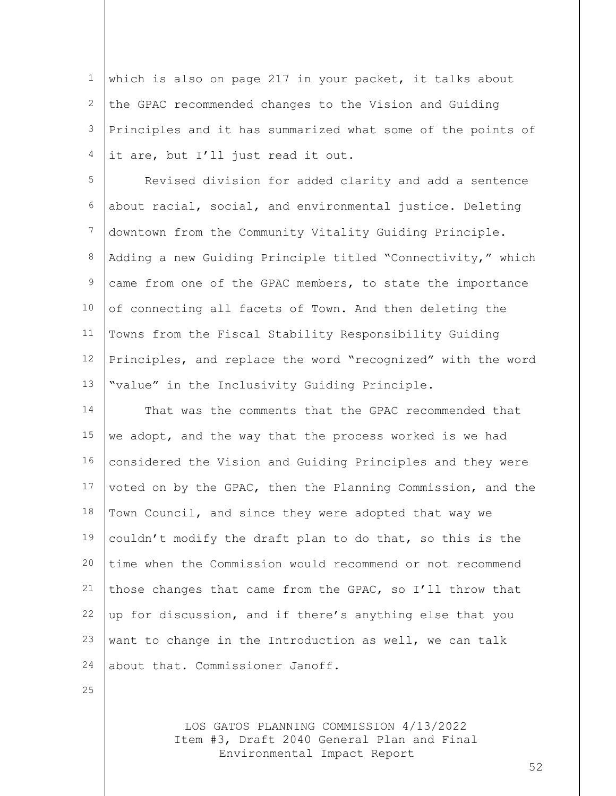1 2 3 4 which is also on page 217 in your packet, it talks about the GPAC recommended changes to the Vision and Guiding Principles and it has summarized what some of the points of it are, but I'll just read it out.

5 6 7 8 9 10 11 12 13 Revised division for added clarity and add a sentence about racial, social, and environmental justice. Deleting downtown from the Community Vitality Guiding Principle. Adding a new Guiding Principle titled "Connectivity," which came from one of the GPAC members, to state the importance of connecting all facets of Town. And then deleting the Towns from the Fiscal Stability Responsibility Guiding Principles, and replace the word "recognized" with the word "value" in the Inclusivity Guiding Principle.

14 15 16 17 18 19 20 21 22 23 24 That was the comments that the GPAC recommended that we adopt, and the way that the process worked is we had considered the Vision and Guiding Principles and they were voted on by the GPAC, then the Planning Commission, and the Town Council, and since they were adopted that way we couldn't modify the draft plan to do that, so this is the time when the Commission would recommend or not recommend those changes that came from the GPAC, so I'll throw that up for discussion, and if there's anything else that you want to change in the Introduction as well, we can talk about that. Commissioner Janoff.

25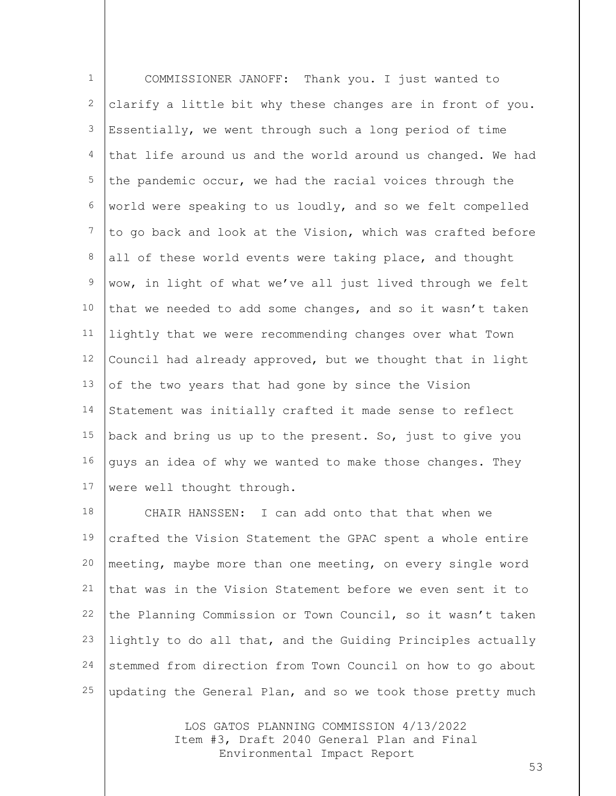1 2 3 4 5 6 7 8 9 10 11 12 13 14 15 16 17 COMMISSIONER JANOFF: Thank you. I just wanted to clarify a little bit why these changes are in front of you. Essentially, we went through such a long period of time that life around us and the world around us changed. We had the pandemic occur, we had the racial voices through the world were speaking to us loudly, and so we felt compelled to go back and look at the Vision, which was crafted before all of these world events were taking place, and thought wow, in light of what we've all just lived through we felt that we needed to add some changes, and so it wasn't taken lightly that we were recommending changes over what Town Council had already approved, but we thought that in light of the two years that had gone by since the Vision Statement was initially crafted it made sense to reflect back and bring us up to the present. So, just to give you guys an idea of why we wanted to make those changes. They were well thought through.

18 19 20 21 22 23 24 25 CHAIR HANSSEN: I can add onto that that when we crafted the Vision Statement the GPAC spent a whole entire meeting, maybe more than one meeting, on every single word that was in the Vision Statement before we even sent it to the Planning Commission or Town Council, so it wasn't taken lightly to do all that, and the Guiding Principles actually stemmed from direction from Town Council on how to go about updating the General Plan, and so we took those pretty much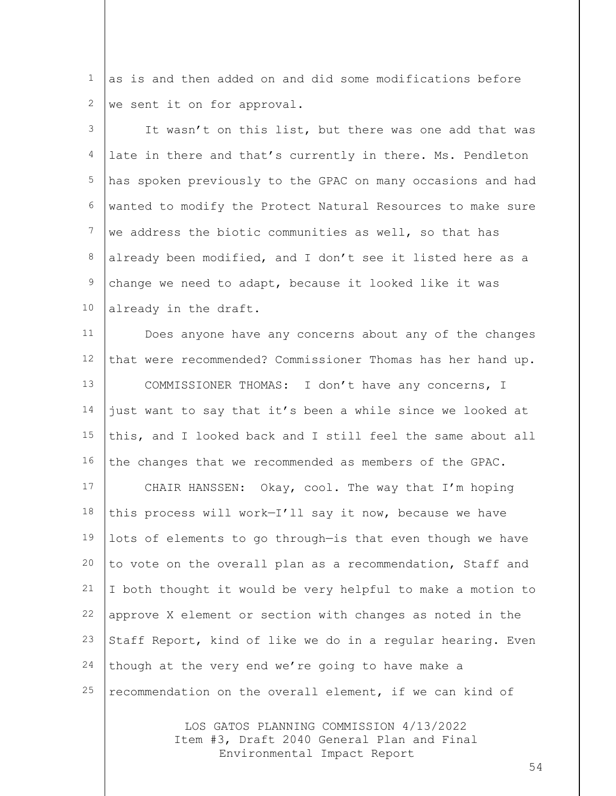1 2 as is and then added on and did some modifications before we sent it on for approval.

3 4 5 6 7 8 9 10 It wasn't on this list, but there was one add that was late in there and that's currently in there. Ms. Pendleton has spoken previously to the GPAC on many occasions and had wanted to modify the Protect Natural Resources to make sure we address the biotic communities as well, so that has already been modified, and I don't see it listed here as a change we need to adapt, because it looked like it was already in the draft.

11 12 13 14 15 16 17 18 19 20 21 22 23 24 25 Does anyone have any concerns about any of the changes that were recommended? Commissioner Thomas has her hand up. COMMISSIONER THOMAS: I don't have any concerns, I just want to say that it's been a while since we looked at this, and I looked back and I still feel the same about all the changes that we recommended as members of the GPAC. CHAIR HANSSEN: Okay, cool. The way that I'm hoping this process will work—I'll say it now, because we have lots of elements to go through—is that even though we have to vote on the overall plan as a recommendation, Staff and I both thought it would be very helpful to make a motion to approve X element or section with changes as noted in the Staff Report, kind of like we do in a regular hearing. Even though at the very end we're going to have make a recommendation on the overall element, if we can kind of

> LOS GATOS PLANNING COMMISSION 4/13/2022 Item #3, Draft 2040 General Plan and Final Environmental Impact Report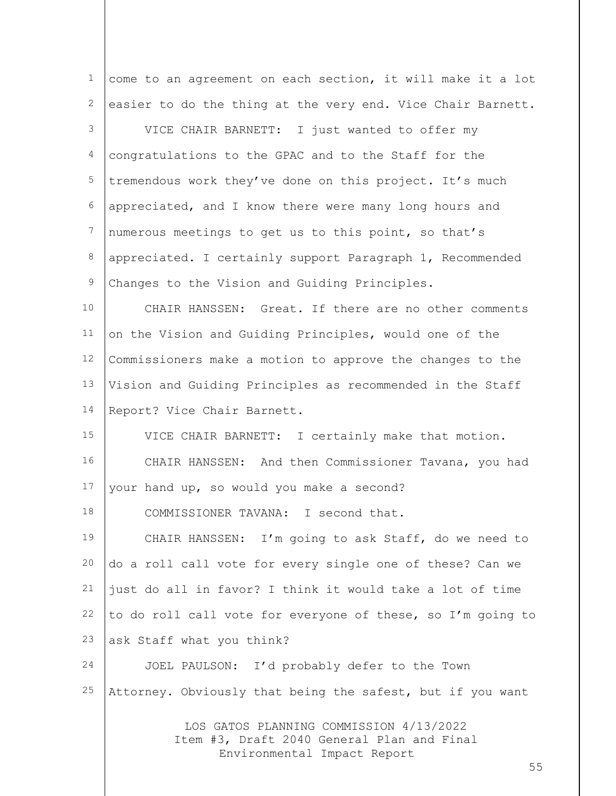| $\mathbf 1$    | come to an agreement on each section, it will make it a lot                                                          |
|----------------|----------------------------------------------------------------------------------------------------------------------|
| 2              | easier to do the thing at the very end. Vice Chair Barnett.                                                          |
| 3              | VICE CHAIR BARNETT: I just wanted to offer my                                                                        |
| $\overline{4}$ | congratulations to the GPAC and to the Staff for the                                                                 |
| 5              | tremendous work they've done on this project. It's much                                                              |
| 6              | appreciated, and I know there were many long hours and                                                               |
| 7              | numerous meetings to get us to this point, so that's                                                                 |
| 8              | appreciated. I certainly support Paragraph 1, Recommended                                                            |
| 9              | Changes to the Vision and Guiding Principles.                                                                        |
| 10             | CHAIR HANSSEN: Great. If there are no other comments                                                                 |
| 11             | on the Vision and Guiding Principles, would one of the                                                               |
| 12             | Commissioners make a motion to approve the changes to the                                                            |
| 13             | Vision and Guiding Principles as recommended in the Staff                                                            |
| 14             | Report? Vice Chair Barnett.                                                                                          |
| 15             | VICE CHAIR BARNETT: I certainly make that motion.                                                                    |
| 16             | CHAIR HANSSEN: And then Commissioner Tavana, you had                                                                 |
| 17             | your hand up, so would you make a second?                                                                            |
| 18             | COMMISSIONER TAVANA:<br>I second that.                                                                               |
| 19             | CHAIR HANSSEN: I'm going to ask Staff, do we need to                                                                 |
| 20             | do a roll call vote for every single one of these? Can we                                                            |
| 21             | just do all in favor? I think it would take a lot of time                                                            |
| 22             | to do roll call vote for everyone of these, so I'm going to                                                          |
| 23             | ask Staff what you think?                                                                                            |
| 24             | JOEL PAULSON: I'd probably defer to the Town                                                                         |
| 25             | Attorney. Obviously that being the safest, but if you want                                                           |
|                | LOS GATOS PLANNING COMMISSION 4/13/2022<br>Item #3, Draft 2040 General Plan and Final<br>Environmental Impact Report |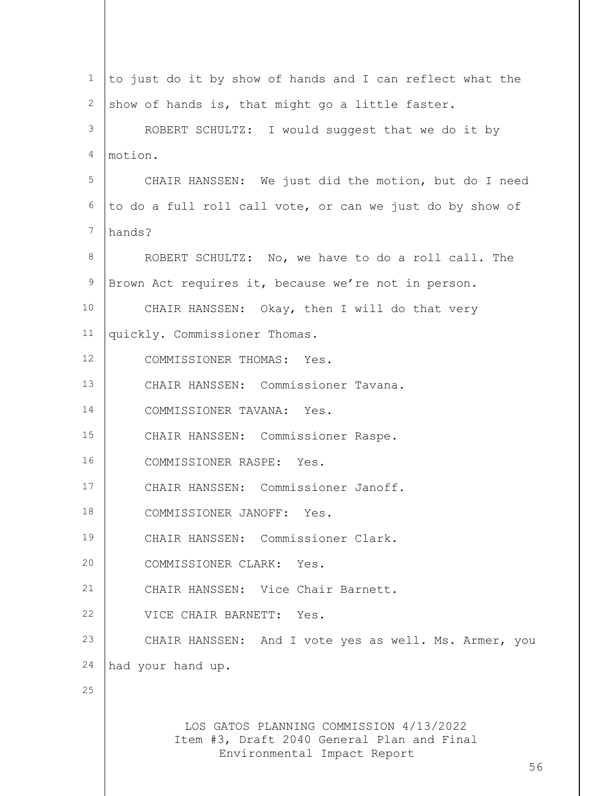| 1               | to just do it by show of hands and I can reflect what the                                                            |
|-----------------|----------------------------------------------------------------------------------------------------------------------|
| 2               | show of hands is, that might go a little faster.                                                                     |
| 3               | ROBERT SCHULTZ: I would suggest that we do it by                                                                     |
| 4               | motion.                                                                                                              |
| 5               | CHAIR HANSSEN: We just did the motion, but do I need                                                                 |
| 6               | to do a full roll call vote, or can we just do by show of                                                            |
| 7               | hands?                                                                                                               |
| 8               | ROBERT SCHULTZ: No, we have to do a roll call. The                                                                   |
| $\mathsf 9$     | Brown Act requires it, because we're not in person.                                                                  |
| 10 <sup>°</sup> | CHAIR HANSSEN: Okay, then I will do that very                                                                        |
| 11              | quickly. Commissioner Thomas.                                                                                        |
| 12              | COMMISSIONER THOMAS: Yes.                                                                                            |
| 13              | CHAIR HANSSEN: Commissioner Tavana.                                                                                  |
| 14              | COMMISSIONER TAVANA: Yes.                                                                                            |
| 15              | CHAIR HANSSEN: Commissioner Raspe.                                                                                   |
| 16              | COMMISSIONER RASPE: Yes.                                                                                             |
| 17              | CHAIR HANSSEN: Commissioner Janoff.                                                                                  |
| 18              | COMMISSIONER JANOFF: Yes.                                                                                            |
| 19              | CHAIR HANSSEN: Commissioner Clark.                                                                                   |
| 20              | COMMISSIONER CLARK: Yes.                                                                                             |
| 21              | CHAIR HANSSEN: Vice Chair Barnett.                                                                                   |
| 22              | VICE CHAIR BARNETT: Yes.                                                                                             |
| 23              | CHAIR HANSSEN: And I vote yes as well. Ms. Armer, you                                                                |
| 24              | had your hand up.                                                                                                    |
| 25              |                                                                                                                      |
|                 | LOS GATOS PLANNING COMMISSION 4/13/2022<br>Item #3, Draft 2040 General Plan and Final<br>Environmental Impact Report |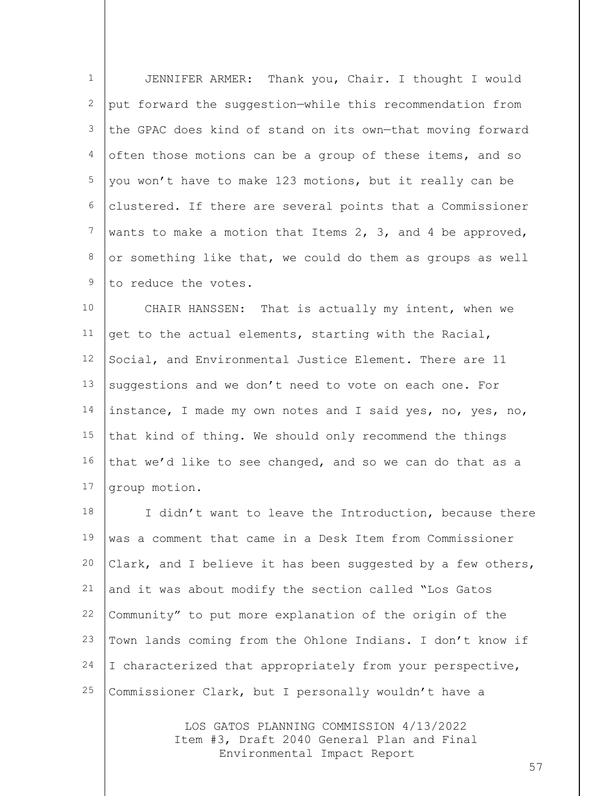1 2 3 4 5 6 7 8 9 JENNIFER ARMER: Thank you, Chair. I thought I would put forward the suggestion—while this recommendation from the GPAC does kind of stand on its own—that moving forward often those motions can be a group of these items, and so you won't have to make 123 motions, but it really can be clustered. If there are several points that a Commissioner wants to make a motion that Items 2, 3, and 4 be approved, or something like that, we could do them as groups as well to reduce the votes.

10 11 12 13 14 15 16 17 CHAIR HANSSEN: That is actually my intent, when we get to the actual elements, starting with the Racial, Social, and Environmental Justice Element. There are 11 suggestions and we don't need to vote on each one. For instance, I made my own notes and I said yes, no, yes, no, that kind of thing. We should only recommend the things that we'd like to see changed, and so we can do that as a group motion.

18 19 20 21 22 23 24 25 I didn't want to leave the Introduction, because there was a comment that came in a Desk Item from Commissioner Clark, and I believe it has been suggested by a few others, and it was about modify the section called "Los Gatos Community" to put more explanation of the origin of the Town lands coming from the Ohlone Indians. I don't know if I characterized that appropriately from your perspective, Commissioner Clark, but I personally wouldn't have a

> LOS GATOS PLANNING COMMISSION 4/13/2022 Item #3, Draft 2040 General Plan and Final Environmental Impact Report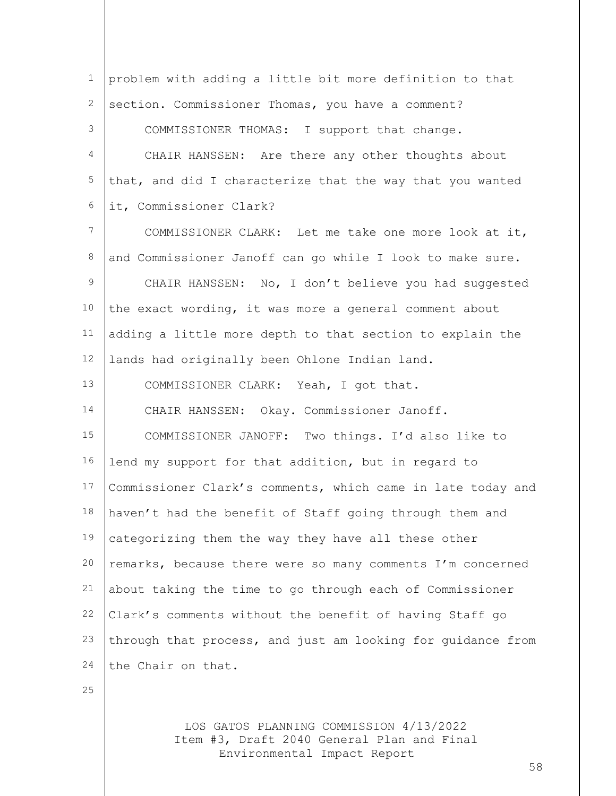1 2 3 4 5 6 7 8 9 10 11 12 13 14 15 16 17 18 19 20 21 22 23 24 problem with adding a little bit more definition to that section. Commissioner Thomas, you have a comment? COMMISSIONER THOMAS: I support that change. CHAIR HANSSEN: Are there any other thoughts about that, and did I characterize that the way that you wanted it, Commissioner Clark? COMMISSIONER CLARK: Let me take one more look at it, and Commissioner Janoff can go while I look to make sure. CHAIR HANSSEN: No, I don't believe you had suggested the exact wording, it was more a general comment about adding a little more depth to that section to explain the lands had originally been Ohlone Indian land. COMMISSIONER CLARK: Yeah, I got that. CHAIR HANSSEN: Okay. Commissioner Janoff. COMMISSIONER JANOFF: Two things. I'd also like to lend my support for that addition, but in regard to Commissioner Clark's comments, which came in late today and haven't had the benefit of Staff going through them and categorizing them the way they have all these other remarks, because there were so many comments I'm concerned about taking the time to go through each of Commissioner Clark's comments without the benefit of having Staff go through that process, and just am looking for guidance from the Chair on that.

25

LOS GATOS PLANNING COMMISSION 4/13/2022 Item #3, Draft 2040 General Plan and Final Environmental Impact Report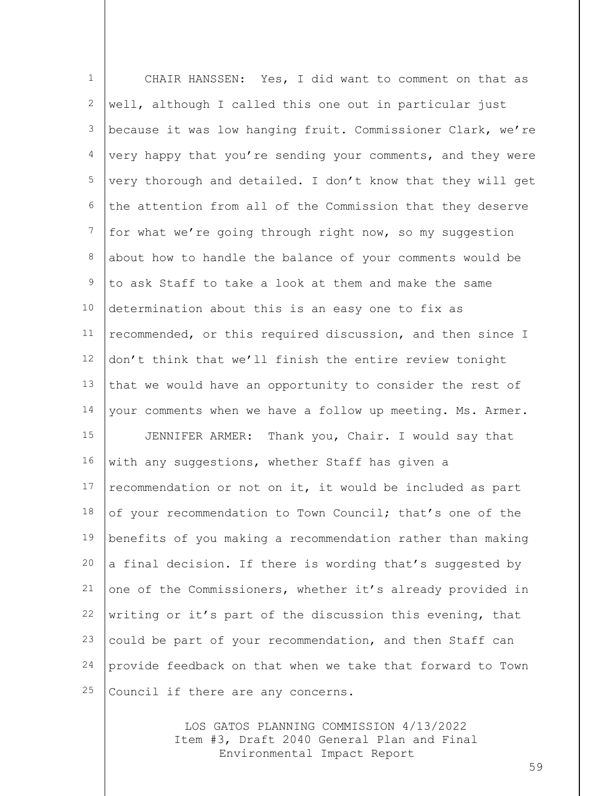1 2 3 4 5 6 7 8 9 10 11 12 13 14 15 16 17 18 19 20 21 22 23 24 25 CHAIR HANSSEN: Yes, I did want to comment on that as well, although I called this one out in particular just because it was low hanging fruit. Commissioner Clark, we're very happy that you're sending your comments, and they were very thorough and detailed. I don't know that they will get the attention from all of the Commission that they deserve for what we're going through right now, so my suggestion about how to handle the balance of your comments would be to ask Staff to take a look at them and make the same determination about this is an easy one to fix as recommended, or this required discussion, and then since I don't think that we'll finish the entire review tonight that we would have an opportunity to consider the rest of your comments when we have a follow up meeting. Ms. Armer. JENNIFER ARMER: Thank you, Chair. I would say that with any suggestions, whether Staff has given a recommendation or not on it, it would be included as part of your recommendation to Town Council; that's one of the benefits of you making a recommendation rather than making a final decision. If there is wording that's suggested by one of the Commissioners, whether it's already provided in writing or it's part of the discussion this evening, that could be part of your recommendation, and then Staff can provide feedback on that when we take that forward to Town Council if there are any concerns.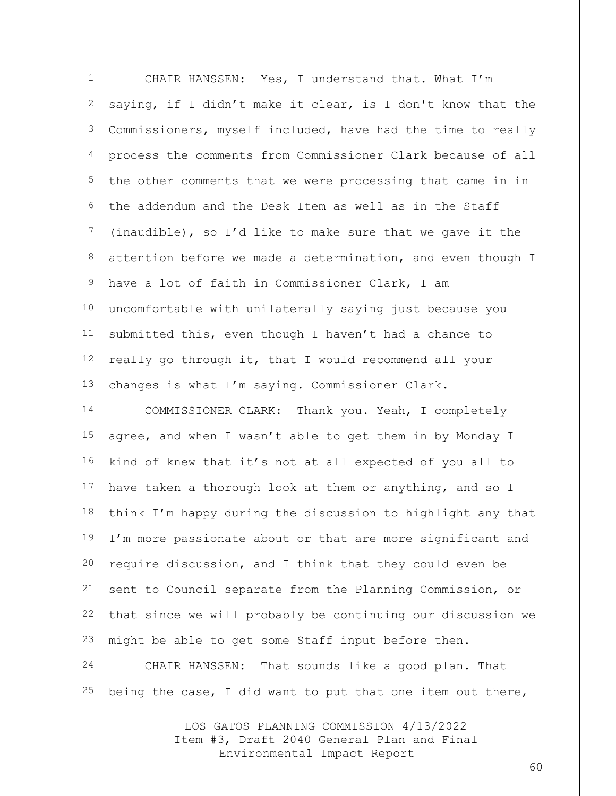| $\mathbf 1$    | CHAIR HANSSEN: Yes, I understand that. What I'm             |
|----------------|-------------------------------------------------------------|
| 2              | saying, if I didn't make it clear, is I don't know that the |
| 3              | Commissioners, myself included, have had the time to really |
| $\overline{4}$ | process the comments from Commissioner Clark because of all |
| 5              | the other comments that we were processing that came in in  |
| 6              | the addendum and the Desk Item as well as in the Staff      |
| 7              | (inaudible), so I'd like to make sure that we gave it the   |
| 8              | attention before we made a determination, and even though I |
| $\mathsf 9$    | have a lot of faith in Commissioner Clark, I am             |
| 10             | uncomfortable with unilaterally saying just because you     |
| 11             | submitted this, even though I haven't had a chance to       |
| 12             | really go through it, that I would recommend all your       |
| 13             | changes is what I'm saying. Commissioner Clark.             |
| 14             | COMMISSIONER CLARK: Thank you. Yeah, I completely           |
| 15             | agree, and when I wasn't able to get them in by Monday I    |
| 16             | kind of knew that it's not at all expected of you all to    |
| 17             | have taken a thorough look at them or anything, and so I    |
| 18             | think I'm happy during the discussion to highlight any that |
| 19             | I'm more passionate about or that are more significant and  |
| 20             | require discussion, and I think that they could even be     |
| 21             | sent to Council separate from the Planning Commission, or   |
| 22             | that since we will probably be continuing our discussion we |
| 23             | might be able to get some Staff input before then.          |
| 24             | CHAIR HANSSEN: That sounds like a good plan. That           |
| 25             | being the case, I did want to put that one item out there,  |
|                |                                                             |

LOS GATOS PLANNING COMMISSION 4/13/2022 Item #3, Draft 2040 General Plan and Final Environmental Impact Report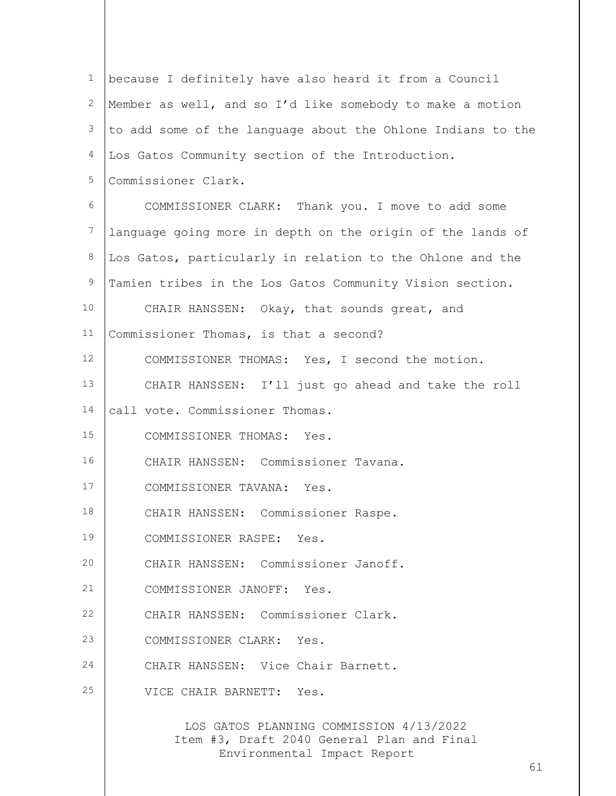| $\mathbf{1}$ | because I definitely have also heard it from a Council                                                               |
|--------------|----------------------------------------------------------------------------------------------------------------------|
| $\mathbf{2}$ | Member as well, and so I'd like somebody to make a motion                                                            |
| 3            | to add some of the language about the Ohlone Indians to the                                                          |
| 4            | Los Gatos Community section of the Introduction.                                                                     |
| 5            | Commissioner Clark.                                                                                                  |
| 6            | COMMISSIONER CLARK: Thank you. I move to add some                                                                    |
| 7            | language going more in depth on the origin of the lands of                                                           |
| 8            | Los Gatos, particularly in relation to the Ohlone and the                                                            |
| 9            | Tamien tribes in the Los Gatos Community Vision section.                                                             |
| 10           | CHAIR HANSSEN: Okay, that sounds great, and                                                                          |
| 11           | Commissioner Thomas, is that a second?                                                                               |
| 12           | COMMISSIONER THOMAS: Yes, I second the motion.                                                                       |
| 13           | CHAIR HANSSEN: I'll just go ahead and take the roll                                                                  |
| 14           | call vote. Commissioner Thomas.                                                                                      |
| 15           | COMMISSIONER THOMAS: Yes.                                                                                            |
| 16           | CHAIR HANSSEN: Commissioner Tavana.                                                                                  |
| 17           | COMMISSIONER TAVANA: Yes.                                                                                            |
| 18           | CHAIR HANSSEN: Commissioner Raspe.                                                                                   |
| 19           | COMMISSIONER RASPE: Yes.                                                                                             |
| 20           | CHAIR HANSSEN: Commissioner Janoff.                                                                                  |
| 21           | COMMISSIONER JANOFF: Yes.                                                                                            |
| 22           | CHAIR HANSSEN: Commissioner Clark.                                                                                   |
| 23           | COMMISSIONER CLARK: Yes.                                                                                             |
| 24           | CHAIR HANSSEN: Vice Chair Barnett.                                                                                   |
| 25           | VICE CHAIR BARNETT: Yes.                                                                                             |
|              | LOS GATOS PLANNING COMMISSION 4/13/2022<br>Item #3, Draft 2040 General Plan and Final<br>Environmental Impact Report |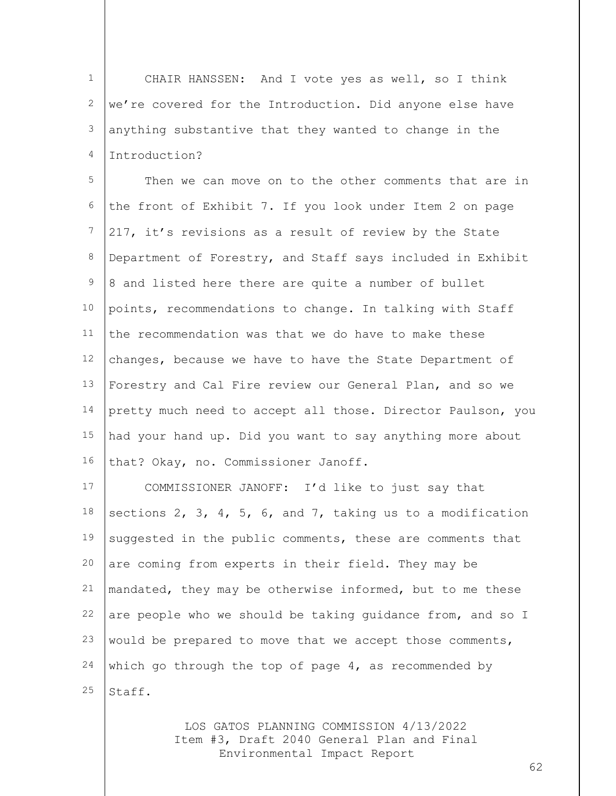1 2 3 4 CHAIR HANSSEN: And I vote yes as well, so I think we're covered for the Introduction. Did anyone else have anything substantive that they wanted to change in the Introduction?

5 6 7 8 9 10 11 12 13 14 15 16 Then we can move on to the other comments that are in the front of Exhibit 7. If you look under Item 2 on page 217, it's revisions as a result of review by the State Department of Forestry, and Staff says included in Exhibit 8 and listed here there are quite a number of bullet points, recommendations to change. In talking with Staff the recommendation was that we do have to make these changes, because we have to have the State Department of Forestry and Cal Fire review our General Plan, and so we pretty much need to accept all those. Director Paulson, you had your hand up. Did you want to say anything more about that? Okay, no. Commissioner Janoff.

17 18 19 20 21 22 23 24 25 COMMISSIONER JANOFF: I'd like to just say that sections 2, 3, 4, 5, 6, and 7, taking us to a modification suggested in the public comments, these are comments that are coming from experts in their field. They may be mandated, they may be otherwise informed, but to me these are people who we should be taking guidance from, and so I would be prepared to move that we accept those comments, which go through the top of page  $4$ , as recommended by Staff.

> LOS GATOS PLANNING COMMISSION 4/13/2022 Item #3, Draft 2040 General Plan and Final Environmental Impact Report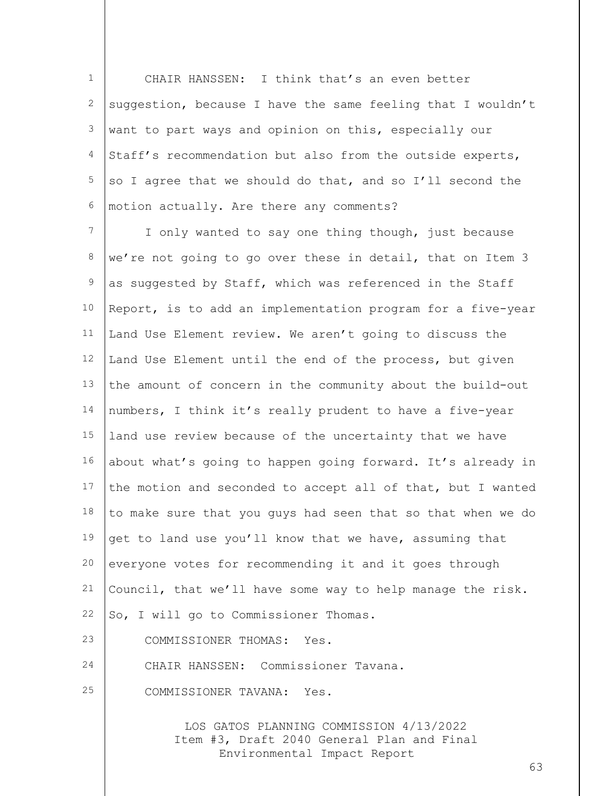1 2 3 4 5 6 CHAIR HANSSEN: I think that's an even better suggestion, because I have the same feeling that I wouldn't want to part ways and opinion on this, especially our Staff's recommendation but also from the outside experts, so I agree that we should do that, and so I'll second the motion actually. Are there any comments?

7 8 9 10 11 12 13 14 15 16 17 18 19 20 21 22 23 24 I only wanted to say one thing though, just because we're not going to go over these in detail, that on Item 3 as suggested by Staff, which was referenced in the Staff Report, is to add an implementation program for a five-year Land Use Element review. We aren't going to discuss the Land Use Element until the end of the process, but given the amount of concern in the community about the build-out numbers, I think it's really prudent to have a five-year land use review because of the uncertainty that we have about what's going to happen going forward. It's already in the motion and seconded to accept all of that, but I wanted to make sure that you guys had seen that so that when we do get to land use you'll know that we have, assuming that everyone votes for recommending it and it goes through Council, that we'll have some way to help manage the risk. So, I will go to Commissioner Thomas. COMMISSIONER THOMAS: Yes. CHAIR HANSSEN: Commissioner Tavana.

25 COMMISSIONER TAVANA: Yes.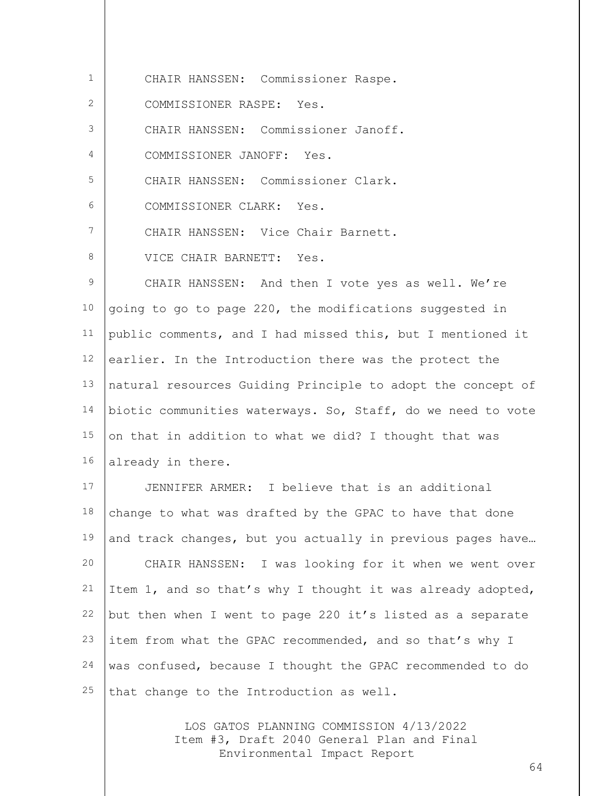1 2 3 4 5 6 7 8 9 10 11 12 13 14 15 16 17 18 19 20 21 22 23 24 25 CHAIR HANSSEN: Commissioner Raspe. COMMISSIONER RASPE: Yes. CHAIR HANSSEN: Commissioner Janoff. COMMISSIONER JANOFF: Yes. CHAIR HANSSEN: Commissioner Clark. COMMISSIONER CLARK: Yes. CHAIR HANSSEN: Vice Chair Barnett. VICE CHAIR BARNETT: Yes. CHAIR HANSSEN: And then I vote yes as well. We're going to go to page 220, the modifications suggested in public comments, and I had missed this, but I mentioned it earlier. In the Introduction there was the protect the natural resources Guiding Principle to adopt the concept of biotic communities waterways. So, Staff, do we need to vote on that in addition to what we did? I thought that was already in there. JENNIFER ARMER: I believe that is an additional change to what was drafted by the GPAC to have that done and track changes, but you actually in previous pages have… CHAIR HANSSEN: I was looking for it when we went over Item 1, and so that's why I thought it was already adopted, but then when I went to page 220 it's listed as a separate item from what the GPAC recommended, and so that's why I was confused, because I thought the GPAC recommended to do that change to the Introduction as well.

> LOS GATOS PLANNING COMMISSION 4/13/2022 Item #3, Draft 2040 General Plan and Final Environmental Impact Report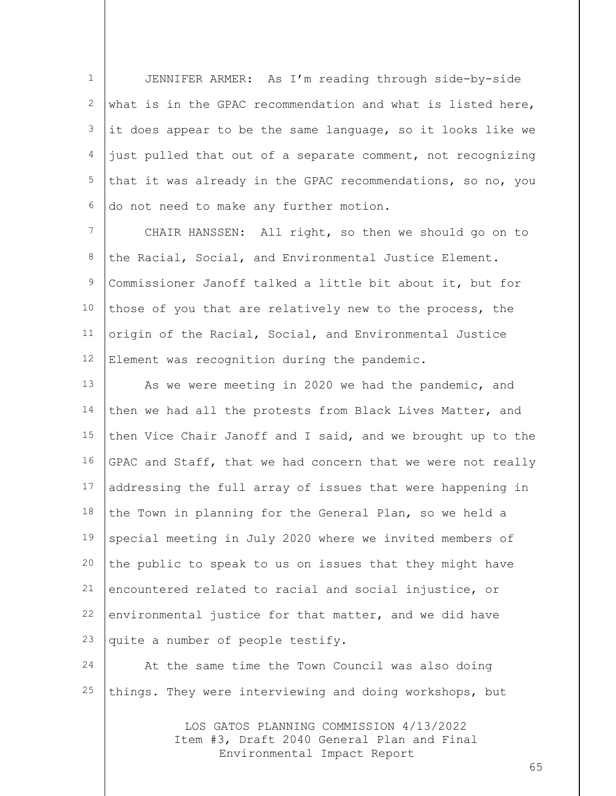1 2 3 4 5 6 JENNIFER ARMER: As I'm reading through side-by-side what is in the GPAC recommendation and what is listed here, it does appear to be the same language, so it looks like we just pulled that out of a separate comment, not recognizing that it was already in the GPAC recommendations, so no, you do not need to make any further motion.

7 8 9 10 11 12 CHAIR HANSSEN: All right, so then we should go on to the Racial, Social, and Environmental Justice Element. Commissioner Janoff talked a little bit about it, but for those of you that are relatively new to the process, the origin of the Racial, Social, and Environmental Justice Element was recognition during the pandemic.

13 14 15 16 17 18 19 20 21 22 23 As we were meeting in 2020 we had the pandemic, and then we had all the protests from Black Lives Matter, and then Vice Chair Janoff and I said, and we brought up to the GPAC and Staff, that we had concern that we were not really addressing the full array of issues that were happening in the Town in planning for the General Plan, so we held a special meeting in July 2020 where we invited members of the public to speak to us on issues that they might have encountered related to racial and social injustice, or environmental justice for that matter, and we did have quite a number of people testify.

24 25 At the same time the Town Council was also doing things. They were interviewing and doing workshops, but

> LOS GATOS PLANNING COMMISSION 4/13/2022 Item #3, Draft 2040 General Plan and Final Environmental Impact Report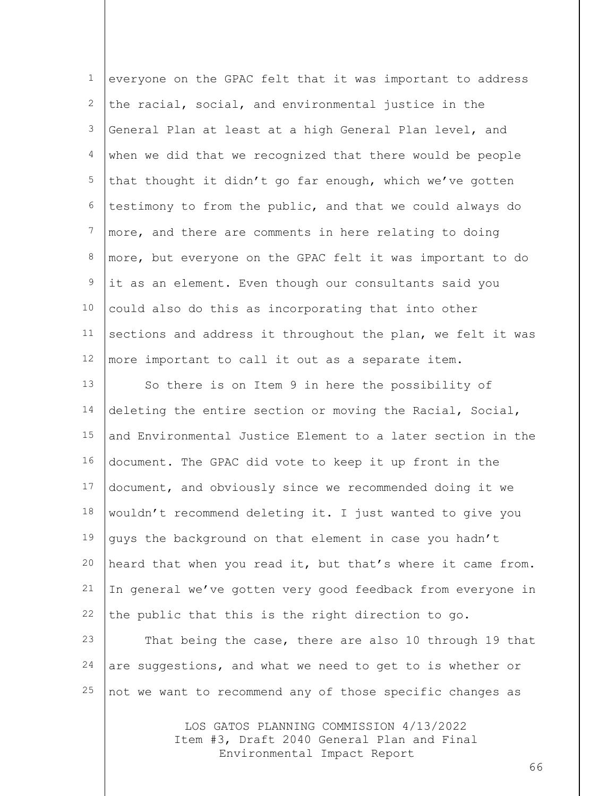| $\mathbf 1$      | everyone on the GPAC felt that it was important to address  |
|------------------|-------------------------------------------------------------|
| 2                | the racial, social, and environmental justice in the        |
| 3                | General Plan at least at a high General Plan level, and     |
| 4                | when we did that we recognized that there would be people   |
| 5                | that thought it didn't go far enough, which we've gotten    |
| 6                | testimony to from the public, and that we could always do   |
| $\boldsymbol{7}$ | more, and there are comments in here relating to doing      |
| 8                | more, but everyone on the GPAC felt it was important to do  |
| $\mathcal{G}$    | it as an element. Even though our consultants said you      |
| 10               | could also do this as incorporating that into other         |
| 11               | sections and address it throughout the plan, we felt it was |
| 12               | more important to call it out as a separate item.           |
| 13               | So there is on Item 9 in here the possibility of            |
| 14               | deleting the entire section or moving the Racial, Social,   |
| 15               | and Environmental Justice Element to a later section in the |
| 16               | document. The GPAC did vote to keep it up front in the      |
| 17               | document, and obviously since we recommended doing it we    |
| 18               | wouldn't recommend deleting it. I just wanted to give you   |
| 19               | guys the background on that element in case you hadn't      |
| 20               | heard that when you read it, but that's where it came from. |
| 21               | In general we've gotten very good feedback from everyone in |
| 22               | the public that this is the right direction to go.          |
| 23               | That being the case, there are also 10 through 19 that      |
| 24               | are suggestions, and what we need to get to is whether or   |
| 25               | not we want to recommend any of those specific changes as   |
|                  |                                                             |

LOS GATOS PLANNING COMMISSION 4/13/2022 Item #3, Draft 2040 General Plan and Final Environmental Impact Report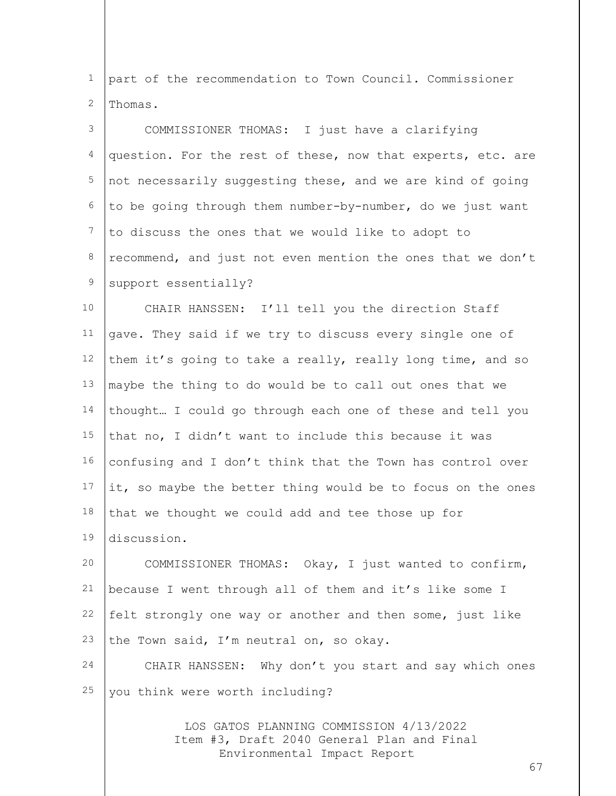1 2 part of the recommendation to Town Council. Commissioner Thomas.

3 4 5 6 7 8 9 COMMISSIONER THOMAS: I just have a clarifying question. For the rest of these, now that experts, etc. are not necessarily suggesting these, and we are kind of going to be going through them number-by-number, do we just want to discuss the ones that we would like to adopt to recommend, and just not even mention the ones that we don't support essentially?

10 11 12 13 14 15 16 17 18 19 CHAIR HANSSEN: I'll tell you the direction Staff gave. They said if we try to discuss every single one of them it's going to take a really, really long time, and so maybe the thing to do would be to call out ones that we thought… I could go through each one of these and tell you that no, I didn't want to include this because it was confusing and I don't think that the Town has control over it, so maybe the better thing would be to focus on the ones that we thought we could add and tee those up for discussion.

20 21 22 23 COMMISSIONER THOMAS: Okay, I just wanted to confirm, because I went through all of them and it's like some I felt strongly one way or another and then some, just like the Town said, I'm neutral on, so okay.

24 25 CHAIR HANSSEN: Why don't you start and say which ones you think were worth including?

> LOS GATOS PLANNING COMMISSION 4/13/2022 Item #3, Draft 2040 General Plan and Final Environmental Impact Report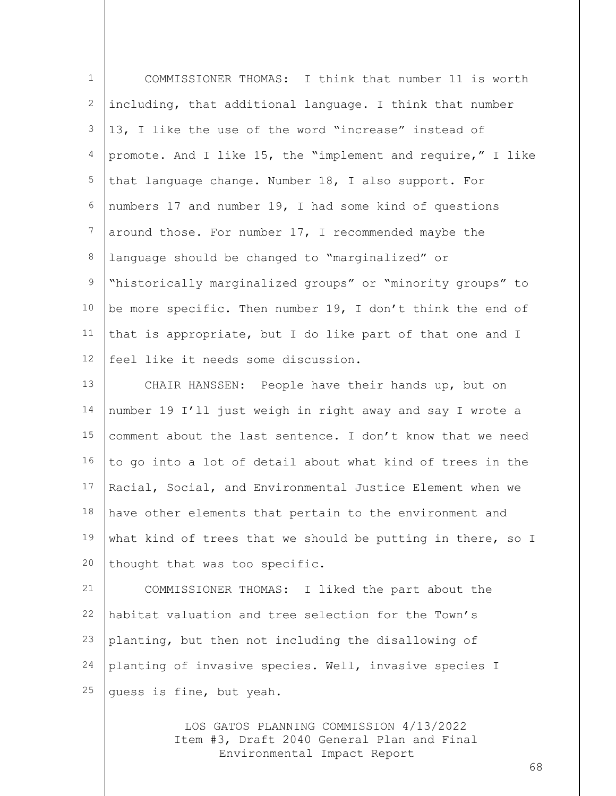| $\mathbf{1}$    | COMMISSIONER THOMAS: I think that number 11 is worth        |
|-----------------|-------------------------------------------------------------|
| 2               | including, that additional language. I think that number    |
| 3               | 13, I like the use of the word "increase" instead of        |
| 4               | promote. And I like 15, the "implement and require," I like |
| $\overline{5}$  | that language change. Number 18, I also support. For        |
| 6               | numbers 17 and number 19, I had some kind of questions      |
| $7\phantom{.0}$ | around those. For number 17, I recommended maybe the        |
| 8               | language should be changed to "marginalized" or             |
| $\mathsf 9$     | "historically marginalized groups" or "minority groups" to  |
| 10              | be more specific. Then number 19, I don't think the end of  |
| 11              | that is appropriate, but I do like part of that one and I   |
| 12              | feel like it needs some discussion.                         |
| 13              | CHAIR HANSSEN: People have their hands up, but on           |
| 14              | number 19 I'll just weigh in right away and say I wrote a   |
| 15              | comment about the last sentence. I don't know that we need  |
| 16              | to go into a lot of detail about what kind of trees in the  |
| 17              | Racial, Social, and Environmental Justice Element when we   |
| 18              | have other elements that pertain to the environment and     |
| 19              | what kind of trees that we should be putting in there, so I |
| 20              | thought that was too specific.                              |
| 21              | COMMISSIONER THOMAS: I liked the part about the             |
| 22              | habitat valuation and tree selection for the Town's         |
| 23              | planting, but then not including the disallowing of         |
| 24              | planting of invasive species. Well, invasive species I      |
| 25              | guess is fine, but yeah.                                    |

LOS GATOS PLANNING COMMISSION 4/13/2022 Item #3, Draft 2040 General Plan and Final Environmental Impact Report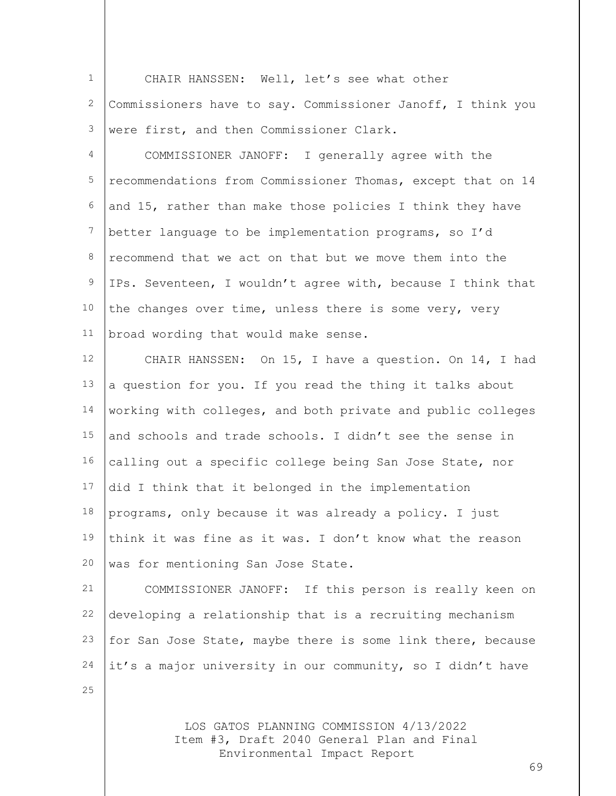1 2 3 CHAIR HANSSEN: Well, let's see what other Commissioners have to say. Commissioner Janoff, I think you were first, and then Commissioner Clark.

4 5 6 7 8 9 10 11 COMMISSIONER JANOFF: I generally agree with the recommendations from Commissioner Thomas, except that on 14 and 15, rather than make those policies I think they have better language to be implementation programs, so I'd recommend that we act on that but we move them into the IPs. Seventeen, I wouldn't agree with, because I think that the changes over time, unless there is some very, very broad wording that would make sense.

12 13 14 15 16 17 18 19 20 CHAIR HANSSEN: On 15, I have a question. On 14, I had a question for you. If you read the thing it talks about working with colleges, and both private and public colleges and schools and trade schools. I didn't see the sense in calling out a specific college being San Jose State, nor did I think that it belonged in the implementation programs, only because it was already a policy. I just think it was fine as it was. I don't know what the reason was for mentioning San Jose State.

21 22 23 24 COMMISSIONER JANOFF: If this person is really keen on developing a relationship that is a recruiting mechanism for San Jose State, maybe there is some link there, because it's a major university in our community, so I didn't have

25

LOS GATOS PLANNING COMMISSION 4/13/2022 Item #3, Draft 2040 General Plan and Final Environmental Impact Report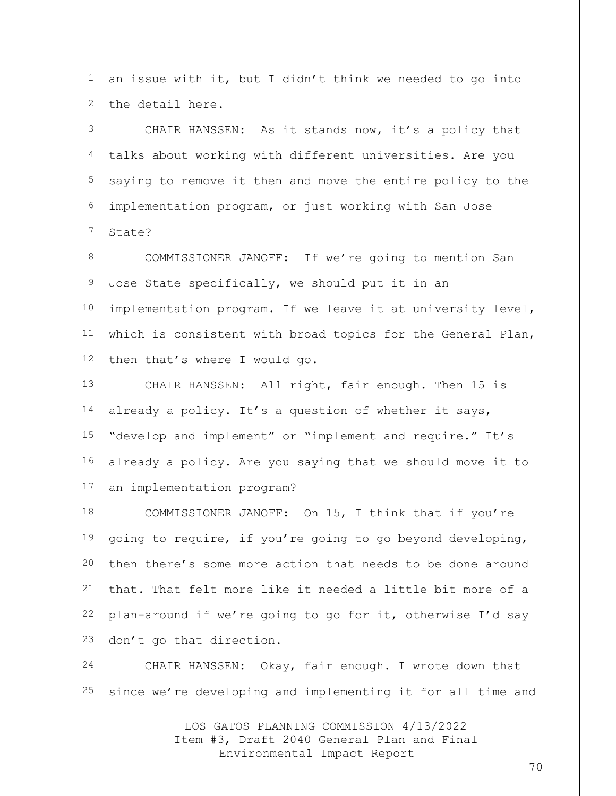LOS GATOS PLANNING COMMISSION 4/13/2022 1 2 3 4 5 6 7 8 9 10 11 12 13 14 15 16 17 18 19 20 21 22 23 24 25 an issue with it, but I didn't think we needed to go into the detail here. CHAIR HANSSEN: As it stands now, it's a policy that talks about working with different universities. Are you saying to remove it then and move the entire policy to the implementation program, or just working with San Jose State? COMMISSIONER JANOFF: If we're going to mention San Jose State specifically, we should put it in an implementation program. If we leave it at university level, which is consistent with broad topics for the General Plan, then that's where I would go. CHAIR HANSSEN: All right, fair enough. Then 15 is already a policy. It's a question of whether it says, "develop and implement" or "implement and require." It's already a policy. Are you saying that we should move it to an implementation program? COMMISSIONER JANOFF: On 15, I think that if you're going to require, if you're going to go beyond developing, then there's some more action that needs to be done around that. That felt more like it needed a little bit more of a plan-around if we're going to go for it, otherwise I'd say don't go that direction. CHAIR HANSSEN: Okay, fair enough. I wrote down that since we're developing and implementing it for all time and

Item #3, Draft 2040 General Plan and Final Environmental Impact Report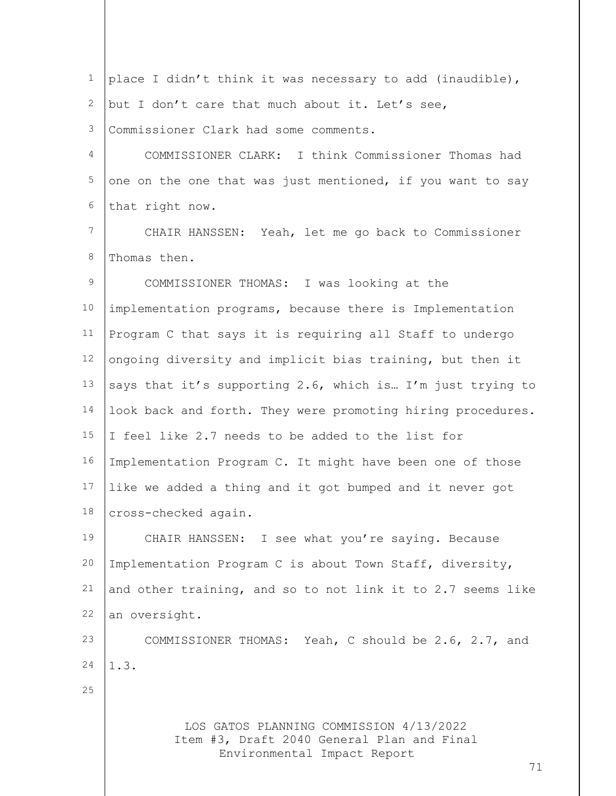| 1  | place I didn't think it was necessary to add (inaudible),                                                                  |
|----|----------------------------------------------------------------------------------------------------------------------------|
| 2  | but I don't care that much about it. Let's see,                                                                            |
| 3  | Commissioner Clark had some comments.                                                                                      |
| 4  | COMMISSIONER CLARK: I think Commissioner Thomas had                                                                        |
| 5  | one on the one that was just mentioned, if you want to say                                                                 |
| 6  | that right now.                                                                                                            |
| 7  | CHAIR HANSSEN: Yeah, let me go back to Commissioner                                                                        |
| 8  | Thomas then.                                                                                                               |
| 9  | COMMISSIONER THOMAS: I was looking at the                                                                                  |
| 10 | implementation programs, because there is Implementation                                                                   |
| 11 | Program C that says it is requiring all Staff to undergo                                                                   |
| 12 | ongoing diversity and implicit bias training, but then it                                                                  |
| 13 | says that it's supporting 2.6, which is I'm just trying to                                                                 |
| 14 | look back and forth. They were promoting hiring procedures.                                                                |
| 15 | I feel like 2.7 needs to be added to the list for                                                                          |
| 16 | Implementation Program C. It might have been one of those                                                                  |
| 17 | like we added a thing and it got bumped and it never got                                                                   |
|    | 18 cross-checked again.                                                                                                    |
| 19 | CHAIR HANSSEN: I see what you're saying. Because                                                                           |
| 20 | Implementation Program C is about Town Staff, diversity,                                                                   |
| 21 | and other training, and so to not link it to 2.7 seems like                                                                |
| 22 | an oversight.                                                                                                              |
| 23 | COMMISSIONER THOMAS: Yeah, C should be 2.6, 2.7, and                                                                       |
| 24 | 1.3.                                                                                                                       |
| 25 |                                                                                                                            |
|    | LOS GATOS PLANNING COMMISSION 4/13/2022<br>Item #3, Draft 2040 General Plan and Final<br>Environmental Impact Report<br>71 |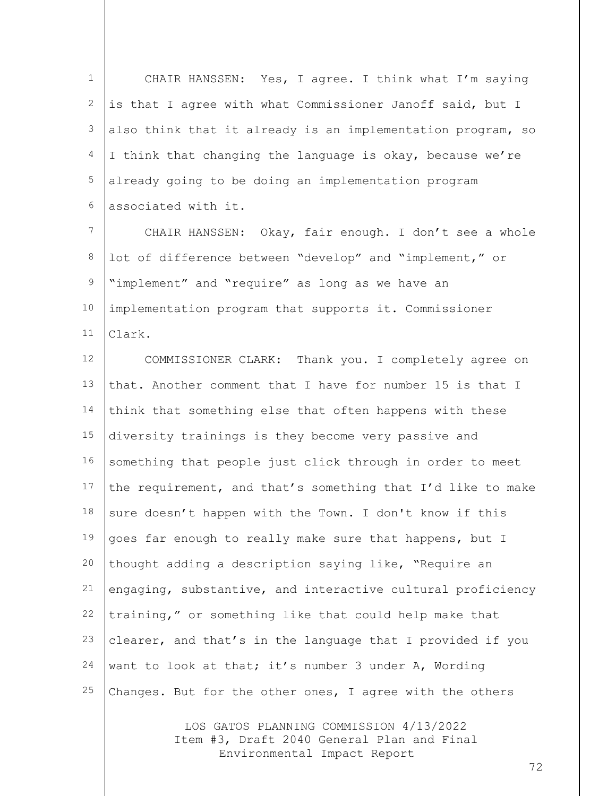1 2 3 4 5 6 CHAIR HANSSEN: Yes, I agree. I think what I'm saying is that I agree with what Commissioner Janoff said, but I also think that it already is an implementation program, so I think that changing the language is okay, because we're already going to be doing an implementation program associated with it.

7 8 9 10 11 CHAIR HANSSEN: Okay, fair enough. I don't see a whole lot of difference between "develop" and "implement," or "implement" and "require" as long as we have an implementation program that supports it. Commissioner Clark.

12 13 14 15 16 17 18 19 20 21 22 23 24 25 COMMISSIONER CLARK: Thank you. I completely agree on that. Another comment that I have for number 15 is that I think that something else that often happens with these diversity trainings is they become very passive and something that people just click through in order to meet the requirement, and that's something that I'd like to make sure doesn't happen with the Town. I don't know if this goes far enough to really make sure that happens, but I thought adding a description saying like, "Require an engaging, substantive, and interactive cultural proficiency training," or something like that could help make that clearer, and that's in the language that I provided if you want to look at that; it's number 3 under A, Wording Changes. But for the other ones, I agree with the others

> LOS GATOS PLANNING COMMISSION 4/13/2022 Item #3, Draft 2040 General Plan and Final Environmental Impact Report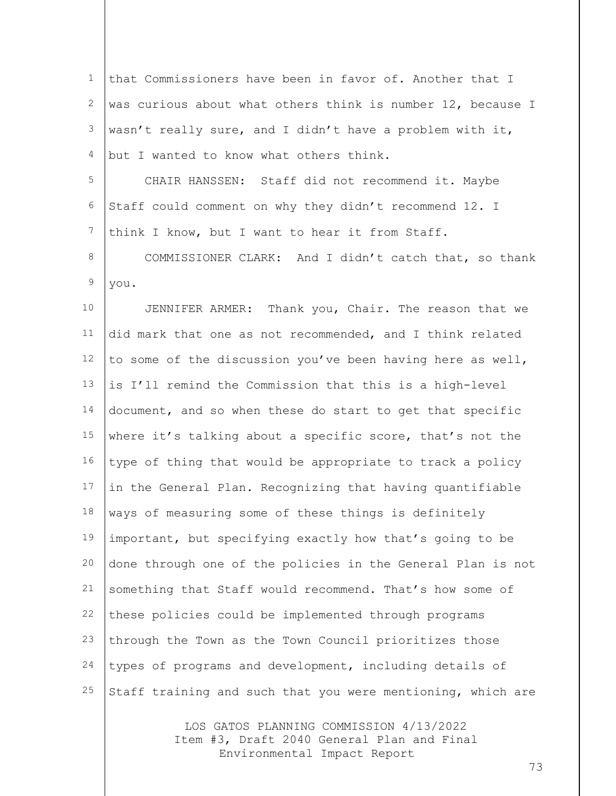1 2 3 4 5 6 7 8 9 10 11 12 13 14 15 16 17 18 19 20 21 22 23 24 25 that Commissioners have been in favor of. Another that I was curious about what others think is number 12, because I wasn't really sure, and I didn't have a problem with it, but I wanted to know what others think. CHAIR HANSSEN: Staff did not recommend it. Maybe Staff could comment on why they didn't recommend 12. I think I know, but I want to hear it from Staff. COMMISSIONER CLARK: And I didn't catch that, so thank you. JENNIFER ARMER: Thank you, Chair. The reason that we did mark that one as not recommended, and I think related to some of the discussion you've been having here as well, is I'll remind the Commission that this is a high-level document, and so when these do start to get that specific where it's talking about a specific score, that's not the type of thing that would be appropriate to track a policy in the General Plan. Recognizing that having quantifiable ways of measuring some of these things is definitely important, but specifying exactly how that's going to be done through one of the policies in the General Plan is not something that Staff would recommend. That's how some of these policies could be implemented through programs through the Town as the Town Council prioritizes those types of programs and development, including details of Staff training and such that you were mentioning, which are

> LOS GATOS PLANNING COMMISSION 4/13/2022 Item #3, Draft 2040 General Plan and Final Environmental Impact Report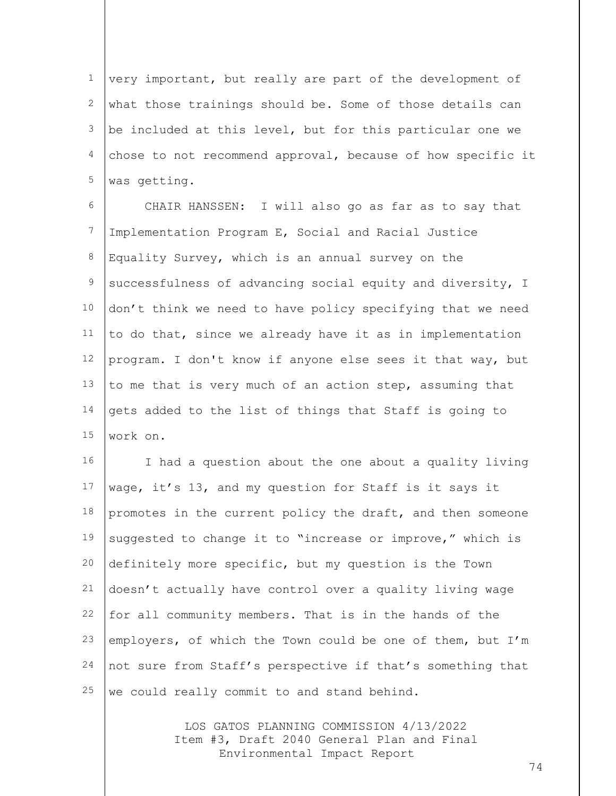1 2 3 4 5 very important, but really are part of the development of what those trainings should be. Some of those details can be included at this level, but for this particular one we chose to not recommend approval, because of how specific it was getting.

6 7 8 9 10 11 12 13 14 15 CHAIR HANSSEN: I will also go as far as to say that Implementation Program E, Social and Racial Justice Equality Survey, which is an annual survey on the successfulness of advancing social equity and diversity, I don't think we need to have policy specifying that we need to do that, since we already have it as in implementation program. I don't know if anyone else sees it that way, but to me that is very much of an action step, assuming that gets added to the list of things that Staff is going to work on.

16 17 18 19 20 21 22 23 24 25 I had a question about the one about a quality living wage, it's 13, and my question for Staff is it says it promotes in the current policy the draft, and then someone suggested to change it to "increase or improve," which is definitely more specific, but my question is the Town doesn't actually have control over a quality living wage for all community members. That is in the hands of the employers, of which the Town could be one of them, but I'm not sure from Staff's perspective if that's something that we could really commit to and stand behind.

> LOS GATOS PLANNING COMMISSION 4/13/2022 Item #3, Draft 2040 General Plan and Final Environmental Impact Report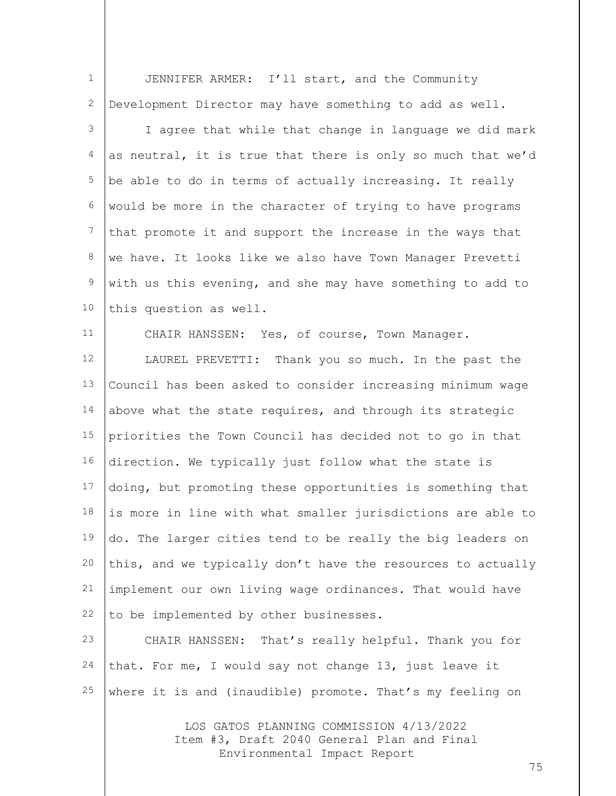| $\mathbf{1}$ | JENNIFER ARMER: I'll start, and the Community                                         |
|--------------|---------------------------------------------------------------------------------------|
| 2            | Development Director may have something to add as well.                               |
| 3            | I agree that while that change in language we did mark                                |
| 4            | as neutral, it is true that there is only so much that we'd                           |
| 5            | be able to do in terms of actually increasing. It really                              |
| 6            | would be more in the character of trying to have programs                             |
| 7            | that promote it and support the increase in the ways that                             |
| 8            | we have. It looks like we also have Town Manager Prevetti                             |
| $\mathsf 9$  | with us this evening, and she may have something to add to                            |
| 10           | this question as well.                                                                |
| 11           | CHAIR HANSSEN: Yes, of course, Town Manager.                                          |
| 12           | LAUREL PREVETTI: Thank you so much. In the past the                                   |
| 13           | Council has been asked to consider increasing minimum wage                            |
| 14           | above what the state requires, and through its strategic                              |
| 15           | priorities the Town Council has decided not to go in that                             |
| 16           | direction. We typically just follow what the state is                                 |
| 17           | doing, but promoting these opportunities is something that                            |
| 18           | is more in line with what smaller jurisdictions are able to                           |
| 19           | do. The larger cities tend to be really the big leaders on                            |
| 20           | this, and we typically don't have the resources to actually                           |
| 21           | implement our own living wage ordinances. That would have                             |
| 22           | to be implemented by other businesses.                                                |
| 23           | CHAIR HANSSEN: That's really helpful. Thank you for                                   |
| 24           | that. For me, I would say not change 13, just leave it                                |
| 25           | where it is and (inaudible) promote. That's my feeling on                             |
|              | LOS GATOS PLANNING COMMISSION 4/13/2022<br>Item #3, Draft 2040 General Plan and Final |

Environmental Impact Report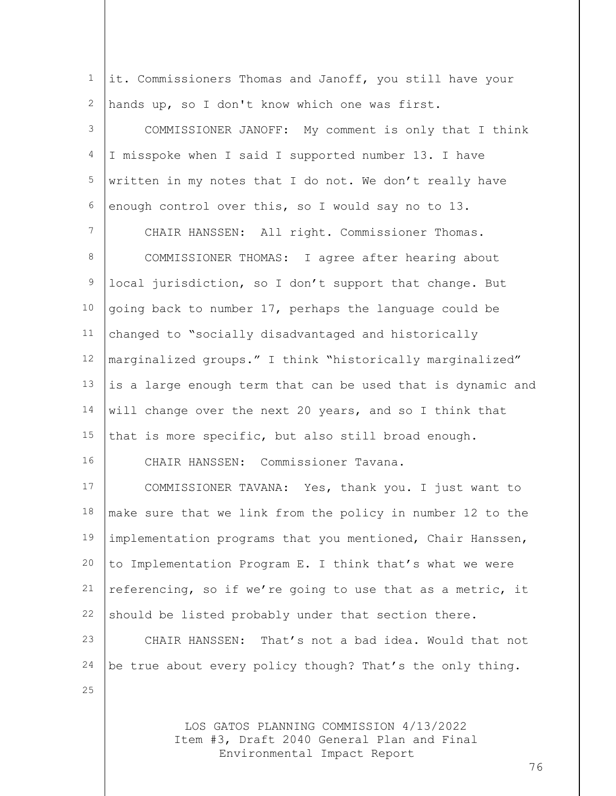LOS GATOS PLANNING COMMISSION 4/13/2022 Item #3, Draft 2040 General Plan and Final 1 2 3 4 5 6 7 8 9 10 11 12 13 14 15 16 17 18 19 20 21 22 23 24 25 it. Commissioners Thomas and Janoff, you still have your hands up, so I don't know which one was first. COMMISSIONER JANOFF: My comment is only that I think I misspoke when I said I supported number 13. I have written in my notes that I do not. We don't really have enough control over this, so I would say no to 13. CHAIR HANSSEN: All right. Commissioner Thomas. COMMISSIONER THOMAS: I agree after hearing about local jurisdiction, so I don't support that change. But going back to number 17, perhaps the language could be changed to "socially disadvantaged and historically marginalized groups." I think "historically marginalized" is a large enough term that can be used that is dynamic and will change over the next 20 years, and so I think that that is more specific, but also still broad enough. CHAIR HANSSEN: Commissioner Tavana. COMMISSIONER TAVANA: Yes, thank you. I just want to make sure that we link from the policy in number 12 to the implementation programs that you mentioned, Chair Hanssen, to Implementation Program E. I think that's what we were referencing, so if we're going to use that as a metric, it should be listed probably under that section there. CHAIR HANSSEN: That's not a bad idea. Would that not be true about every policy though? That's the only thing.

Environmental Impact Report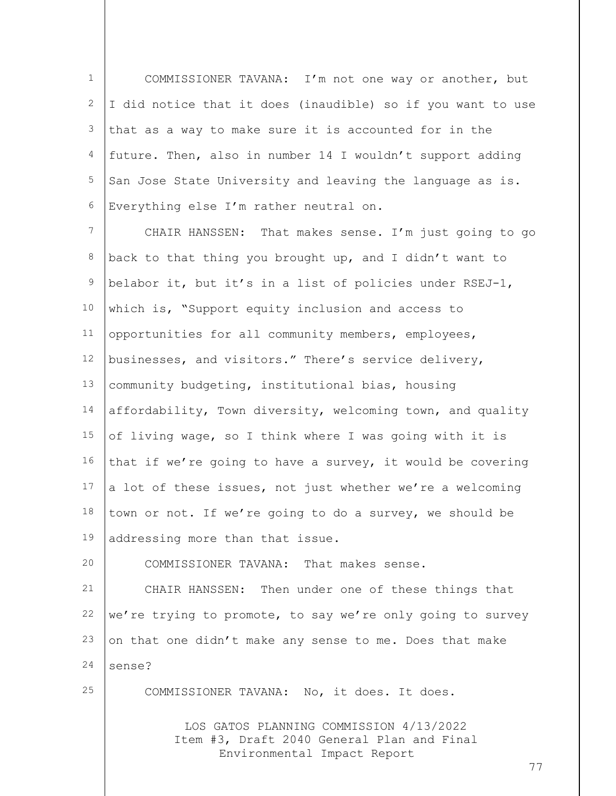1 2 3 4 5 6 COMMISSIONER TAVANA: I'm not one way or another, but I did notice that it does (inaudible) so if you want to use that as a way to make sure it is accounted for in the future. Then, also in number 14 I wouldn't support adding San Jose State University and leaving the language as is. Everything else I'm rather neutral on.

7 8 9 10 11 12 13 14 15 16 17 18 19 CHAIR HANSSEN: That makes sense. I'm just going to go back to that thing you brought up, and I didn't want to belabor it, but it's in a list of policies under RSEJ-1, which is, "Support equity inclusion and access to opportunities for all community members, employees, businesses, and visitors." There's service delivery, community budgeting, institutional bias, housing affordability, Town diversity, welcoming town, and quality of living wage, so I think where I was going with it is that if we're going to have a survey, it would be covering a lot of these issues, not just whether we're a welcoming town or not. If we're going to do a survey, we should be addressing more than that issue.

COMMISSIONER TAVANA: That makes sense.

21 22 23 24 CHAIR HANSSEN: Then under one of these things that we're trying to promote, to say we're only going to survey on that one didn't make any sense to me. Does that make sense?

25

20

COMMISSIONER TAVANA: No, it does. It does.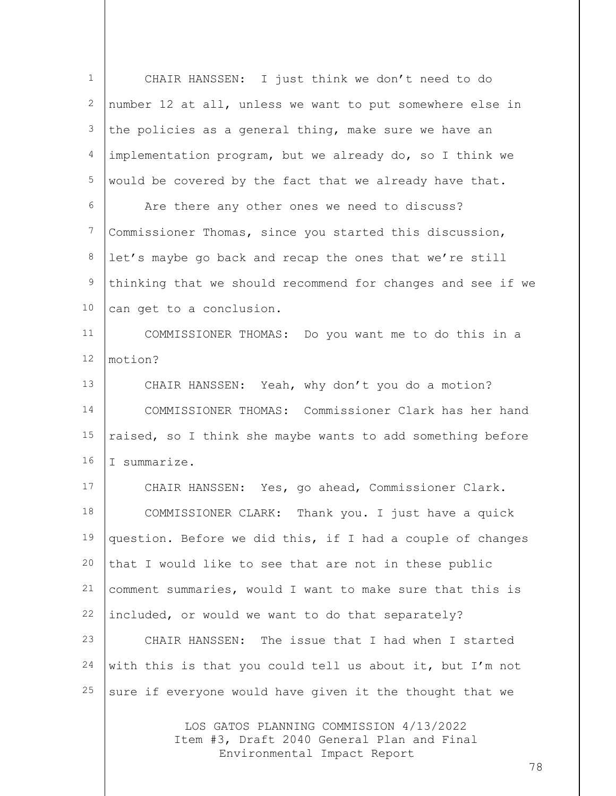| $\mathbf{1}$     | CHAIR HANSSEN: I just think we don't need to do                                       |
|------------------|---------------------------------------------------------------------------------------|
| $\mathbf{2}$     | number 12 at all, unless we want to put somewhere else in                             |
| 3                | the policies as a general thing, make sure we have an                                 |
| 4                | implementation program, but we already do, so I think we                              |
| 5                | would be covered by the fact that we already have that.                               |
| 6                | Are there any other ones we need to discuss?                                          |
| $\boldsymbol{7}$ | Commissioner Thomas, since you started this discussion,                               |
| 8                | let's maybe go back and recap the ones that we're still                               |
| $\mathsf 9$      | thinking that we should recommend for changes and see if we                           |
| 10               | can get to a conclusion.                                                              |
| 11               | COMMISSIONER THOMAS: Do you want me to do this in a                                   |
| 12               | motion?                                                                               |
| 13               | CHAIR HANSSEN: Yeah, why don't you do a motion?                                       |
| 14               | COMMISSIONER THOMAS: Commissioner Clark has her hand                                  |
| 15               | raised, so I think she maybe wants to add something before                            |
| 16               | I summarize.                                                                          |
| 17               | CHAIR HANSSEN: Yes, go ahead, Commissioner Clark.                                     |
| 18               | Thank you. I just have a quick<br>COMMISSIONER CLARK:                                 |
| 19               | question. Before we did this, if I had a couple of changes                            |
| 20               | that I would like to see that are not in these public                                 |
| 21               | comment summaries, would I want to make sure that this is                             |
| 22               | included, or would we want to do that separately?                                     |
| 23               | CHAIR HANSSEN: The issue that I had when I started                                    |
| 24               | with this is that you could tell us about it, but I'm not                             |
| 25               | sure if everyone would have given it the thought that we                              |
|                  | LOS GATOS PLANNING COMMISSION 4/13/2022<br>Item #3, Draft 2040 General Plan and Final |

Environmental Impact Report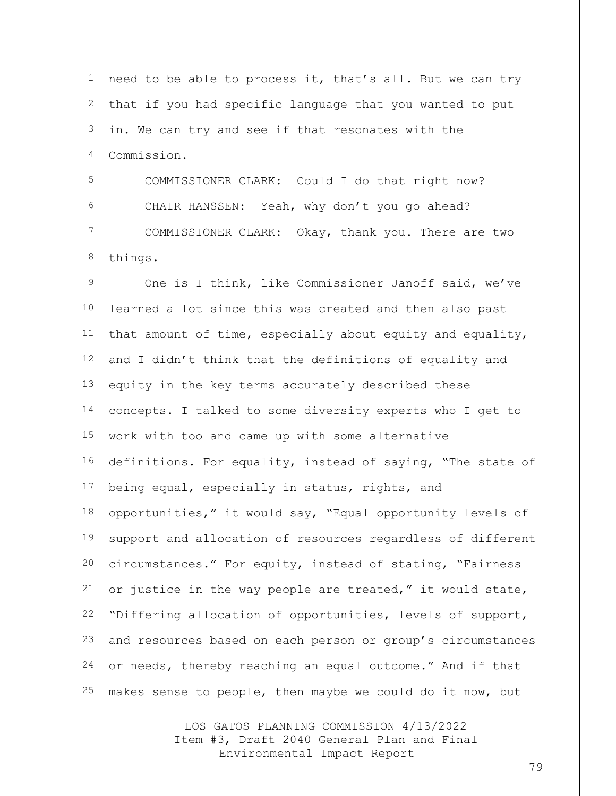1 2 3 4 5 6 7 8 9 10 11 12 13 14 15 16 17 18 19 20 21 22 23 24 25 need to be able to process it, that's all. But we can try that if you had specific language that you wanted to put in. We can try and see if that resonates with the Commission. COMMISSIONER CLARK: Could I do that right now? CHAIR HANSSEN: Yeah, why don't you go ahead? COMMISSIONER CLARK: Okay, thank you. There are two things. One is I think, like Commissioner Janoff said, we've learned a lot since this was created and then also past that amount of time, especially about equity and equality, and I didn't think that the definitions of equality and equity in the key terms accurately described these concepts. I talked to some diversity experts who I get to work with too and came up with some alternative definitions. For equality, instead of saying, "The state of being equal, especially in status, rights, and opportunities," it would say, "Equal opportunity levels of support and allocation of resources regardless of different circumstances." For equity, instead of stating, "Fairness or justice in the way people are treated," it would state, "Differing allocation of opportunities, levels of support, and resources based on each person or group's circumstances or needs, thereby reaching an equal outcome." And if that makes sense to people, then maybe we could do it now, but

> LOS GATOS PLANNING COMMISSION 4/13/2022 Item #3, Draft 2040 General Plan and Final Environmental Impact Report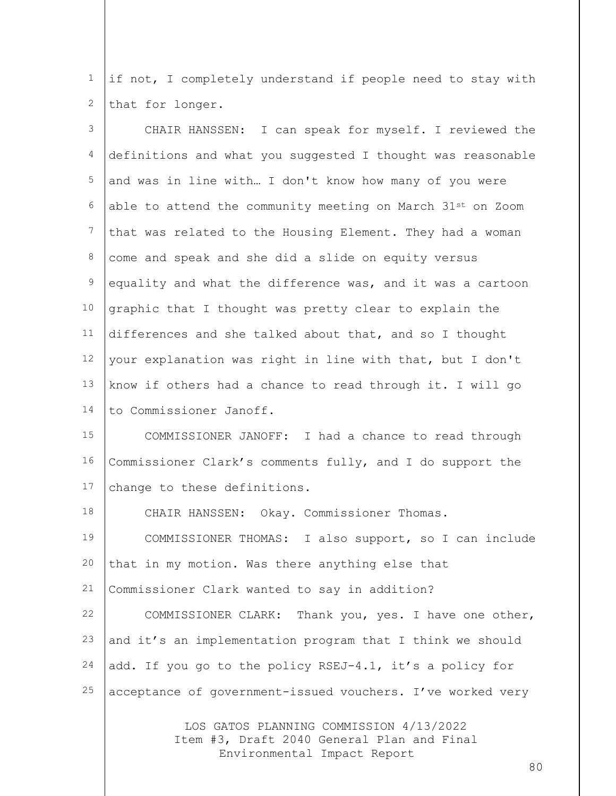1 2 if not, I completely understand if people need to stay with that for longer.

| 3           | CHAIR HANSSEN: I can speak for myself. I reviewed the                  |
|-------------|------------------------------------------------------------------------|
| 4           | definitions and what you suggested I thought was reasonable            |
| 5           | and was in line with I don't know how many of you were                 |
| 6           | able to attend the community meeting on March 31 <sup>st</sup> on Zoom |
| 7           | that was related to the Housing Element. They had a woman              |
| 8           | come and speak and she did a slide on equity versus                    |
| $\mathsf 9$ | equality and what the difference was, and it was a cartoon             |
| 10          | graphic that I thought was pretty clear to explain the                 |
| 11          | differences and she talked about that, and so I thought                |
| 12          | your explanation was right in line with that, but I don't              |
| 13          | know if others had a chance to read through it. I will go              |
| 14          | to Commissioner Janoff.                                                |
| 15          | COMMISSIONER JANOFF: I had a chance to read through                    |
| 16          | Commissioner Clark's comments fully, and I do support the              |
| 17          | change to these definitions.                                           |
| 18          | CHAIR HANSSEN: Okay. Commissioner Thomas.                              |
| 19          | COMMISSIONER THOMAS: I also support, so I can include                  |
| 20          | that in my motion. Was there anything else that                        |
| 21          | Commissioner Clark wanted to say in addition?                          |
| 22          | COMMISSIONER CLARK: Thank you, yes. I have one other,                  |
| 23          | and it's an implementation program that I think we should              |
| 24          | add. If you go to the policy RSEJ-4.1, it's a policy for               |
| 25          | acceptance of government-issued vouchers. I've worked very             |
|             |                                                                        |

LOS GATOS PLANNING COMMISSION 4/13/2022 Item #3, Draft 2040 General Plan and Final Environmental Impact Report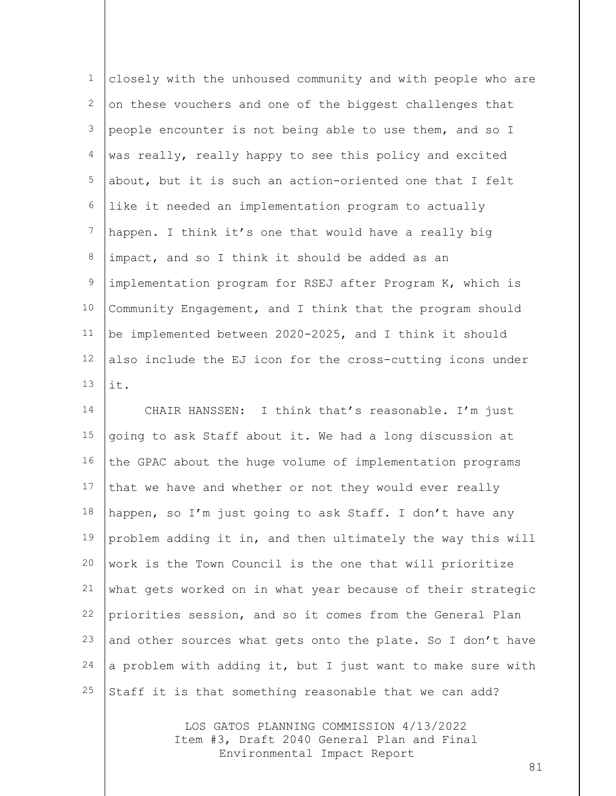| $\mathbf{1}$     | closely with the unhoused community and with people who are |
|------------------|-------------------------------------------------------------|
| 2                | on these vouchers and one of the biggest challenges that    |
| 3                | people encounter is not being able to use them, and so I    |
| 4                | was really, really happy to see this policy and excited     |
| 5                | about, but it is such an action-oriented one that I felt    |
| 6                | like it needed an implementation program to actually        |
| $\boldsymbol{7}$ | happen. I think it's one that would have a really big       |
| 8                | impact, and so I think it should be added as an             |
| 9                | implementation program for RSEJ after Program K, which is   |
| 10               | Community Engagement, and I think that the program should   |
| 11               | be implemented between 2020-2025, and I think it should     |
| 12               | also include the EJ icon for the cross-cutting icons under  |
| 13               | it.                                                         |
| 14               | CHAIR HANSSEN: I think that's reasonable. I'm just          |
| 15               | going to ask Staff about it. We had a long discussion at    |
| 16               | the GPAC about the huge volume of implementation programs   |
| 17               | that we have and whether or not they would ever really      |
| 18               | happen, so I'm just going to ask Staff. I don't have any    |
| 19               | problem adding it in, and then ultimately the way this will |
| 20               | work is the Town Council is the one that will prioritize    |
| 21               | what gets worked on in what year because of their strategic |
| 22               | priorities session, and so it comes from the General Plan   |
| 23               | and other sources what gets onto the plate. So I don't have |

Staff it is that something reasonable that we can add?

24

25

LOS GATOS PLANNING COMMISSION 4/13/2022 Item #3, Draft 2040 General Plan and Final Environmental Impact Report

a problem with adding it, but I just want to make sure with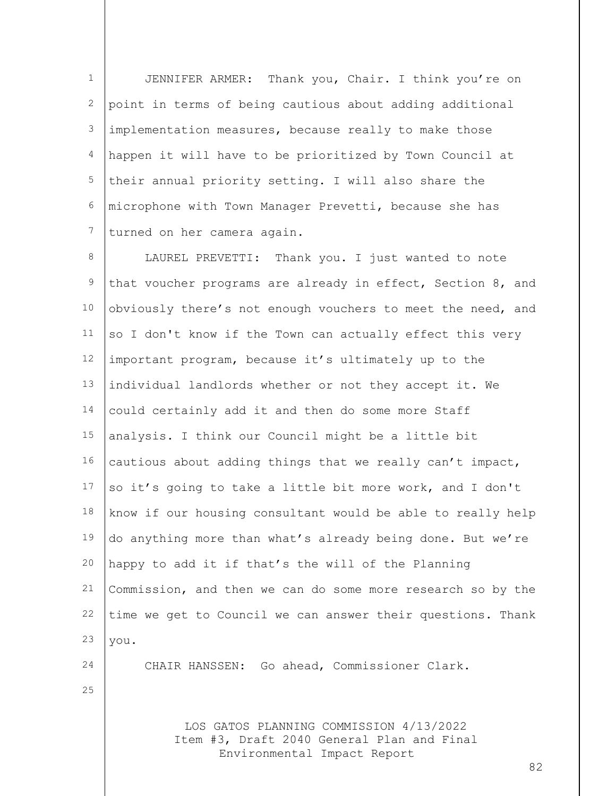1 2 3 4 5 6 7 JENNIFER ARMER: Thank you, Chair. I think you're on point in terms of being cautious about adding additional implementation measures, because really to make those happen it will have to be prioritized by Town Council at their annual priority setting. I will also share the microphone with Town Manager Prevetti, because she has turned on her camera again.

8 9 10 11 12 13 14 15 16 17 18 19 20 21 22 23 LAUREL PREVETTI: Thank you. I just wanted to note that voucher programs are already in effect, Section 8, and obviously there's not enough vouchers to meet the need, and so I don't know if the Town can actually effect this very important program, because it's ultimately up to the individual landlords whether or not they accept it. We could certainly add it and then do some more Staff analysis. I think our Council might be a little bit cautious about adding things that we really can't impact, so it's going to take a little bit more work, and I don't know if our housing consultant would be able to really help do anything more than what's already being done. But we're happy to add it if that's the will of the Planning Commission, and then we can do some more research so by the time we get to Council we can answer their questions. Thank you.

CHAIR HANSSEN: Go ahead, Commissioner Clark.

25

24

LOS GATOS PLANNING COMMISSION 4/13/2022 Item #3, Draft 2040 General Plan and Final Environmental Impact Report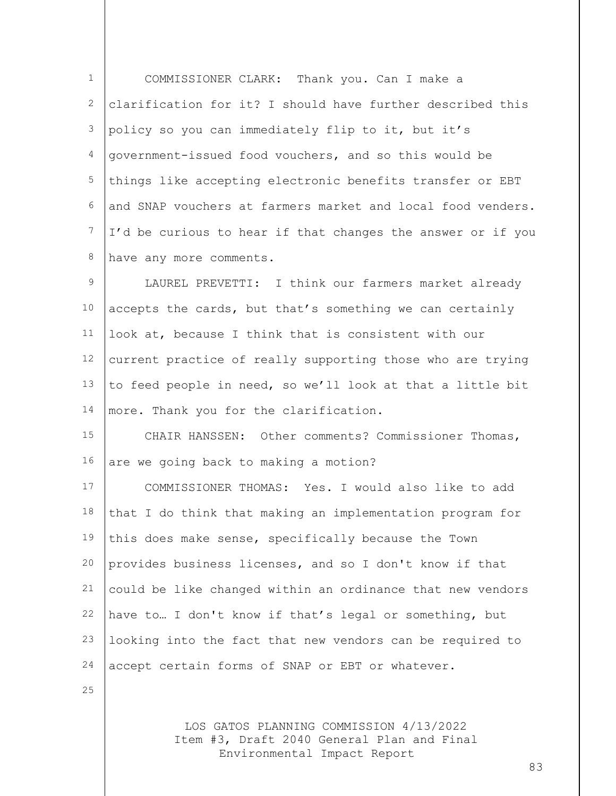1 2 3 4 5 6 7 8 COMMISSIONER CLARK: Thank you. Can I make a clarification for it? I should have further described this policy so you can immediately flip to it, but it's government-issued food vouchers, and so this would be things like accepting electronic benefits transfer or EBT and SNAP vouchers at farmers market and local food venders. I'd be curious to hear if that changes the answer or if you have any more comments.

9 10 11 12 13 14 LAUREL PREVETTI: I think our farmers market already accepts the cards, but that's something we can certainly look at, because I think that is consistent with our current practice of really supporting those who are trying to feed people in need, so we'll look at that a little bit more. Thank you for the clarification.

15 16 CHAIR HANSSEN: Other comments? Commissioner Thomas, are we going back to making a motion?

17 18 19 20 21 22 23 24 COMMISSIONER THOMAS: Yes. I would also like to add that I do think that making an implementation program for this does make sense, specifically because the Town provides business licenses, and so I don't know if that could be like changed within an ordinance that new vendors have to… I don't know if that's legal or something, but looking into the fact that new vendors can be required to accept certain forms of SNAP or EBT or whatever.

25

LOS GATOS PLANNING COMMISSION 4/13/2022 Item #3, Draft 2040 General Plan and Final Environmental Impact Report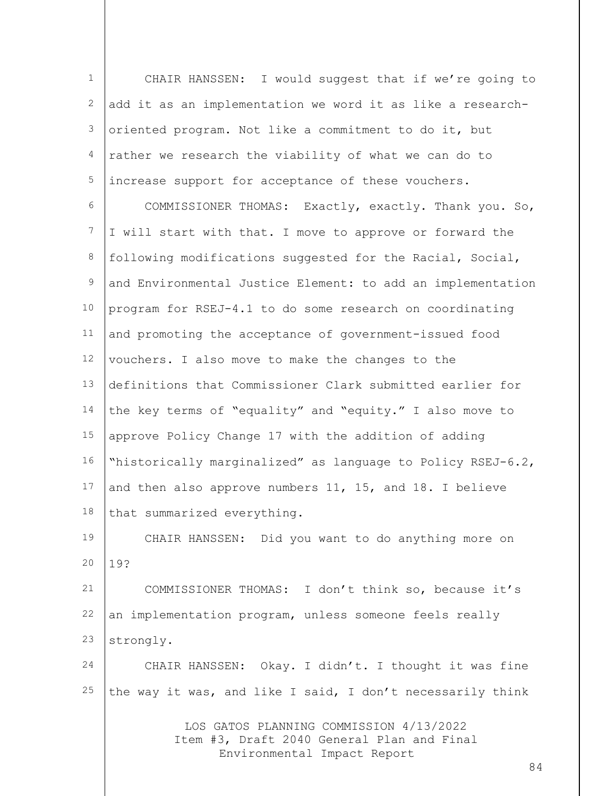| $\mathbf{1}$     | CHAIR HANSSEN: I would suggest that if we're going to                                                                      |
|------------------|----------------------------------------------------------------------------------------------------------------------------|
| $\mathbf{2}$     | add it as an implementation we word it as like a research-                                                                 |
| $\mathfrak{Z}$   | oriented program. Not like a commitment to do it, but                                                                      |
| 4                | rather we research the viability of what we can do to                                                                      |
| 5                | increase support for acceptance of these vouchers.                                                                         |
| 6                | COMMISSIONER THOMAS: Exactly, exactly. Thank you. So,                                                                      |
| $\boldsymbol{7}$ | I will start with that. I move to approve or forward the                                                                   |
| $\,8\,$          | following modifications suggested for the Racial, Social,                                                                  |
| $\mathsf 9$      | and Environmental Justice Element: to add an implementation                                                                |
| 10               | program for RSEJ-4.1 to do some research on coordinating                                                                   |
| 11               | and promoting the acceptance of government-issued food                                                                     |
| 12               | vouchers. I also move to make the changes to the                                                                           |
| 13               | definitions that Commissioner Clark submitted earlier for                                                                  |
| 14               | the key terms of "equality" and "equity." I also move to                                                                   |
| 15               | approve Policy Change 17 with the addition of adding                                                                       |
| 16               | "historically marginalized" as language to Policy RSEJ-6.2,                                                                |
| 17               | and then also approve numbers 11, 15, and 18. I believe                                                                    |
| 18               | that summarized everything.                                                                                                |
| 19               | CHAIR HANSSEN: Did you want to do anything more on                                                                         |
| 20               | 19?                                                                                                                        |
| 21               | COMMISSIONER THOMAS: I don't think so, because it's                                                                        |
| 22               | an implementation program, unless someone feels really                                                                     |
| 23               | strongly.                                                                                                                  |
| 24               | CHAIR HANSSEN: Okay. I didn't. I thought it was fine                                                                       |
| 25               | the way it was, and like I said, I don't necessarily think                                                                 |
|                  | LOS GATOS PLANNING COMMISSION 4/13/2022<br>Item #3, Draft 2040 General Plan and Final<br>Environmental Impact Report<br>84 |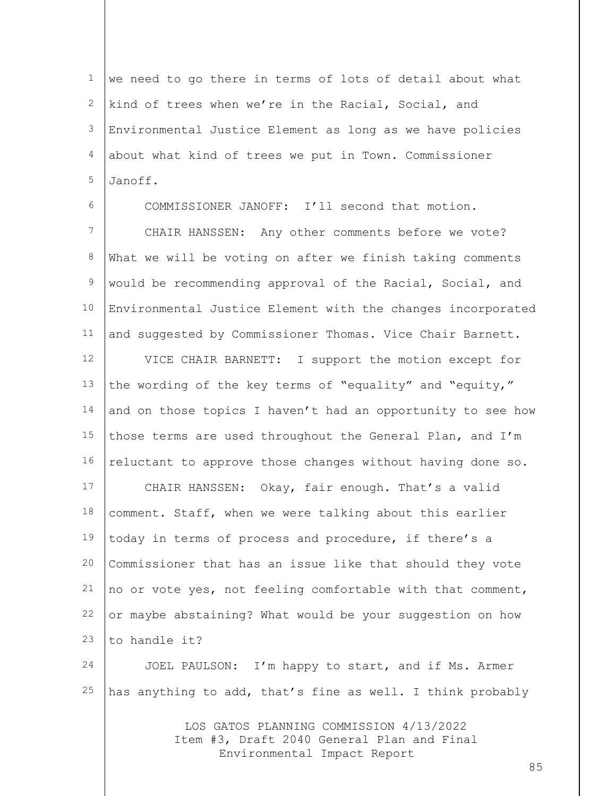1 2 3 4 5 we need to go there in terms of lots of detail about what kind of trees when we're in the Racial, Social, and Environmental Justice Element as long as we have policies about what kind of trees we put in Town. Commissioner Janoff.

6 7 8 9 10 11 COMMISSIONER JANOFF: I'll second that motion. CHAIR HANSSEN: Any other comments before we vote? What we will be voting on after we finish taking comments would be recommending approval of the Racial, Social, and Environmental Justice Element with the changes incorporated and suggested by Commissioner Thomas. Vice Chair Barnett.

12 13 14 15 16 17 18 19 20 21 22 23 VICE CHAIR BARNETT: I support the motion except for the wording of the key terms of "equality" and "equity," and on those topics I haven't had an opportunity to see how those terms are used throughout the General Plan, and I'm reluctant to approve those changes without having done so. CHAIR HANSSEN: Okay, fair enough. That's a valid comment. Staff, when we were talking about this earlier today in terms of process and procedure, if there's a Commissioner that has an issue like that should they vote no or vote yes, not feeling comfortable with that comment, or maybe abstaining? What would be your suggestion on how to handle it?

24 25 JOEL PAULSON: I'm happy to start, and if Ms. Armer has anything to add, that's fine as well. I think probably

> LOS GATOS PLANNING COMMISSION 4/13/2022 Item #3, Draft 2040 General Plan and Final Environmental Impact Report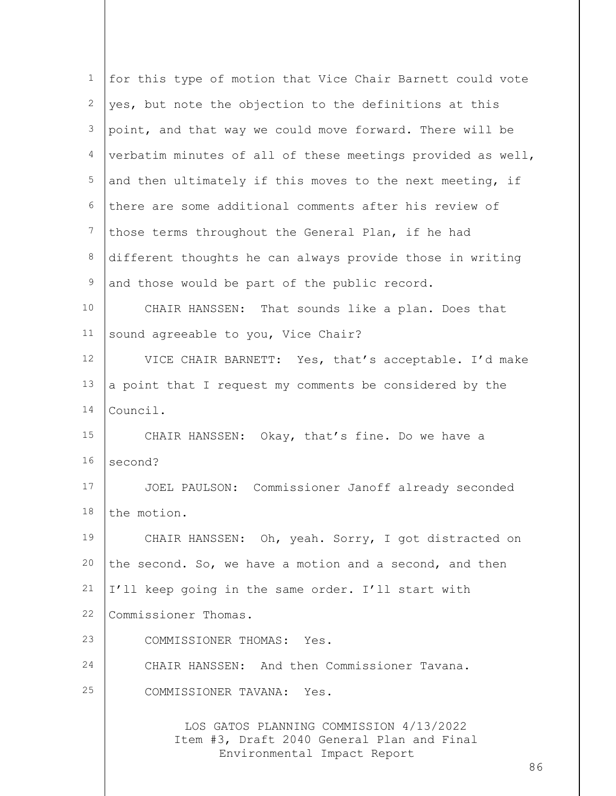| 1              | for this type of motion that Vice Chair Barnett could vote                                                           |
|----------------|----------------------------------------------------------------------------------------------------------------------|
| 2              | yes, but note the objection to the definitions at this                                                               |
| 3              | point, and that way we could move forward. There will be                                                             |
| $\overline{4}$ | verbatim minutes of all of these meetings provided as well,                                                          |
| 5              | and then ultimately if this moves to the next meeting, if                                                            |
| 6              | there are some additional comments after his review of                                                               |
| 7              | those terms throughout the General Plan, if he had                                                                   |
| $\,8\,$        | different thoughts he can always provide those in writing                                                            |
| $\mathsf 9$    | and those would be part of the public record.                                                                        |
| 10             | CHAIR HANSSEN: That sounds like a plan. Does that                                                                    |
| 11             | sound agreeable to you, Vice Chair?                                                                                  |
| 12             | VICE CHAIR BARNETT: Yes, that's acceptable. I'd make                                                                 |
| 13             | a point that I request my comments be considered by the                                                              |
| 14             | Council.                                                                                                             |
| 15             | CHAIR HANSSEN: Okay, that's fine. Do we have a                                                                       |
| 16             | second?                                                                                                              |
| 17             | JOEL PAULSON: Commissioner Janoff already seconded                                                                   |
| 18             | the motion.                                                                                                          |
| 19             | CHAIR HANSSEN: Oh, yeah. Sorry, I got distracted on                                                                  |
| 20             | the second. So, we have a motion and a second, and then                                                              |
| 21             | I'll keep going in the same order. I'll start with                                                                   |
| 22             | Commissioner Thomas.                                                                                                 |
| 23             | COMMISSIONER THOMAS: Yes.                                                                                            |
| 24             | CHAIR HANSSEN: And then Commissioner Tavana.                                                                         |
| 25             | COMMISSIONER TAVANA: Yes.                                                                                            |
|                | LOS GATOS PLANNING COMMISSION 4/13/2022<br>Item #3, Draft 2040 General Plan and Final<br>Environmental Impact Report |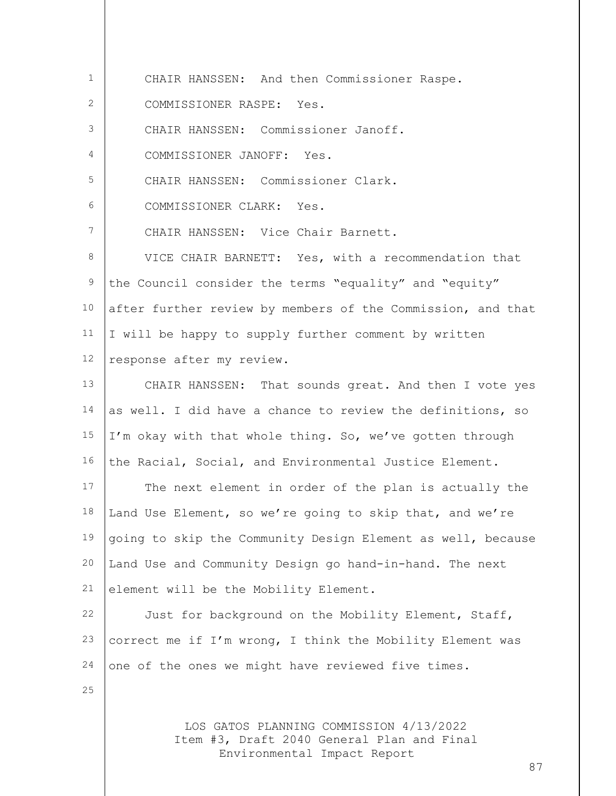LOS GATOS PLANNING COMMISSION 4/13/2022 Item #3, Draft 2040 General Plan and Final 1 2 3 4 5 6 7 8 9 10 11 12 13 14 15 16 17 18 19 20 21 22 23 24 25 CHAIR HANSSEN: And then Commissioner Raspe. COMMISSIONER RASPE: Yes. CHAIR HANSSEN: Commissioner Janoff. COMMISSIONER JANOFF: Yes. CHAIR HANSSEN: Commissioner Clark. COMMISSIONER CLARK: Yes. CHAIR HANSSEN: Vice Chair Barnett. VICE CHAIR BARNETT: Yes, with a recommendation that the Council consider the terms "equality" and "equity" after further review by members of the Commission, and that I will be happy to supply further comment by written response after my review. CHAIR HANSSEN: That sounds great. And then I vote yes as well. I did have a chance to review the definitions, so I'm okay with that whole thing. So, we've gotten through the Racial, Social, and Environmental Justice Element. The next element in order of the plan is actually the Land Use Element, so we're going to skip that, and we're going to skip the Community Design Element as well, because Land Use and Community Design go hand-in-hand. The next element will be the Mobility Element. Just for background on the Mobility Element, Staff, correct me if I'm wrong, I think the Mobility Element was one of the ones we might have reviewed five times.

Environmental Impact Report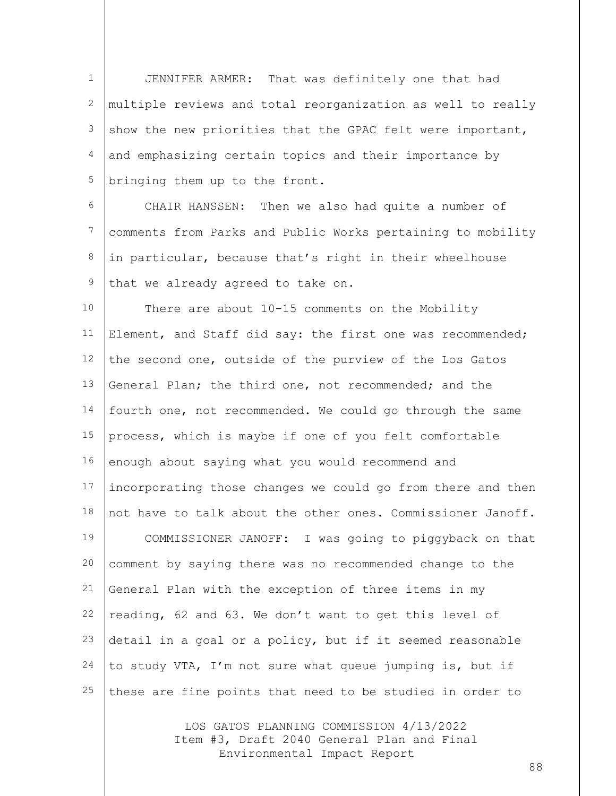1 2 3 4 5 JENNIFER ARMER: That was definitely one that had multiple reviews and total reorganization as well to really show the new priorities that the GPAC felt were important, and emphasizing certain topics and their importance by bringing them up to the front.

6 7 8 9 CHAIR HANSSEN: Then we also had quite a number of comments from Parks and Public Works pertaining to mobility in particular, because that's right in their wheelhouse that we already agreed to take on.

10 11 12 13 14 15 16 17 18 19 20 21 22 23 24 25 There are about 10-15 comments on the Mobility Element, and Staff did say: the first one was recommended; the second one, outside of the purview of the Los Gatos General Plan; the third one, not recommended; and the fourth one, not recommended. We could go through the same process, which is maybe if one of you felt comfortable enough about saying what you would recommend and incorporating those changes we could go from there and then not have to talk about the other ones. Commissioner Janoff. COMMISSIONER JANOFF: I was going to piggyback on that comment by saying there was no recommended change to the General Plan with the exception of three items in my reading, 62 and 63. We don't want to get this level of detail in a goal or a policy, but if it seemed reasonable to study VTA, I'm not sure what queue jumping is, but if these are fine points that need to be studied in order to

> LOS GATOS PLANNING COMMISSION 4/13/2022 Item #3, Draft 2040 General Plan and Final Environmental Impact Report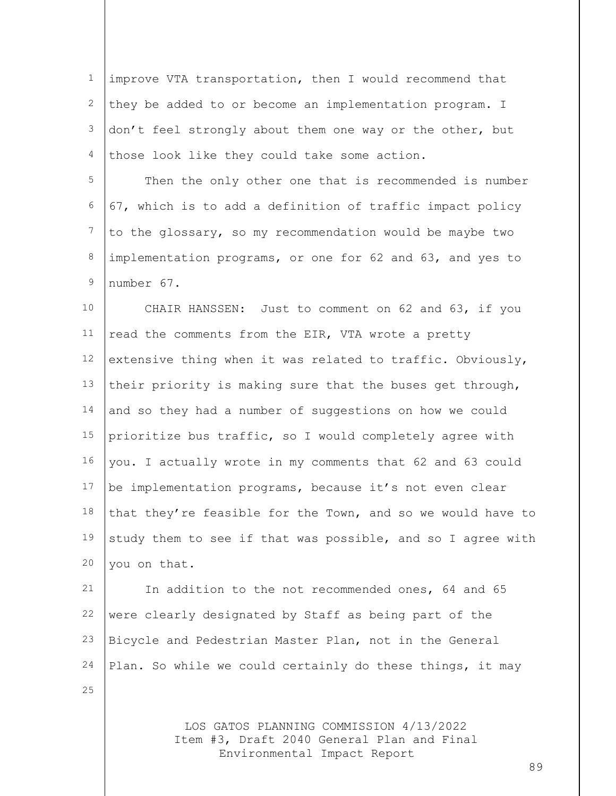1 2 3 4 improve VTA transportation, then I would recommend that they be added to or become an implementation program. I don't feel strongly about them one way or the other, but those look like they could take some action.

5 6 7 8  $\circ$ Then the only other one that is recommended is number 67, which is to add a definition of traffic impact policy to the glossary, so my recommendation would be maybe two implementation programs, or one for 62 and 63, and yes to number 67.

10 11 12 13 14 15 16 17 18 19 20 CHAIR HANSSEN: Just to comment on 62 and 63, if you read the comments from the EIR, VTA wrote a pretty extensive thing when it was related to traffic. Obviously, their priority is making sure that the buses get through, and so they had a number of suggestions on how we could prioritize bus traffic, so I would completely agree with you. I actually wrote in my comments that 62 and 63 could be implementation programs, because it's not even clear that they're feasible for the Town, and so we would have to study them to see if that was possible, and so I agree with you on that.

21 22 23 24 In addition to the not recommended ones, 64 and 65 were clearly designated by Staff as being part of the Bicycle and Pedestrian Master Plan, not in the General Plan. So while we could certainly do these things, it may

25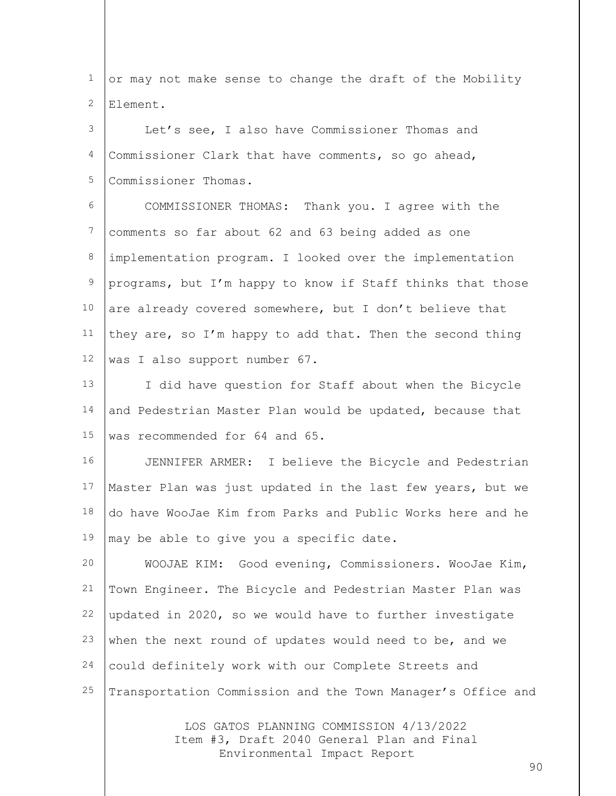1 2 or may not make sense to change the draft of the Mobility Element.

3 4 5 Let's see, I also have Commissioner Thomas and Commissioner Clark that have comments, so go ahead, Commissioner Thomas.

6 7 8 9 10 11 12 COMMISSIONER THOMAS: Thank you. I agree with the comments so far about 62 and 63 being added as one implementation program. I looked over the implementation programs, but I'm happy to know if Staff thinks that those are already covered somewhere, but I don't believe that they are, so I'm happy to add that. Then the second thing was I also support number 67.

13 14 15 I did have question for Staff about when the Bicycle and Pedestrian Master Plan would be updated, because that was recommended for 64 and 65.

16 17 18 19 JENNIFER ARMER: I believe the Bicycle and Pedestrian Master Plan was just updated in the last few years, but we do have WooJae Kim from Parks and Public Works here and he may be able to give you a specific date.

20 21 22 23 24 25 WOOJAE KIM: Good evening, Commissioners. WooJae Kim, Town Engineer. The Bicycle and Pedestrian Master Plan was updated in 2020, so we would have to further investigate when the next round of updates would need to be, and we could definitely work with our Complete Streets and Transportation Commission and the Town Manager's Office and

> LOS GATOS PLANNING COMMISSION 4/13/2022 Item #3, Draft 2040 General Plan and Final Environmental Impact Report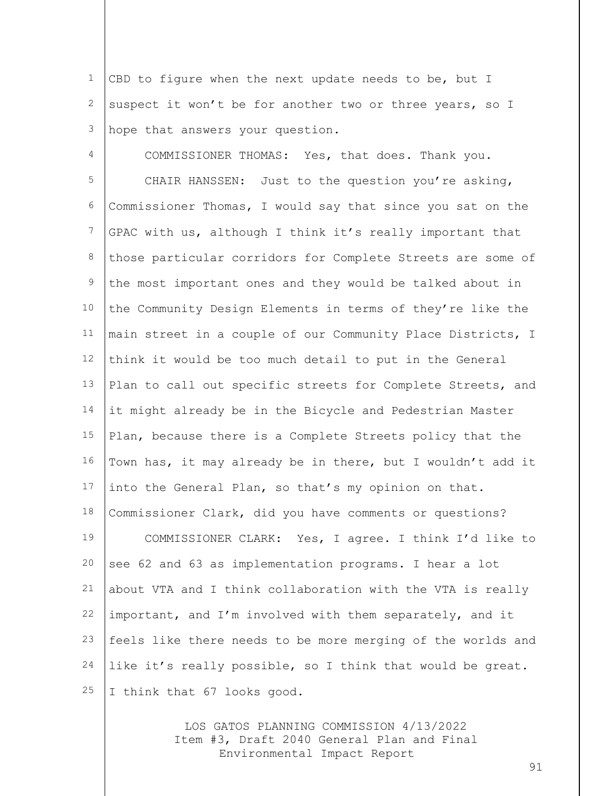1 2 3 CBD to figure when the next update needs to be, but I suspect it won't be for another two or three years, so I hope that answers your question.

4 5 6 7 8 9 10 11 12 13 14 15 16 17 18 19 20 21 22 23 24 25 COMMISSIONER THOMAS: Yes, that does. Thank you. CHAIR HANSSEN: Just to the question you're asking, Commissioner Thomas, I would say that since you sat on the GPAC with us, although I think it's really important that those particular corridors for Complete Streets are some of the most important ones and they would be talked about in the Community Design Elements in terms of they're like the main street in a couple of our Community Place Districts, I think it would be too much detail to put in the General Plan to call out specific streets for Complete Streets, and it might already be in the Bicycle and Pedestrian Master Plan, because there is a Complete Streets policy that the Town has, it may already be in there, but I wouldn't add it into the General Plan, so that's my opinion on that. Commissioner Clark, did you have comments or questions? COMMISSIONER CLARK: Yes, I agree. I think I'd like to see 62 and 63 as implementation programs. I hear a lot about VTA and I think collaboration with the VTA is really important, and I'm involved with them separately, and it feels like there needs to be more merging of the worlds and like it's really possible, so I think that would be great. I think that 67 looks good.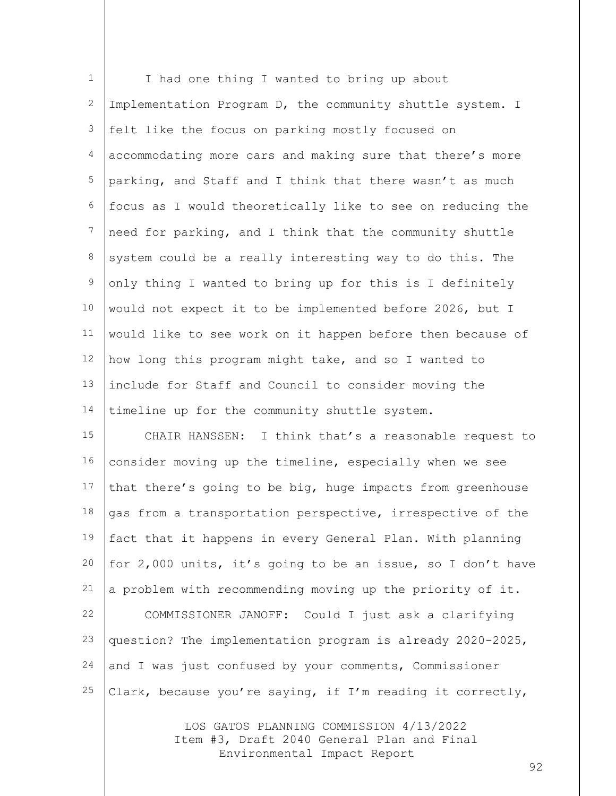| $\mathbf 1$    | I had one thing I wanted to bring up about                  |
|----------------|-------------------------------------------------------------|
| $\mathbf{2}$   | Implementation Program D, the community shuttle system. I   |
| $\mathfrak{Z}$ | felt like the focus on parking mostly focused on            |
| 4              | accommodating more cars and making sure that there's more   |
| 5              | parking, and Staff and I think that there wasn't as much    |
| 6              | focus as I would theoretically like to see on reducing the  |
| 7              | need for parking, and I think that the community shuttle    |
| $\,8\,$        | system could be a really interesting way to do this. The    |
| $\mathsf 9$    | only thing I wanted to bring up for this is I definitely    |
| 10             | would not expect it to be implemented before 2026, but I    |
| 11             | would like to see work on it happen before then because of  |
| 12             | how long this program might take, and so I wanted to        |
| 13             | include for Staff and Council to consider moving the        |
| 14             | timeline up for the community shuttle system.               |
| 15             | CHAIR HANSSEN: I think that's a reasonable request to       |
| 16             | consider moving up the timeline, especially when we see     |
| 17             | that there's going to be big, huge impacts from greenhouse  |
| 18             | gas from a transportation perspective, irrespective of the  |
| 19             | fact that it happens in every General Plan. With planning   |
| 20             | for 2,000 units, it's going to be an issue, so I don't have |
| 21             | a problem with recommending moving up the priority of it.   |
| 22             | COMMISSIONER JANOFF: Could I just ask a clarifying          |
| 23             | question? The implementation program is already 2020-2025,  |
| 24             | and I was just confused by your comments, Commissioner      |
| 25             | Clark, because you're saying, if I'm reading it correctly,  |

LOS GATOS PLANNING COMMISSION 4/13/2022 Item #3, Draft 2040 General Plan and Final Environmental Impact Report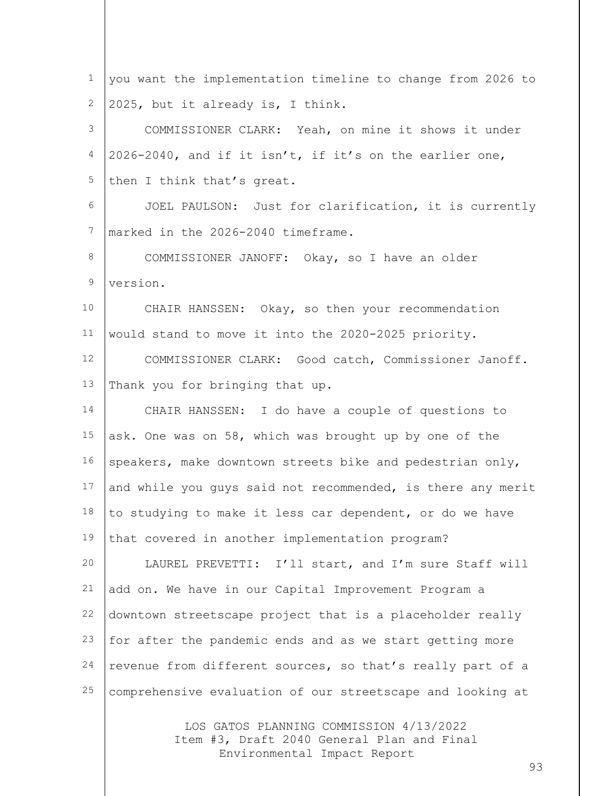| $\mathbf 1$ | you want the implementation timeline to change from 2026 to |
|-------------|-------------------------------------------------------------|
| 2           | 2025, but it already is, I think.                           |
| 3           | COMMISSIONER CLARK: Yeah, on mine it shows it under         |
| 4           | 2026-2040, and if it isn't, if it's on the earlier one,     |
| 5           | then I think that's great.                                  |
| 6           | JOEL PAULSON: Just for clarification, it is currently       |
| 7           | marked in the 2026-2040 timeframe.                          |
| 8           | COMMISSIONER JANOFF: Okay, so I have an older               |
| $\mathsf 9$ | version.                                                    |
| 10          | CHAIR HANSSEN: Okay, so then your recommendation            |
| 11          | would stand to move it into the 2020-2025 priority.         |
| 12          | COMMISSIONER CLARK: Good catch, Commissioner Janoff.        |
| 13          | Thank you for bringing that up.                             |
| 14          | CHAIR HANSSEN: I do have a couple of questions to           |
| 15          | ask. One was on 58, which was brought up by one of the      |
| 16          | speakers, make downtown streets bike and pedestrian only,   |
| 17          | and while you guys said not recommended, is there any merit |
| 18          | to studying to make it less car dependent, or do we have    |
| 19          | that covered in another implementation program?             |
| 20          | LAUREL PREVETTI: I'll start, and I'm sure Staff will        |
| 21          | add on. We have in our Capital Improvement Program a        |
| 22          | downtown streetscape project that is a placeholder really   |
| 23          | for after the pandemic ends and as we start getting more    |
| 24          | revenue from different sources, so that's really part of a  |
| 25          | comprehensive evaluation of our streetscape and looking at  |
|             |                                                             |

LOS GATOS PLANNING COMMISSION 4/13/2022 Item #3, Draft 2040 General Plan and Final Environmental Impact Report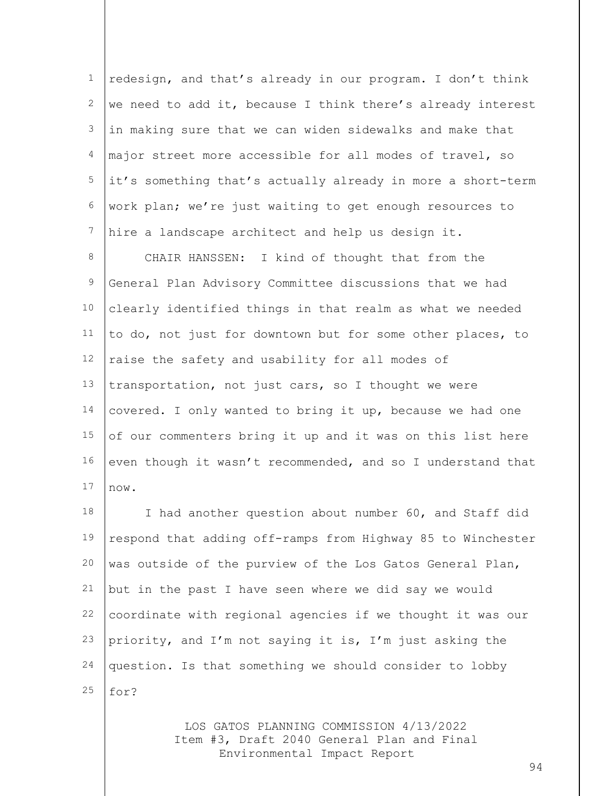1 2 3 4 5 6 7 redesign, and that's already in our program. I don't think we need to add it, because I think there's already interest in making sure that we can widen sidewalks and make that major street more accessible for all modes of travel, so it's something that's actually already in more a short-term work plan; we're just waiting to get enough resources to hire a landscape architect and help us design it.

8 9 10 11 12 13 14 15 16 17 CHAIR HANSSEN: I kind of thought that from the General Plan Advisory Committee discussions that we had clearly identified things in that realm as what we needed to do, not just for downtown but for some other places, to raise the safety and usability for all modes of transportation, not just cars, so I thought we were covered. I only wanted to bring it up, because we had one of our commenters bring it up and it was on this list here even though it wasn't recommended, and so I understand that now.

18 19 20 21 22 23 24 25 I had another question about number 60, and Staff did respond that adding off-ramps from Highway 85 to Winchester was outside of the purview of the Los Gatos General Plan, but in the past I have seen where we did say we would coordinate with regional agencies if we thought it was our priority, and I'm not saying it is, I'm just asking the question. Is that something we should consider to lobby for?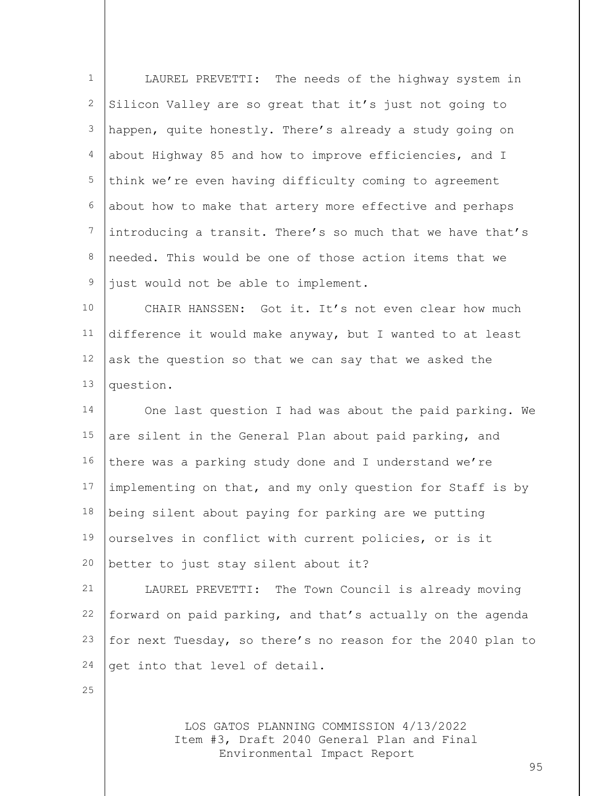| $\mathbf 1$      | LAUREL PREVETTI: The needs of the highway system in         |
|------------------|-------------------------------------------------------------|
| 2                | Silicon Valley are so great that it's just not going to     |
| 3                | happen, quite honestly. There's already a study going on    |
| 4                | about Highway 85 and how to improve efficiencies, and I     |
| 5                | think we're even having difficulty coming to agreement      |
| 6                | about how to make that artery more effective and perhaps    |
| $\boldsymbol{7}$ | introducing a transit. There's so much that we have that's  |
| 8                | needed. This would be one of those action items that we     |
| $\mathsf 9$      | just would not be able to implement.                        |
| 10               | CHAIR HANSSEN: Got it. It's not even clear how much         |
| 11               | difference it would make anyway, but I wanted to at least   |
| 12               | ask the question so that we can say that we asked the       |
| 13               | question.                                                   |
| 14               | One last question I had was about the paid parking. We      |
| 15               | are silent in the General Plan about paid parking, and      |
| 16               | there was a parking study done and I understand we're       |
| 17               | implementing on that, and my only question for Staff is by  |
| 18               | being silent about paying for parking are we putting        |
| 19               | ourselves in conflict with current policies, or is it       |
| 20               | better to just stay silent about it?                        |
| 21               | LAUREL PREVETTI: The Town Council is already moving         |
| 22               | forward on paid parking, and that's actually on the agenda  |
| 23               | for next Tuesday, so there's no reason for the 2040 plan to |
| 24               | get into that level of detail.                              |
| 25               |                                                             |
|                  |                                                             |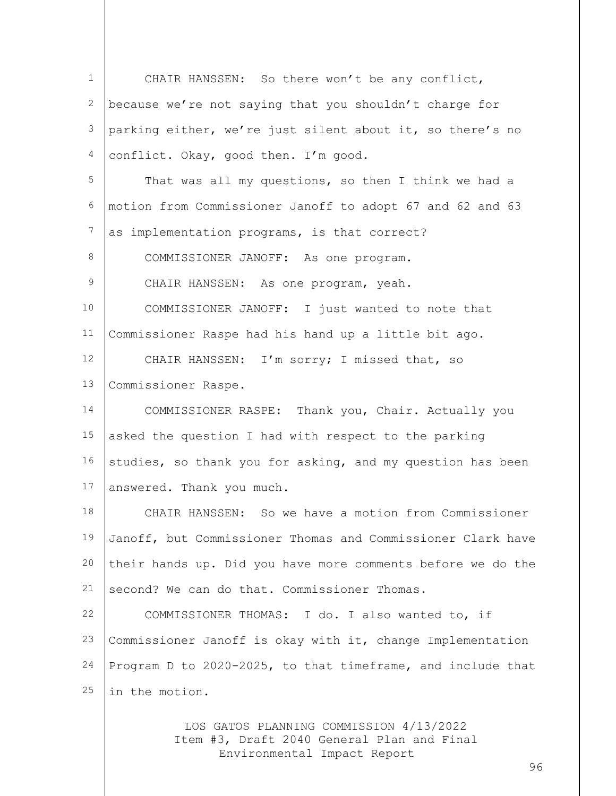1 2 3 4 5 6 7 8 9 10 11 12 13 14 15 16 17 18 19 20 21 22 23 24 25 CHAIR HANSSEN: So there won't be any conflict, because we're not saying that you shouldn't charge for parking either, we're just silent about it, so there's no conflict. Okay, good then. I'm good. That was all my questions, so then I think we had a motion from Commissioner Janoff to adopt 67 and 62 and 63 as implementation programs, is that correct? COMMISSIONER JANOFF: As one program. CHAIR HANSSEN: As one program, yeah. COMMISSIONER JANOFF: I just wanted to note that Commissioner Raspe had his hand up a little bit ago. CHAIR HANSSEN: I'm sorry; I missed that, so Commissioner Raspe. COMMISSIONER RASPE: Thank you, Chair. Actually you asked the question I had with respect to the parking studies, so thank you for asking, and my question has been answered. Thank you much. CHAIR HANSSEN: So we have a motion from Commissioner Janoff, but Commissioner Thomas and Commissioner Clark have their hands up. Did you have more comments before we do the second? We can do that. Commissioner Thomas. COMMISSIONER THOMAS: I do. I also wanted to, if Commissioner Janoff is okay with it, change Implementation Program D to 2020-2025, to that timeframe, and include that in the motion.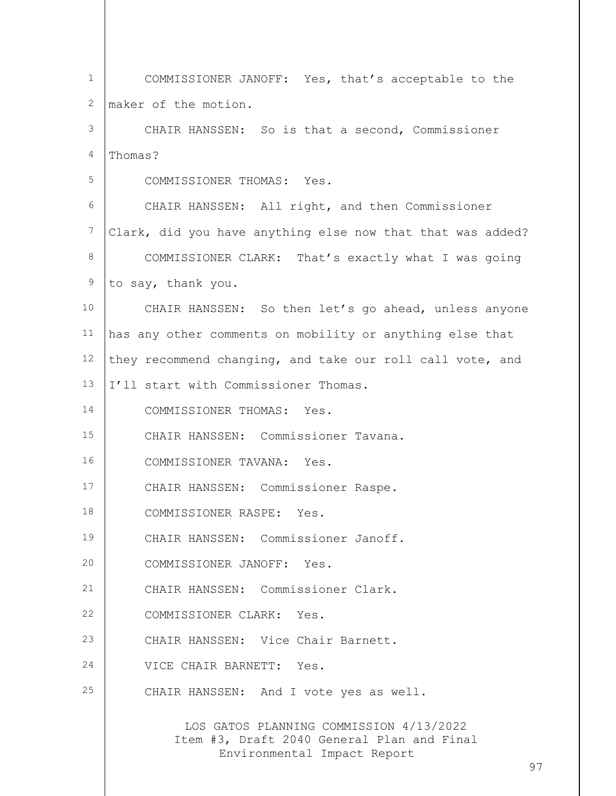| $\mathbf{1}$    | COMMISSIONER JANOFF: Yes, that's acceptable to the                                                                   |
|-----------------|----------------------------------------------------------------------------------------------------------------------|
| 2               | maker of the motion.                                                                                                 |
| 3               | CHAIR HANSSEN: So is that a second, Commissioner                                                                     |
| 4               | Thomas?                                                                                                              |
| 5               | COMMISSIONER THOMAS: Yes.                                                                                            |
| 6               | CHAIR HANSSEN: All right, and then Commissioner                                                                      |
| $7\phantom{.0}$ | Clark, did you have anything else now that that was added?                                                           |
| 8               | COMMISSIONER CLARK: That's exactly what I was going                                                                  |
| 9               | to say, thank you.                                                                                                   |
| 10 <sub>1</sub> | CHAIR HANSSEN: So then let's go ahead, unless anyone                                                                 |
| 11              | has any other comments on mobility or anything else that                                                             |
| 12              | they recommend changing, and take our roll call vote, and                                                            |
| 13              | I'll start with Commissioner Thomas.                                                                                 |
| 14              | COMMISSIONER THOMAS: Yes.                                                                                            |
| 15              | CHAIR HANSSEN: Commissioner Tavana.                                                                                  |
| 16              | COMMISSIONER TAVANA: Yes.                                                                                            |
| 17              | CHAIR HANSSEN: Commissioner Raspe.                                                                                   |
| 18              | COMMISSIONER RASPE: Yes.                                                                                             |
| 19              | CHAIR HANSSEN: Commissioner Janoff.                                                                                  |
| 20              | COMMISSIONER JANOFF: Yes.                                                                                            |
| 21              | CHAIR HANSSEN: Commissioner Clark.                                                                                   |
| 22              | COMMISSIONER CLARK: Yes.                                                                                             |
| 23              | CHAIR HANSSEN: Vice Chair Barnett.                                                                                   |
| 24              | VICE CHAIR BARNETT: Yes.                                                                                             |
| 25              | CHAIR HANSSEN: And I vote yes as well.                                                                               |
|                 | LOS GATOS PLANNING COMMISSION 4/13/2022<br>Item #3, Draft 2040 General Plan and Final<br>Environmental Impact Report |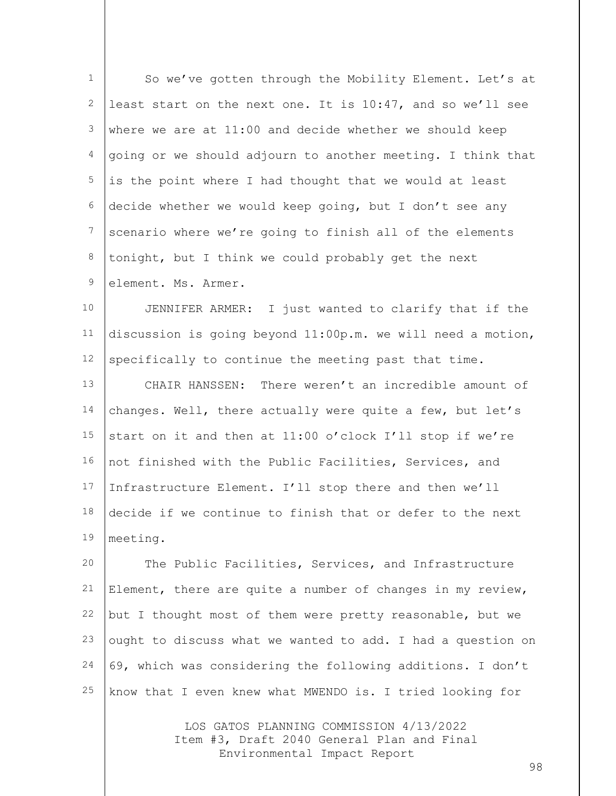| 1  | So we've gotten through the Mobility Element. Let's at      |
|----|-------------------------------------------------------------|
| 2  | least start on the next one. It is 10:47, and so we'll see  |
| 3  | where we are at 11:00 and decide whether we should keep     |
| 4  | going or we should adjourn to another meeting. I think that |
| 5  | is the point where I had thought that we would at least     |
| 6  | decide whether we would keep going, but I don't see any     |
| 7  | scenario where we're going to finish all of the elements    |
| 8  | tonight, but I think we could probably get the next         |
| 9  | element. Ms. Armer.                                         |
| 10 | JENNIFER ARMER: I just wanted to clarify that if the        |
| 11 | discussion is going beyond 11:00p.m. we will need a motion, |
| 12 | specifically to continue the meeting past that time.        |
| 13 | There weren't an incredible amount of<br>CHAIR HANSSEN:     |
| 14 | changes. Well, there actually were quite a few, but let's   |
| 15 | start on it and then at 11:00 o'clock I'll stop if we're    |
| 16 | not finished with the Public Facilities, Services, and      |
| 17 | Infrastructure Element. I'll stop there and then we'll      |
| 18 | decide if we continue to finish that or defer to the next   |
| 19 | meeting.                                                    |
| 20 | The Public Facilities, Services, and Infrastructure         |
| 21 | Element, there are quite a number of changes in my review,  |

21 22 23 24 25 Element, there are quite a number of changes in my review, but I thought most of them were pretty reasonable, but we ought to discuss what we wanted to add. I had a question on 69, which was considering the following additions. I don't know that I even knew what MWENDO is. I tried looking for

> LOS GATOS PLANNING COMMISSION 4/13/2022 Item #3, Draft 2040 General Plan and Final Environmental Impact Report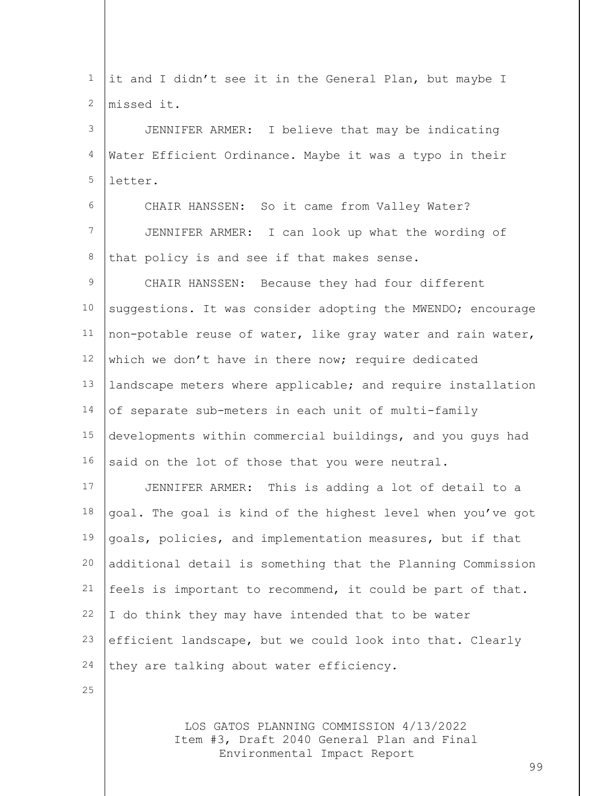1 2 3 4 5 6 7 8 9 10 11 12 13 14 15 16 17 18 19 20 21 22 23 24 25 it and I didn't see it in the General Plan, but maybe I missed it. JENNIFER ARMER: I believe that may be indicating Water Efficient Ordinance. Maybe it was a typo in their letter. CHAIR HANSSEN: So it came from Valley Water? JENNIFER ARMER: I can look up what the wording of that policy is and see if that makes sense. CHAIR HANSSEN: Because they had four different suggestions. It was consider adopting the MWENDO; encourage non-potable reuse of water, like gray water and rain water, which we don't have in there now; require dedicated landscape meters where applicable; and require installation of separate sub-meters in each unit of multi-family developments within commercial buildings, and you guys had said on the lot of those that you were neutral. JENNIFER ARMER: This is adding a lot of detail to a goal. The goal is kind of the highest level when you've got goals, policies, and implementation measures, but if that additional detail is something that the Planning Commission feels is important to recommend, it could be part of that. I do think they may have intended that to be water efficient landscape, but we could look into that. Clearly they are talking about water efficiency.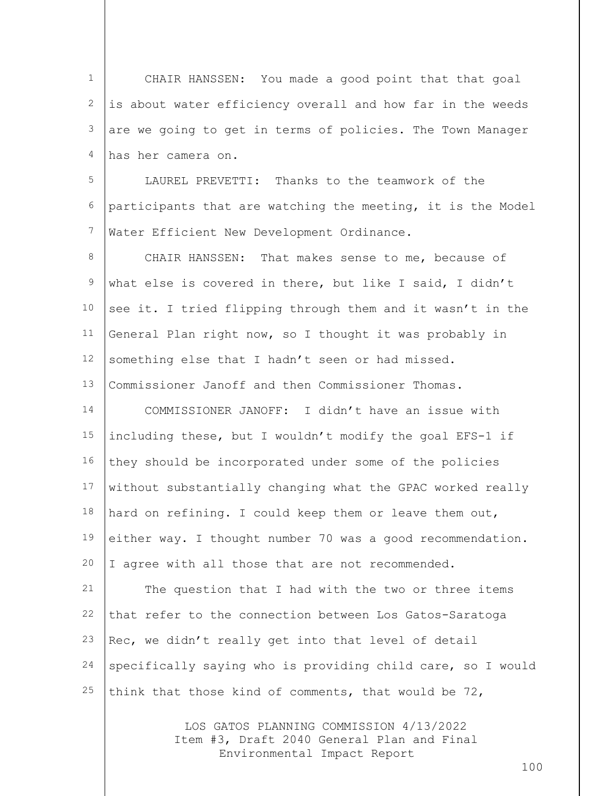1 2 3 4 5 6 7 8 9 10 11 12 13 14 15 16 17 18 19 20 21 22 23 24 CHAIR HANSSEN: You made a good point that that goal is about water efficiency overall and how far in the weeds are we going to get in terms of policies. The Town Manager has her camera on. LAUREL PREVETTI: Thanks to the teamwork of the participants that are watching the meeting, it is the Model Water Efficient New Development Ordinance. CHAIR HANSSEN: That makes sense to me, because of what else is covered in there, but like I said, I didn't see it. I tried flipping through them and it wasn't in the General Plan right now, so I thought it was probably in something else that I hadn't seen or had missed. Commissioner Janoff and then Commissioner Thomas. COMMISSIONER JANOFF: I didn't have an issue with including these, but I wouldn't modify the goal EFS-1 if they should be incorporated under some of the policies without substantially changing what the GPAC worked really hard on refining. I could keep them or leave them out, either way. I thought number 70 was a good recommendation. I agree with all those that are not recommended. The question that I had with the two or three items that refer to the connection between Los Gatos-Saratoga Rec, we didn't really get into that level of detail specifically saying who is providing child care, so I would

think that those kind of comments, that would be 72,

25

LOS GATOS PLANNING COMMISSION 4/13/2022 Item #3, Draft 2040 General Plan and Final Environmental Impact Report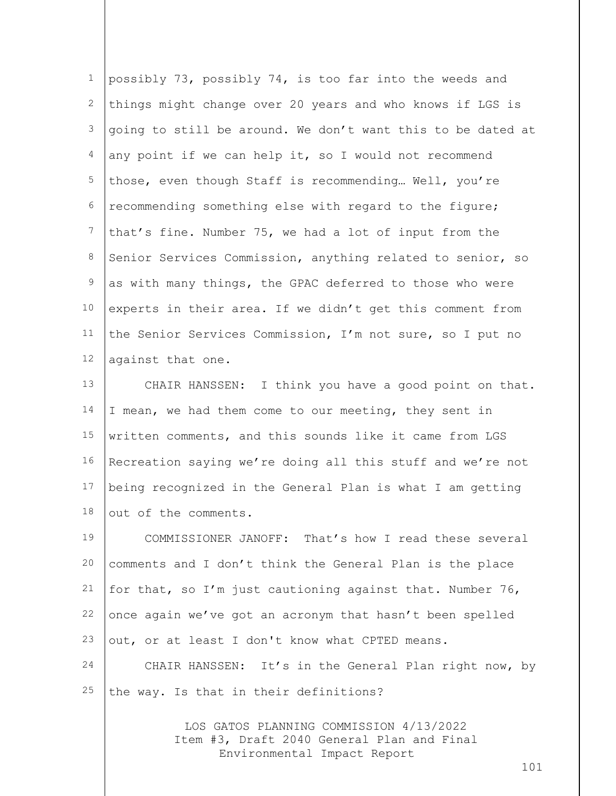| $1\,$         | possibly 73, possibly 74, is too far into the weeds and     |
|---------------|-------------------------------------------------------------|
| 2             | things might change over 20 years and who knows if LGS is   |
| 3             | going to still be around. We don't want this to be dated at |
| 4             | any point if we can help it, so I would not recommend       |
| 5             | those, even though Staff is recommending Well, you're       |
| 6             | recommending something else with regard to the figure;      |
| 7             | that's fine. Number 75, we had a lot of input from the      |
| 8             | Senior Services Commission, anything related to senior, so  |
| $\mathcal{G}$ | as with many things, the GPAC deferred to those who were    |
| $10$          | experts in their area. If we didn't get this comment from   |
| 11            | the Senior Services Commission, I'm not sure, so I put no   |
| 12            | against that one.                                           |
| 13            | CHAIR HANSSEN: I think you have a good point on that.       |
| 14            | I mean, we had them come to our meeting, they sent in       |
| 15            | written comments, and this sounds like it came from LGS     |
| 16            | Recreation saying we're doing all this stuff and we're not  |
| 17            | being recognized in the General Plan is what I am getting   |
| 18            | out of the comments.                                        |
| 19            | COMMISSIONER JANOFF: That's how I read these several        |
| 20            | comments and I don't think the General Plan is the place    |
| 21            | for that, so I'm just cautioning against that. Number 76,   |
| 22            | once again we've got an acronym that hasn't been spelled    |
| 23            | out, or at least I don't know what CPTED means.             |
| 24            | CHAIR HANSSEN: It's in the General Plan right now, by       |
| 25            | the way. Is that in their definitions?                      |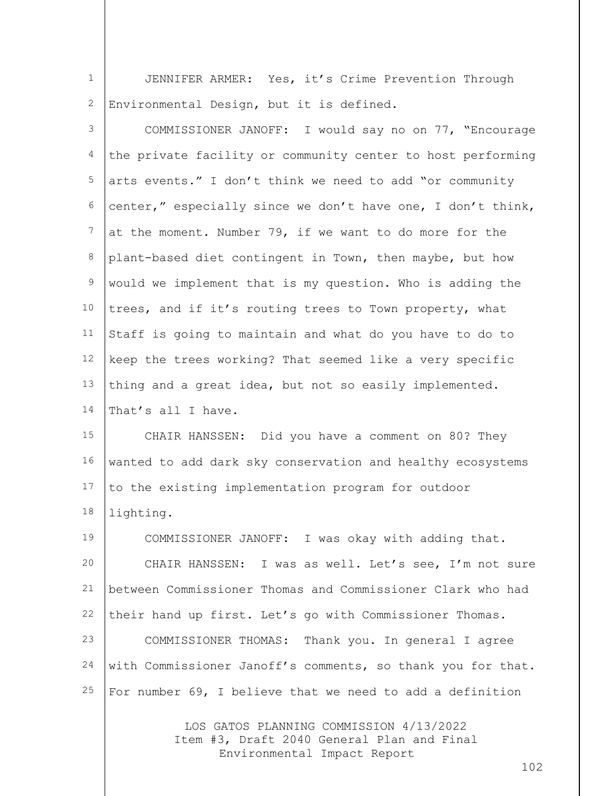1 2 JENNIFER ARMER: Yes, it's Crime Prevention Through Environmental Design, but it is defined.

3 4 5 6 7 8 9 10 11 12 13 14 15 16 17 18 19 20 21 22 23 24 25 COMMISSIONER JANOFF: I would say no on 77, "Encourage the private facility or community center to host performing arts events." I don't think we need to add "or community center," especially since we don't have one, I don't think, at the moment. Number 79, if we want to do more for the plant-based diet contingent in Town, then maybe, but how would we implement that is my question. Who is adding the trees, and if it's routing trees to Town property, what Staff is going to maintain and what do you have to do to keep the trees working? That seemed like a very specific thing and a great idea, but not so easily implemented. That's all I have. CHAIR HANSSEN: Did you have a comment on 80? They wanted to add dark sky conservation and healthy ecosystems to the existing implementation program for outdoor lighting. COMMISSIONER JANOFF: I was okay with adding that. CHAIR HANSSEN: I was as well. Let's see, I'm not sure between Commissioner Thomas and Commissioner Clark who had their hand up first. Let's go with Commissioner Thomas. COMMISSIONER THOMAS: Thank you. In general I agree with Commissioner Janoff's comments, so thank you for that. For number 69, I believe that we need to add a definition

> LOS GATOS PLANNING COMMISSION 4/13/2022 Item #3, Draft 2040 General Plan and Final Environmental Impact Report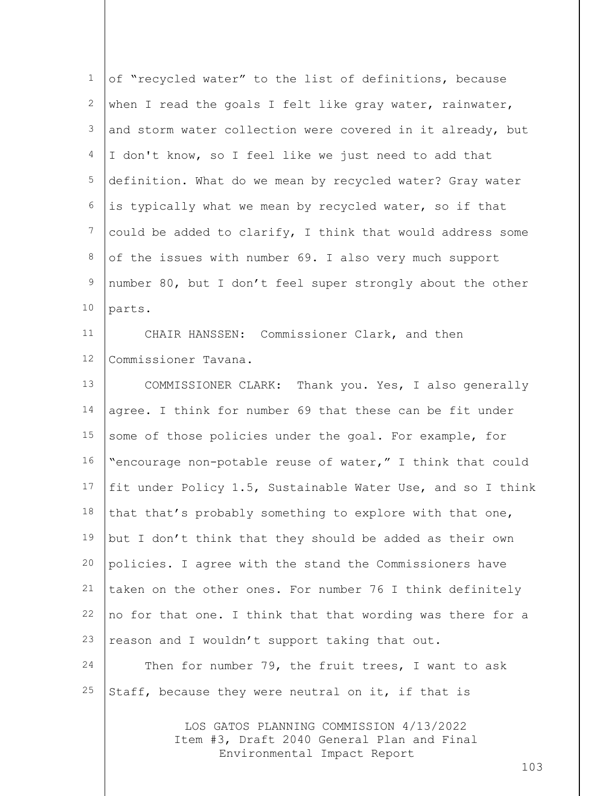| $\mathbf 1$      | of "recycled water" to the list of definitions, because     |
|------------------|-------------------------------------------------------------|
| 2                | when I read the goals I felt like gray water, rainwater,    |
| $\mathfrak{Z}$   | and storm water collection were covered in it already, but  |
| 4                | I don't know, so I feel like we just need to add that       |
| 5                | definition. What do we mean by recycled water? Gray water   |
| 6                | is typically what we mean by recycled water, so if that     |
| $\boldsymbol{7}$ | could be added to clarify, I think that would address some  |
| 8                | of the issues with number 69. I also very much support      |
| $\mathsf 9$      | number 80, but I don't feel super strongly about the other  |
| 10               | parts.                                                      |
| 11               | CHAIR HANSSEN: Commissioner Clark, and then                 |
| 12               | Commissioner Tavana.                                        |
| 13               | COMMISSIONER CLARK: Thank you. Yes, I also generally        |
| 14               | agree. I think for number 69 that these can be fit under    |
| 15               | some of those policies under the goal. For example, for     |
| 16               | "encourage non-potable reuse of water," I think that could  |
| 17               | fit under Policy 1.5, Sustainable Water Use, and so I think |
| 18               | that that's probably something to explore with that one,    |
| 19               | but I don't think that they should be added as their own    |
| 20               | policies. I agree with the stand the Commissioners have     |
| 21               | taken on the other ones. For number 76 I think definitely   |
| 22               | no for that one. I think that that wording was there for a  |
| 23               | reason and I wouldn't support taking that out.              |
| 24               | Then for number 79, the fruit trees, I want to ask          |
| 25               | Staff, because they were neutral on it, if that is          |
|                  |                                                             |

LOS GATOS PLANNING COMMISSION 4/13/2022 Item #3, Draft 2040 General Plan and Final Environmental Impact Report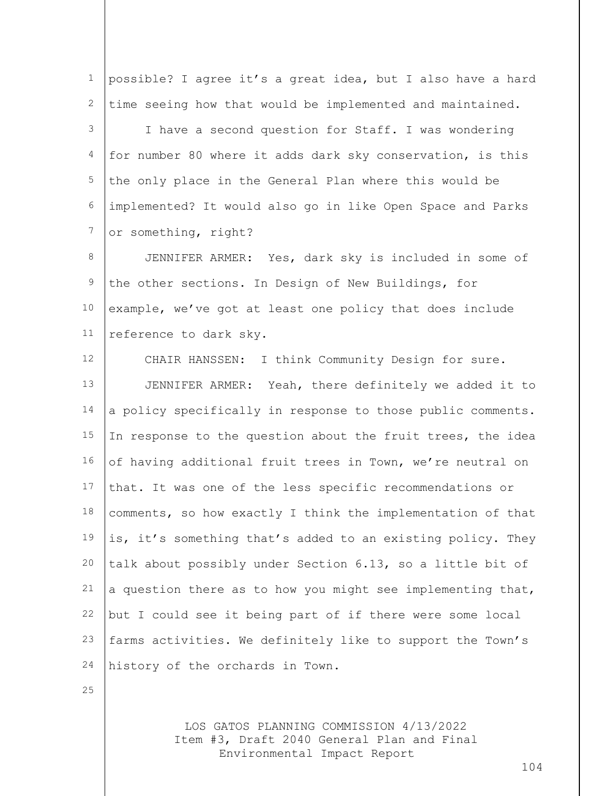1 2 3 4 5 6 7 8 9 10 11 12 13 14 15 16 17 18 19 20 21 22 23 24 25 possible? I agree it's a great idea, but I also have a hard time seeing how that would be implemented and maintained. I have a second question for Staff. I was wondering for number 80 where it adds dark sky conservation, is this the only place in the General Plan where this would be implemented? It would also go in like Open Space and Parks or something, right? JENNIFER ARMER: Yes, dark sky is included in some of the other sections. In Design of New Buildings, for example, we've got at least one policy that does include reference to dark sky. CHAIR HANSSEN: I think Community Design for sure. JENNIFER ARMER: Yeah, there definitely we added it to a policy specifically in response to those public comments. In response to the question about the fruit trees, the idea of having additional fruit trees in Town, we're neutral on that. It was one of the less specific recommendations or comments, so how exactly I think the implementation of that is, it's something that's added to an existing policy. They talk about possibly under Section 6.13, so a little bit of a question there as to how you might see implementing that, but I could see it being part of if there were some local farms activities. We definitely like to support the Town's history of the orchards in Town.

> LOS GATOS PLANNING COMMISSION 4/13/2022 Item #3, Draft 2040 General Plan and Final Environmental Impact Report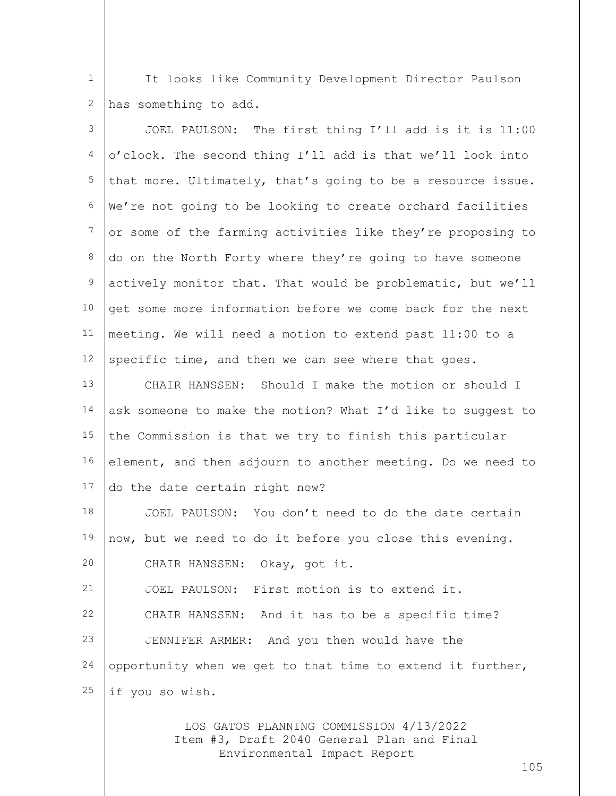1 2 It looks like Community Development Director Paulson has something to add.

| 3               | JOEL PAULSON: The first thing I'll add is it is 11:00       |
|-----------------|-------------------------------------------------------------|
| 4               | o'clock. The second thing I'll add is that we'll look into  |
| 5               | that more. Ultimately, that's going to be a resource issue. |
| 6               | We're not going to be looking to create orchard facilities  |
| $7\phantom{.0}$ | or some of the farming activities like they're proposing to |
| 8               | do on the North Forty where they're going to have someone   |
| 9               | actively monitor that. That would be problematic, but we'll |
| 10              | get some more information before we come back for the next  |
| 11              | meeting. We will need a motion to extend past 11:00 to a    |
| 12              | specific time, and then we can see where that goes.         |
| 13              | CHAIR HANSSEN: Should I make the motion or should I         |
| 14              | ask someone to make the motion? What I'd like to suggest to |
| 15              | the Commission is that we try to finish this particular     |
| 16              | element, and then adjourn to another meeting. Do we need to |
| 17              | do the date certain right now?                              |
| 18              | JOEL PAULSON: You don't need to do the date certain         |
| 19              | now, but we need to do it before you close this evening.    |
| 20              | CHAIR HANSSEN:<br>Okay, got it.                             |
| 21              | JOEL PAULSON: First motion is to extend it.                 |
| 22              | CHAIR HANSSEN: And it has to be a specific time?            |
| 23              | JENNIFER ARMER: And you then would have the                 |
| 24              | opportunity when we get to that time to extend it further,  |
| 25              | if you so wish.                                             |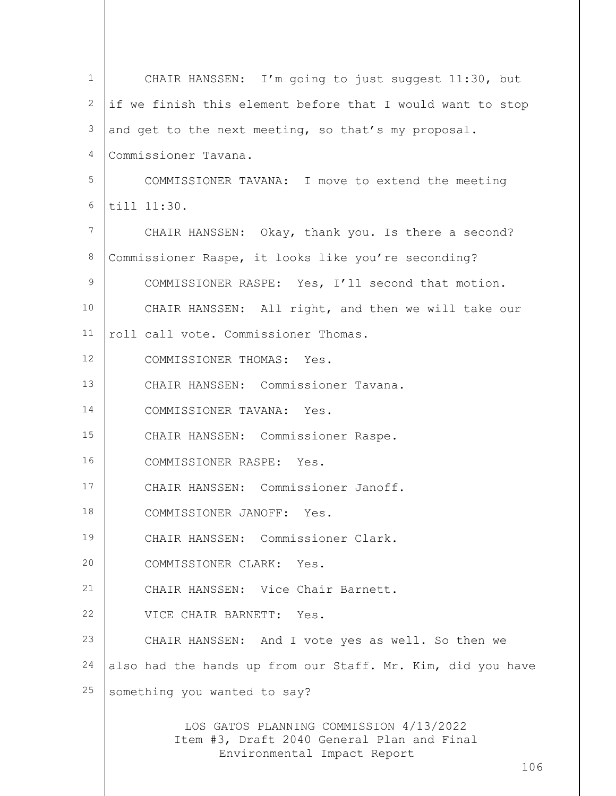| $\mathbf 1$ | CHAIR HANSSEN: I'm going to just suggest 11:30, but                                                                  |
|-------------|----------------------------------------------------------------------------------------------------------------------|
| 2           | if we finish this element before that I would want to stop                                                           |
| 3           | and get to the next meeting, so that's my proposal.                                                                  |
| 4           | Commissioner Tavana.                                                                                                 |
| 5           | COMMISSIONER TAVANA: I move to extend the meeting                                                                    |
| 6           | till 11:30.                                                                                                          |
| 7           | CHAIR HANSSEN: Okay, thank you. Is there a second?                                                                   |
| 8           | Commissioner Raspe, it looks like you're seconding?                                                                  |
| 9           | COMMISSIONER RASPE: Yes, I'll second that motion.                                                                    |
| 10          | CHAIR HANSSEN: All right, and then we will take our                                                                  |
| 11          | roll call vote. Commissioner Thomas.                                                                                 |
| 12          | COMMISSIONER THOMAS: Yes.                                                                                            |
| 13          | CHAIR HANSSEN: Commissioner Tavana.                                                                                  |
| 14          | COMMISSIONER TAVANA: Yes.                                                                                            |
| 15          | CHAIR HANSSEN: Commissioner Raspe.                                                                                   |
| 16          | COMMISSIONER RASPE: Yes.                                                                                             |
| 17          | CHAIR HANSSEN: Commissioner Janoff.                                                                                  |
| 18          | COMMISSIONER JANOFF: Yes.                                                                                            |
| 19          | CHAIR HANSSEN: Commissioner Clark.                                                                                   |
| 20          | COMMISSIONER CLARK: Yes.                                                                                             |
| 21          | CHAIR HANSSEN: Vice Chair Barnett.                                                                                   |
| 22          | VICE CHAIR BARNETT: Yes.                                                                                             |
| 23          | CHAIR HANSSEN: And I vote yes as well. So then we                                                                    |
| 24          | also had the hands up from our Staff. Mr. Kim, did you have                                                          |
| 25          | something you wanted to say?                                                                                         |
|             | LOS GATOS PLANNING COMMISSION 4/13/2022<br>Item #3, Draft 2040 General Plan and Final<br>Environmental Impact Report |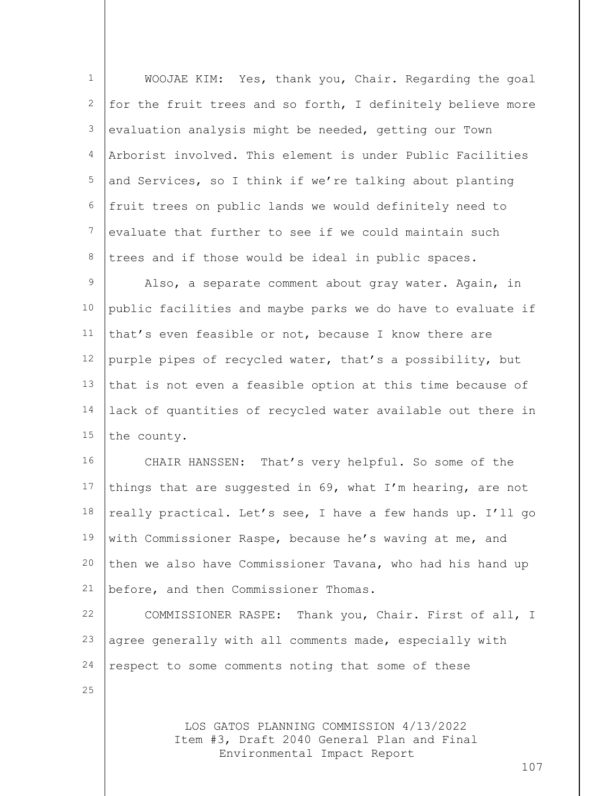| $\mathbf 1$     | WOOJAE KIM: Yes, thank you, Chair. Regarding the goal                                 |
|-----------------|---------------------------------------------------------------------------------------|
| $\mathbf{2}$    | for the fruit trees and so forth, I definitely believe more                           |
| 3               | evaluation analysis might be needed, getting our Town                                 |
| $\overline{4}$  | Arborist involved. This element is under Public Facilities                            |
| 5               | and Services, so I think if we're talking about planting                              |
| 6               | fruit trees on public lands we would definitely need to                               |
| $7\phantom{.0}$ | evaluate that further to see if we could maintain such                                |
| 8               | trees and if those would be ideal in public spaces.                                   |
| 9               | Also, a separate comment about gray water. Again, in                                  |
| 10              | public facilities and maybe parks we do have to evaluate if                           |
| 11              | that's even feasible or not, because I know there are                                 |
| 12              | purple pipes of recycled water, that's a possibility, but                             |
| 13              | that is not even a feasible option at this time because of                            |
| 14              | lack of quantities of recycled water available out there in                           |
| 15              | the county.                                                                           |
| 16              | CHAIR HANSSEN: That's very helpful. So some of the                                    |
| 17              | things that are suggested in 69, what I'm hearing, are not                            |
| 18              | really practical. Let's see, I have a few hands up. I'll go                           |
| 19              | with Commissioner Raspe, because he's waving at me, and                               |
| 20              | then we also have Commissioner Tavana, who had his hand up                            |
| 21              | before, and then Commissioner Thomas.                                                 |
| 22              | COMMISSIONER RASPE: Thank you, Chair. First of all, I                                 |
| 23              | agree generally with all comments made, especially with                               |
| 24              | respect to some comments noting that some of these                                    |
| 25              |                                                                                       |
|                 | LOS GATOS PLANNING COMMISSION 4/13/2022<br>Item #3, Draft 2040 General Plan and Final |

Environmental Impact Report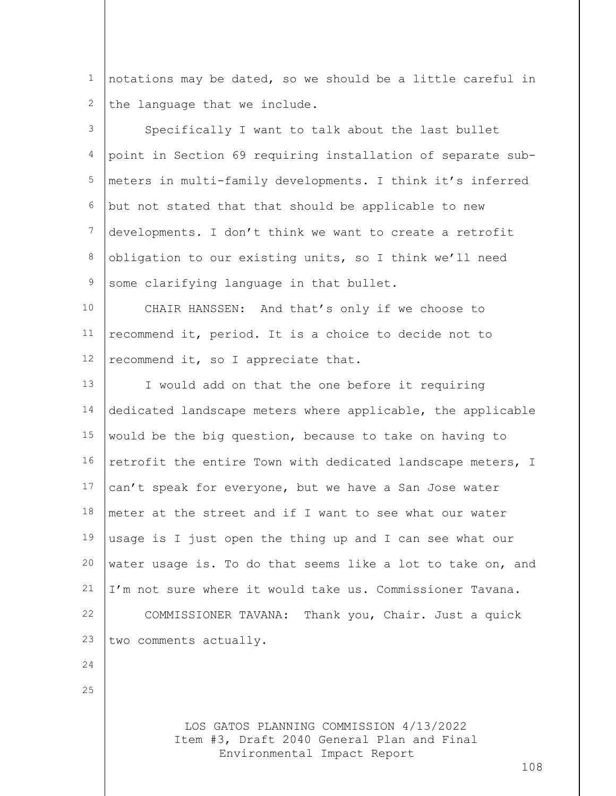1 2 notations may be dated, so we should be a little careful in the language that we include.

| 3               | Specifically I want to talk about the last bullet           |
|-----------------|-------------------------------------------------------------|
| 4               | point in Section 69 requiring installation of separate sub- |
| 5               | meters in multi-family developments. I think it's inferred  |
| 6               | but not stated that that should be applicable to new        |
| $7\phantom{.}$  | developments. I don't think we want to create a retrofit    |
| 8               | obligation to our existing units, so I think we'll need     |
| $\mathsf 9$     | some clarifying language in that bullet.                    |
| 10 <sub>o</sub> | CHAIR HANSSEN: And that's only if we choose to              |
| 11              | recommend it, period. It is a choice to decide not to       |
| 12              | recommend it, so I appreciate that.                         |
| 13              | I would add on that the one before it requiring             |
| 14              | dedicated landscape meters where applicable, the applicable |
| 15              | would be the big question, because to take on having to     |
| 16              | retrofit the entire Town with dedicated landscape meters, I |
| 17              | can't speak for everyone, but we have a San Jose water      |
| 18              | meter at the street and if I want to see what our water     |
| 19              | usage is I just open the thing up and I can see what our    |
| 20              | water usage is. To do that seems like a lot to take on, and |
| 21              | I'm not sure where it would take us. Commissioner Tavana.   |
| 22              | COMMISSIONER TAVANA: Thank you, Chair. Just a quick         |
| 23              | two comments actually.                                      |
| 24              |                                                             |
| 25              |                                                             |
|                 |                                                             |

LOS GATOS PLANNING COMMISSION 4/13/2022 Item #3, Draft 2040 General Plan and Final Environmental Impact Report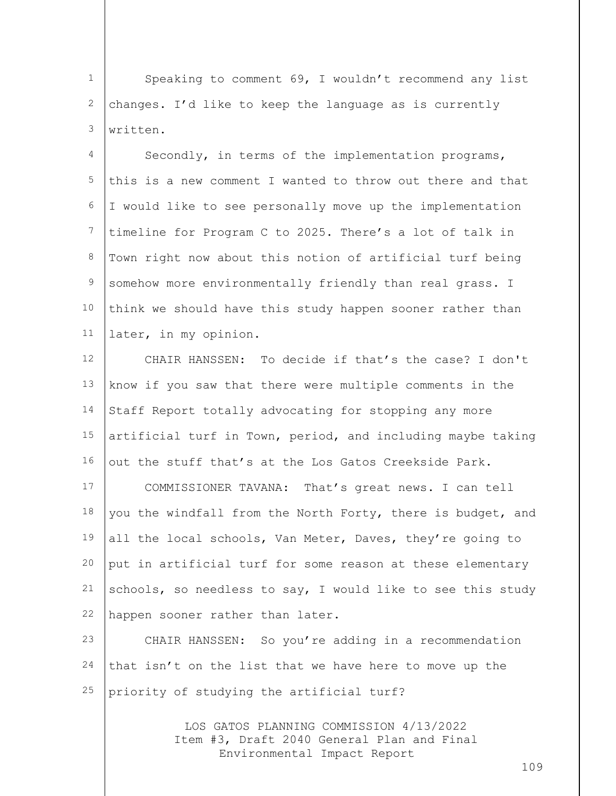1 2 3 Speaking to comment 69, I wouldn't recommend any list changes. I'd like to keep the language as is currently written.

4 5 6 7 8 9 10 11 Secondly, in terms of the implementation programs, this is a new comment I wanted to throw out there and that I would like to see personally move up the implementation timeline for Program C to 2025. There's a lot of talk in Town right now about this notion of artificial turf being somehow more environmentally friendly than real grass. I think we should have this study happen sooner rather than later, in my opinion.

12 13 14 15 16 17 CHAIR HANSSEN: To decide if that's the case? I don't know if you saw that there were multiple comments in the Staff Report totally advocating for stopping any more artificial turf in Town, period, and including maybe taking out the stuff that's at the Los Gatos Creekside Park. COMMISSIONER TAVANA: That's great news. I can tell

18 19 20 21 22 you the windfall from the North Forty, there is budget, and all the local schools, Van Meter, Daves, they're going to put in artificial turf for some reason at these elementary schools, so needless to say, I would like to see this study happen sooner rather than later.

23 24 25 CHAIR HANSSEN: So you're adding in a recommendation that isn't on the list that we have here to move up the priority of studying the artificial turf?

> LOS GATOS PLANNING COMMISSION 4/13/2022 Item #3, Draft 2040 General Plan and Final Environmental Impact Report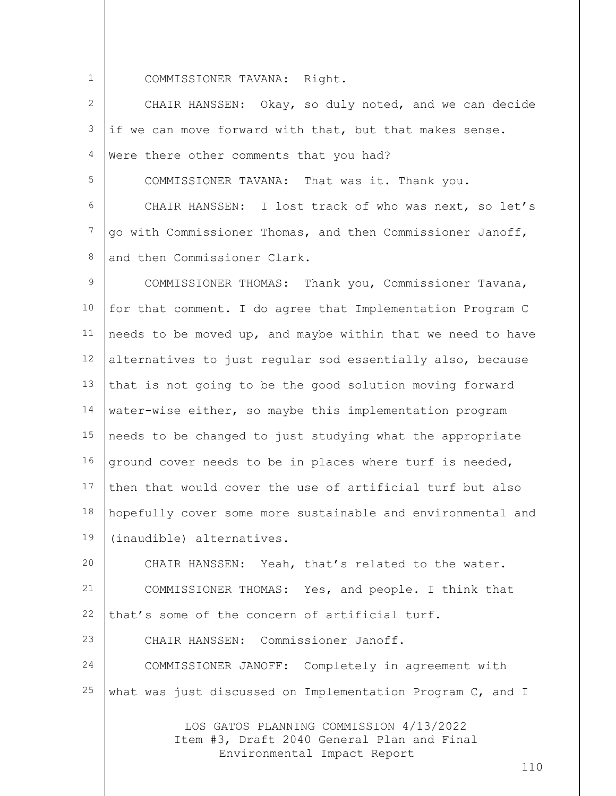COMMISSIONER TAVANA: Right.

2 3 4 5 CHAIR HANSSEN: Okay, so duly noted, and we can decide if we can move forward with that, but that makes sense. Were there other comments that you had? COMMISSIONER TAVANA: That was it. Thank you.

6 7 8 CHAIR HANSSEN: I lost track of who was next, so let's go with Commissioner Thomas, and then Commissioner Janoff, and then Commissioner Clark.

9 10 11 12 13 14 15 16 17 18 19 COMMISSIONER THOMAS: Thank you, Commissioner Tavana, for that comment. I do agree that Implementation Program C needs to be moved up, and maybe within that we need to have alternatives to just regular sod essentially also, because that is not going to be the good solution moving forward water-wise either, so maybe this implementation program needs to be changed to just studying what the appropriate ground cover needs to be in places where turf is needed, then that would cover the use of artificial turf but also hopefully cover some more sustainable and environmental and (inaudible) alternatives.

20 21 22 23 CHAIR HANSSEN: Yeah, that's related to the water. COMMISSIONER THOMAS: Yes, and people. I think that that's some of the concern of artificial turf. CHAIR HANSSEN: Commissioner Janoff.

24 25 COMMISSIONER JANOFF: Completely in agreement with what was just discussed on Implementation Program C, and I

> LOS GATOS PLANNING COMMISSION 4/13/2022 Item #3, Draft 2040 General Plan and Final Environmental Impact Report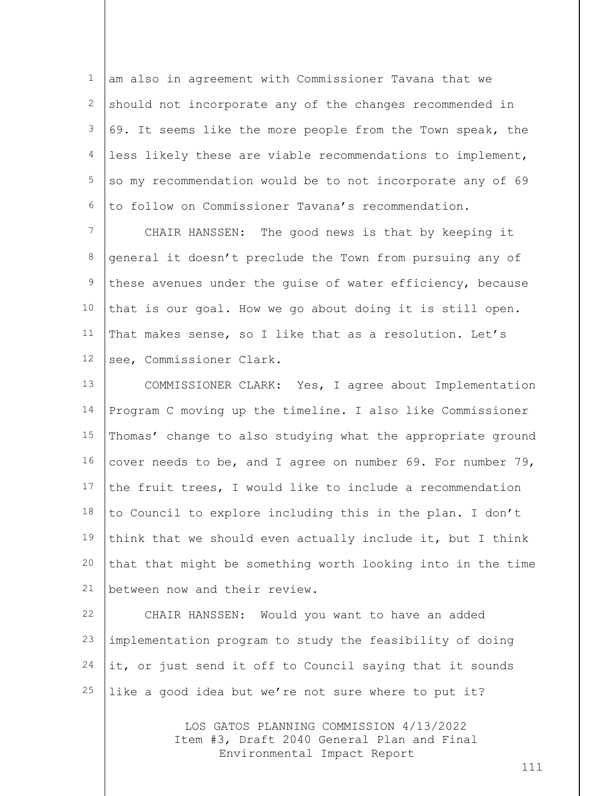1 2 3 4 5 6 am also in agreement with Commissioner Tavana that we should not incorporate any of the changes recommended in 69. It seems like the more people from the Town speak, the less likely these are viable recommendations to implement, so my recommendation would be to not incorporate any of 69 to follow on Commissioner Tavana's recommendation.

7 8 9 10 11 12 CHAIR HANSSEN: The good news is that by keeping it general it doesn't preclude the Town from pursuing any of these avenues under the guise of water efficiency, because that is our goal. How we go about doing it is still open. That makes sense, so I like that as a resolution. Let's see, Commissioner Clark.

13 14 15 16 17 18 19 20 21 COMMISSIONER CLARK: Yes, I agree about Implementation Program C moving up the timeline. I also like Commissioner Thomas' change to also studying what the appropriate ground cover needs to be, and I agree on number 69. For number 79, the fruit trees, I would like to include a recommendation to Council to explore including this in the plan. I don't think that we should even actually include it, but I think that that might be something worth looking into in the time between now and their review.

22 23 24 25 CHAIR HANSSEN: Would you want to have an added implementation program to study the feasibility of doing it, or just send it off to Council saying that it sounds like a good idea but we're not sure where to put it?

> LOS GATOS PLANNING COMMISSION 4/13/2022 Item #3, Draft 2040 General Plan and Final Environmental Impact Report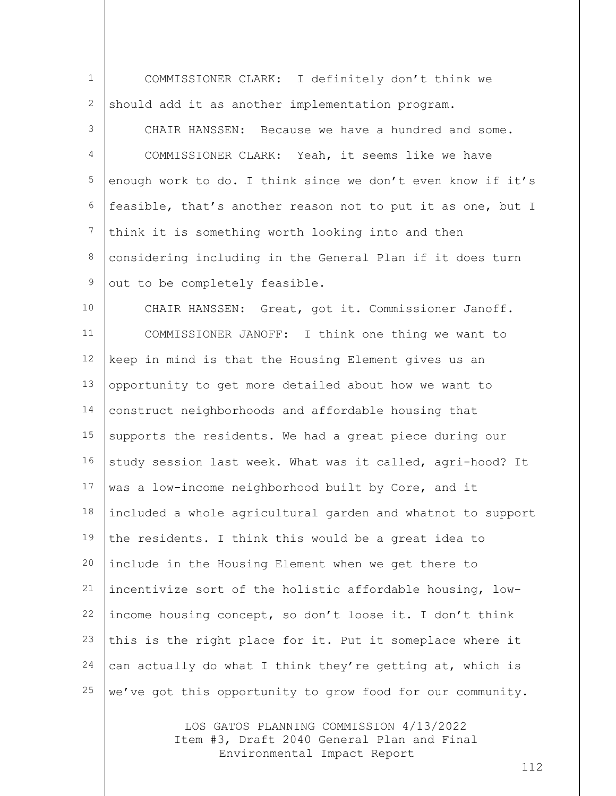| $\mathbf{1}$     | COMMISSIONER CLARK: I definitely don't think we             |
|------------------|-------------------------------------------------------------|
| 2                | should add it as another implementation program.            |
| 3                | Because we have a hundred and some.<br>CHAIR HANSSEN:       |
| 4                | COMMISSIONER CLARK: Yeah, it seems like we have             |
| 5                | enough work to do. I think since we don't even know if it's |
| 6                | feasible, that's another reason not to put it as one, but I |
| $\boldsymbol{7}$ | think it is something worth looking into and then           |
| $\,8\,$          | considering including in the General Plan if it does turn   |
| $\,9$            | out to be completely feasible.                              |
| 10               | CHAIR HANSSEN: Great, got it. Commissioner Janoff.          |
| 11               | COMMISSIONER JANOFF: I think one thing we want to           |
| 12               | keep in mind is that the Housing Element gives us an        |
| 13               | opportunity to get more detailed about how we want to       |
| 14               | construct neighborhoods and affordable housing that         |
| 15               | supports the residents. We had a great piece during our     |
| 16               | study session last week. What was it called, agri-hood? It  |
| 17               | was a low-income neighborhood built by Core, and it         |
| 18               | included a whole agricultural garden and whatnot to support |
| 19               | the residents. I think this would be a great idea to        |
| 20               | include in the Housing Element when we get there to         |
| 21               | incentivize sort of the holistic affordable housing, low-   |
| 22               | income housing concept, so don't loose it. I don't think    |
| 23               | this is the right place for it. Put it someplace where it   |
| 24               | can actually do what I think they're getting at, which is   |
| 25               | we've got this opportunity to grow food for our community.  |
|                  |                                                             |

LOS GATOS PLANNING COMMISSION 4/13/2022 Item #3, Draft 2040 General Plan and Final Environmental Impact Report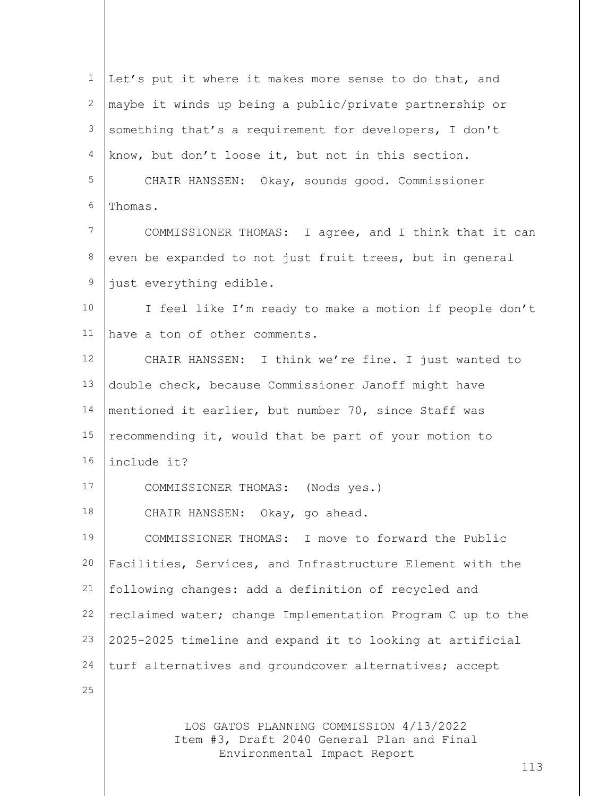| $\mathbf{1}$    | Let's put it where it makes more sense to do that, and     |
|-----------------|------------------------------------------------------------|
| $\mathbf{2}$    | maybe it winds up being a public/private partnership or    |
| 3               | something that's a requirement for developers, I don't     |
| 4               | know, but don't loose it, but not in this section.         |
| 5               | CHAIR HANSSEN: Okay, sounds good. Commissioner             |
| 6               | Thomas.                                                    |
| $7\phantom{.0}$ | COMMISSIONER THOMAS: I agree, and I think that it can      |
| 8               | even be expanded to not just fruit trees, but in general   |
| 9               | just everything edible.                                    |
| 10              | I feel like I'm ready to make a motion if people don't     |
| 11              | have a ton of other comments.                              |
| 12              | CHAIR HANSSEN: I think we're fine. I just wanted to        |
| 13              | double check, because Commissioner Janoff might have       |
| 14              | mentioned it earlier, but number 70, since Staff was       |
| 15              | recommending it, would that be part of your motion to      |
| 16              | include it?                                                |
| 17              | COMMISSIONER THOMAS: (Nods yes.)                           |
| 18              | CHAIR HANSSEN: Okay, go ahead.                             |
| 19              | COMMISSIONER THOMAS: I move to forward the Public          |
| 20              | Facilities, Services, and Infrastructure Element with the  |
| 21              | following changes: add a definition of recycled and        |
| 22              | reclaimed water; change Implementation Program C up to the |
| 23              | 2025-2025 timeline and expand it to looking at artificial  |
| 24              | turf alternatives and groundcover alternatives; accept     |
| 25              |                                                            |
|                 | LOS GATOS PLANNING COMMISSION 4/13/2022                    |

LOS GATOS PLANNING COMMISSION 4/13/2022 Item #3, Draft 2040 General Plan and Final Environmental Impact Report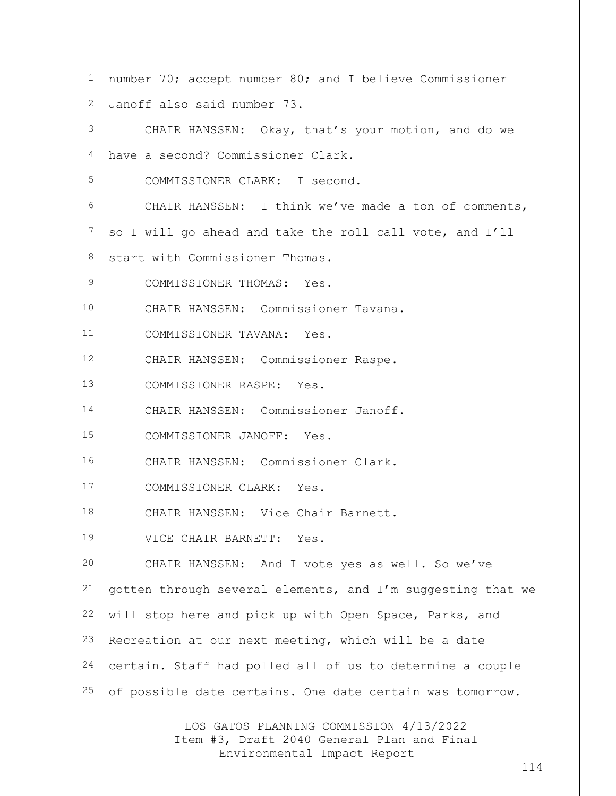| $\mathbf 1$ | number 70; accept number 80; and I believe Commissioner                                                              |
|-------------|----------------------------------------------------------------------------------------------------------------------|
| 2           | Janoff also said number 73.                                                                                          |
| 3           | CHAIR HANSSEN: Okay, that's your motion, and do we                                                                   |
| 4           | have a second? Commissioner Clark.                                                                                   |
| 5           | COMMISSIONER CLARK: I second.                                                                                        |
| 6           | CHAIR HANSSEN: I think we've made a ton of comments,                                                                 |
| 7           | so I will go ahead and take the roll call vote, and I'll                                                             |
| 8           | start with Commissioner Thomas.                                                                                      |
| 9           | COMMISSIONER THOMAS: Yes.                                                                                            |
| 10          | CHAIR HANSSEN: Commissioner Tavana.                                                                                  |
| 11          | COMMISSIONER TAVANA: Yes.                                                                                            |
| 12          | CHAIR HANSSEN: Commissioner Raspe.                                                                                   |
| 13          | COMMISSIONER RASPE: Yes.                                                                                             |
| 14          | CHAIR HANSSEN: Commissioner Janoff.                                                                                  |
| 15          | COMMISSIONER JANOFF: Yes.                                                                                            |
| 16          | CHAIR HANSSEN: Commissioner Clark.                                                                                   |
| 17          | COMMISSIONER CLARK: Yes.                                                                                             |
| 18          | CHAIR HANSSEN: Vice Chair Barnett.                                                                                   |
| 19          | VICE CHAIR BARNETT: Yes.                                                                                             |
| 20          | CHAIR HANSSEN: And I vote yes as well. So we've                                                                      |
| 21          | gotten through several elements, and I'm suggesting that we                                                          |
| 22          | will stop here and pick up with Open Space, Parks, and                                                               |
| 23          | Recreation at our next meeting, which will be a date                                                                 |
| 24          | certain. Staff had polled all of us to determine a couple                                                            |
| 25          | of possible date certains. One date certain was tomorrow.                                                            |
|             | LOS GATOS PLANNING COMMISSION 4/13/2022<br>Item #3, Draft 2040 General Plan and Final<br>Environmental Impact Report |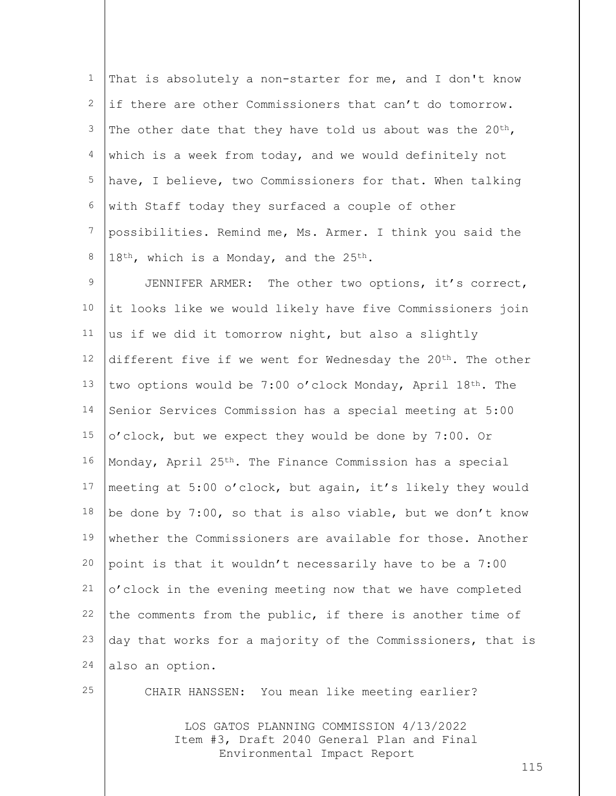1 2 3 4 5 6 7 8 That is absolutely a non-starter for me, and I don't know if there are other Commissioners that can't do tomorrow. The other date that they have told us about was the  $20^{th}$ , which is a week from today, and we would definitely not have, I believe, two Commissioners for that. When talking with Staff today they surfaced a couple of other possibilities. Remind me, Ms. Armer. I think you said the  $18<sup>th</sup>$ , which is a Monday, and the 25<sup>th</sup>.

9 10 11 12 13 14 15 16 17 18 19 20 21 22 23 24 JENNIFER ARMER: The other two options, it's correct, it looks like we would likely have five Commissioners join us if we did it tomorrow night, but also a slightly different five if we went for Wednesday the 20<sup>th</sup>. The other two options would be 7:00 o'clock Monday, April  $18^{th}$ . The Senior Services Commission has a special meeting at 5:00 o'clock, but we expect they would be done by 7:00. Or Monday, April 25th. The Finance Commission has a special meeting at 5:00 o'clock, but again, it's likely they would be done by 7:00, so that is also viable, but we don't know whether the Commissioners are available for those. Another point is that it wouldn't necessarily have to be a 7:00 o'clock in the evening meeting now that we have completed the comments from the public, if there is another time of day that works for a majority of the Commissioners, that is also an option.

25

CHAIR HANSSEN: You mean like meeting earlier?

LOS GATOS PLANNING COMMISSION 4/13/2022 Item #3, Draft 2040 General Plan and Final Environmental Impact Report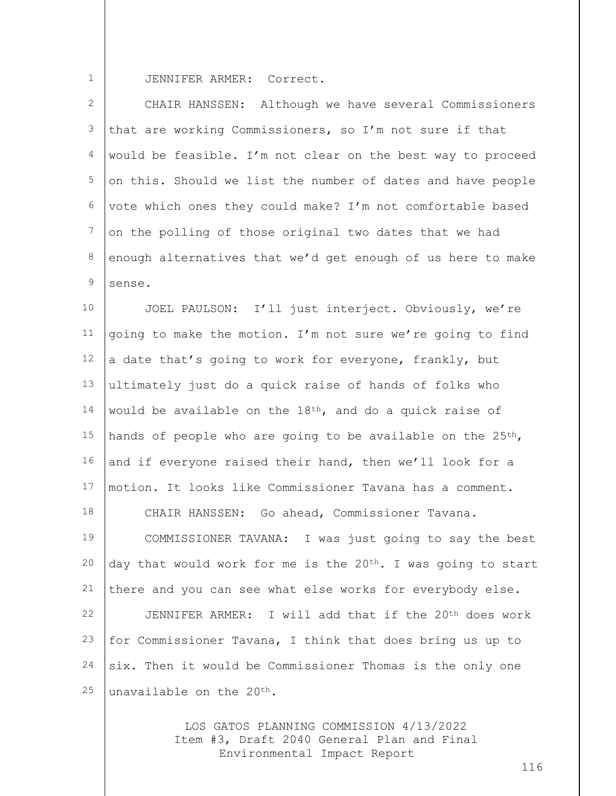JENNIFER ARMER: Correct.

2 3 4 5 6 7 8  $\mathsf{Q}$ CHAIR HANSSEN: Although we have several Commissioners that are working Commissioners, so I'm not sure if that would be feasible. I'm not clear on the best way to proceed on this. Should we list the number of dates and have people vote which ones they could make? I'm not comfortable based on the polling of those original two dates that we had enough alternatives that we'd get enough of us here to make sense.

10 11 12 13 14 15 16 17 18 19 20 21 22 23 24 25 JOEL PAULSON: I'll just interject. Obviously, we're going to make the motion. I'm not sure we're going to find a date that's going to work for everyone, frankly, but ultimately just do a quick raise of hands of folks who would be available on the 18th, and do a quick raise of hands of people who are going to be available on the 25<sup>th</sup>, and if everyone raised their hand, then we'll look for a motion. It looks like Commissioner Tavana has a comment. CHAIR HANSSEN: Go ahead, Commissioner Tavana. COMMISSIONER TAVANA: I was just going to say the best day that would work for me is the 20<sup>th</sup>. I was going to start there and you can see what else works for everybody else. JENNIFER ARMER: I will add that if the 20<sup>th</sup> does work for Commissioner Tavana, I think that does bring us up to six. Then it would be Commissioner Thomas is the only one unavailable on the 20th.

> LOS GATOS PLANNING COMMISSION 4/13/2022 Item #3, Draft 2040 General Plan and Final Environmental Impact Report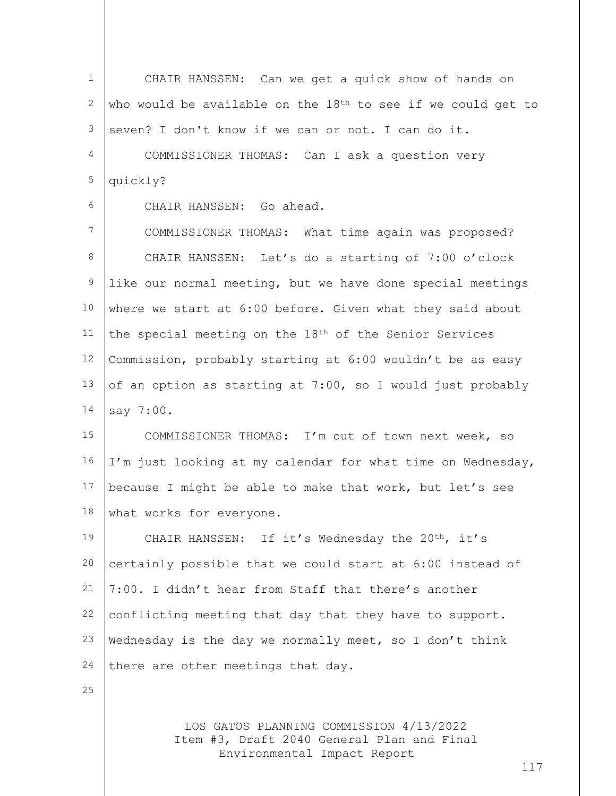LOS GATOS PLANNING COMMISSION 4/13/2022 1 2 3 4 5 6 7 8 9 10 11 12 13 14 15 16 17 18 19 20 21 22 23 24 25 CHAIR HANSSEN: Can we get a quick show of hands on who would be available on the  $18<sup>th</sup>$  to see if we could get to seven? I don't know if we can or not. I can do it. COMMISSIONER THOMAS: Can I ask a question very quickly? CHAIR HANSSEN: Go ahead. COMMISSIONER THOMAS: What time again was proposed? CHAIR HANSSEN: Let's do a starting of 7:00 o'clock like our normal meeting, but we have done special meetings where we start at 6:00 before. Given what they said about the special meeting on the 18th of the Senior Services Commission, probably starting at 6:00 wouldn't be as easy of an option as starting at 7:00, so I would just probably say 7:00. COMMISSIONER THOMAS: I'm out of town next week, so I'm just looking at my calendar for what time on Wednesday, because I might be able to make that work, but let's see what works for everyone. CHAIR HANSSEN: If it's Wednesday the 20<sup>th</sup>, it's certainly possible that we could start at 6:00 instead of 7:00. I didn't hear from Staff that there's another conflicting meeting that day that they have to support. Wednesday is the day we normally meet, so I don't think there are other meetings that day.

Item #3, Draft 2040 General Plan and Final Environmental Impact Report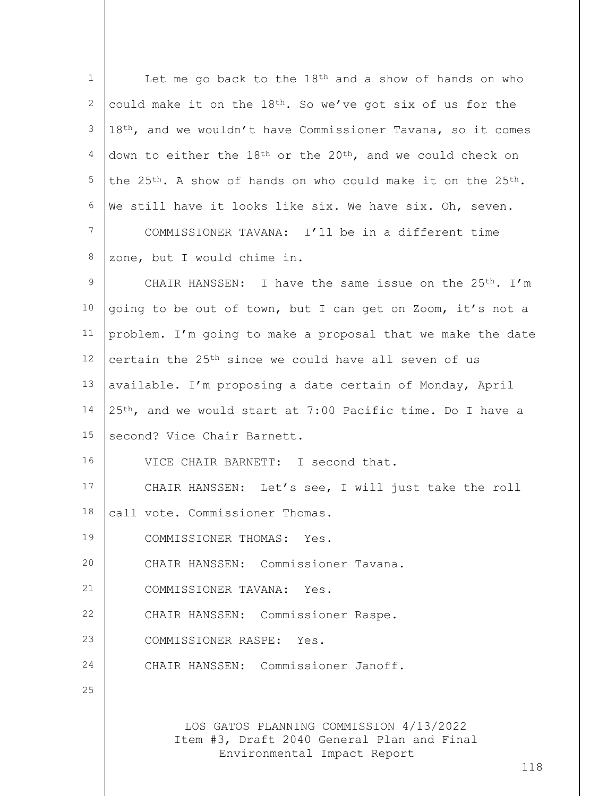| $\mathbf{1}$    | Let me go back to the 18 <sup>th</sup> and a show of hands on who                     |
|-----------------|---------------------------------------------------------------------------------------|
| 2               | could make it on the $18th$ . So we've got six of us for the                          |
| 3               | 18th, and we wouldn't have Commissioner Tavana, so it comes                           |
| 4               | down to either the 18 <sup>th</sup> or the 20 <sup>th</sup> , and we could check on   |
| 5               | the 25 <sup>th</sup> . A show of hands on who could make it on the 25 <sup>th</sup> . |
| 6               | We still have it looks like six. We have six. Oh, seven.                              |
| $7\phantom{.0}$ | COMMISSIONER TAVANA: I'll be in a different time                                      |
| 8               | zone, but I would chime in.                                                           |
| $\mathsf 9$     | CHAIR HANSSEN: I have the same issue on the 25 <sup>th</sup> . I'm                    |
| 10              | going to be out of town, but I can get on Zoom, it's not a                            |
| 11              | problem. I'm going to make a proposal that we make the date                           |
| 12              | certain the 25 <sup>th</sup> since we could have all seven of us                      |
| 13              | available. I'm proposing a date certain of Monday, April                              |
| 14              | 25th, and we would start at 7:00 Pacific time. Do I have a                            |
| 15              | second? Vice Chair Barnett.                                                           |
| 16              | VICE CHAIR BARNETT: I second that.                                                    |
| 17              | CHAIR HANSSEN: Let's see, I will just take the roll                                   |
| 18              | call vote. Commissioner Thomas.                                                       |
| 19              | COMMISSIONER THOMAS: Yes.                                                             |
| 20              | CHAIR HANSSEN: Commissioner Tavana.                                                   |
| 21              | COMMISSIONER TAVANA: Yes.                                                             |
| 22              | CHAIR HANSSEN: Commissioner Raspe.                                                    |
| 23              | COMMISSIONER RASPE: Yes.                                                              |
| 24              | CHAIR HANSSEN: Commissioner Janoff.                                                   |
| 25              |                                                                                       |
|                 | LOS GATOS PLANNING COMMISSION 4/13/2022<br>Item #3, Draft 2040 General Plan and Final |

Environmental Impact Report